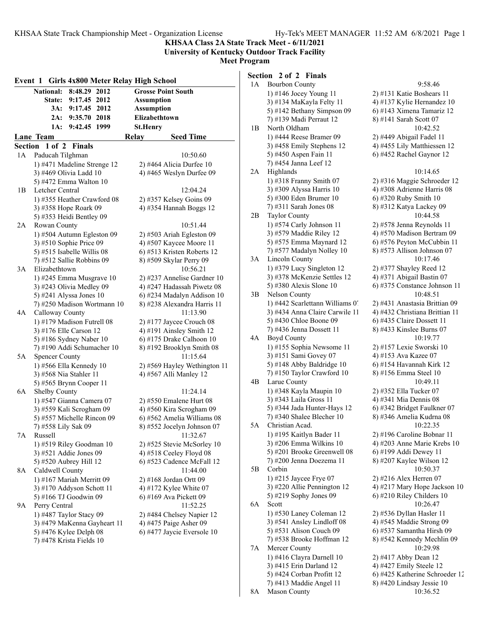**KHSAA Class 2A State Track Meet - 6/11/2021**

**University of Kentucky Outdoor Track Facility Meet Program**

|     |                                                       |              |                          | Event 1 Girls 4x800 Meter Relay High School |                                     |
|-----|-------------------------------------------------------|--------------|--------------------------|---------------------------------------------|-------------------------------------|
|     | <b>National:</b>                                      | 8:48.29      | 2012                     |                                             | <b>Grosse Point South</b>           |
|     | <b>State:</b>                                         | 9:17.45 2012 |                          | <b>Assumption</b>                           |                                     |
|     | 3A:                                                   | 9:17.45 2012 |                          | <b>Assumption</b>                           |                                     |
|     | 2A:                                                   | 9:35.70 2018 |                          |                                             | Elizabethtown                       |
|     | 1A:                                                   | 9:42.45 1999 |                          | St.Henry                                    |                                     |
|     | Lane Team                                             |              |                          | <b>Relay</b>                                | <b>Seed Time</b>                    |
|     | Section 1 of 2 Finals                                 |              |                          |                                             |                                     |
| 1 A | Paducah Tilghman                                      |              |                          |                                             | 10:50.60                            |
|     | 1) #471 Madeline Strenge 12                           |              |                          |                                             | 2) #464 Alicia Durfee 10            |
|     | 3) #469 Olivia Ladd 10                                |              |                          |                                             | 4) #465 Weslyn Durfee 09            |
|     | 5) #472 Emma Walton 10                                |              |                          |                                             |                                     |
| 1B  | Letcher Central                                       |              |                          |                                             | 12:04.24                            |
|     | 1) #355 Heather Crawford 08                           |              |                          |                                             | 2) #357 Kelsey Goins 09             |
|     | 3) #358 Hope Roark 09                                 |              |                          |                                             | 4) #354 Hannah Boggs 12             |
|     | 5) #353 Heidi Bentley 09                              |              |                          |                                             |                                     |
| 2A  | Rowan County                                          |              |                          |                                             | 10:51.44                            |
|     | 1) #504 Autumn Egleston 09                            |              |                          |                                             | 2) #503 Ariah Egleston 09           |
|     | 3) #510 Sophie Price 09                               |              |                          |                                             | 4) #507 Kaycee Moore 11             |
|     | 5) #515 Isabelle Willis 08                            |              |                          |                                             | 6) #513 Kristen Roberts 12          |
|     | 7) #512 Sallie Robbins 09                             |              |                          |                                             |                                     |
| 3A  | Elizabethtown                                         |              |                          |                                             | 8) #509 Skylar Perry 09<br>10:56.21 |
|     |                                                       |              |                          |                                             |                                     |
|     | 1) #245 Emma Musgrave 10                              |              |                          |                                             | 2) #237 Annelise Gardner 10         |
|     | 3) #243 Olivia Medley 09<br>5) #241 Alyssa Jones $10$ |              |                          |                                             | 4) #247 Hadassah Piwetz 08          |
|     |                                                       |              |                          |                                             | 6) #234 Madalyn Addison 10          |
|     | 7) #250 Madison Wortmann 10                           |              |                          |                                             | 8) #238 Alexandra Harris 11         |
| 4A  | Calloway County                                       |              |                          |                                             | 11:13.90                            |
|     | 1) #179 Madison Futrell 08                            |              |                          |                                             | $2)$ #177 Jaycee Crouch 08          |
|     | 3) #176 Elle Carson 12                                |              |                          |                                             | 4) #191 Ainsley Smith $12$          |
|     | 5) #186 Sydney Naber 10                               |              |                          |                                             | 6) #175 Drake Calhoon $10$          |
|     | 7) #190 Addi Schumacher 10                            |              |                          |                                             | 8) #192 Brooklyn Smith 08           |
| 5Α  | <b>Spencer County</b>                                 |              |                          |                                             | 11:15.64                            |
|     | 1) #566 Ella Kennedy 10                               |              |                          |                                             | 2) #569 Hayley Wethington 11        |
|     | 3) #568 Nia Stahler 11                                |              |                          |                                             | 4) #567 Alli Manley 12              |
|     | 5) #565 Brynn Cooper 11                               |              |                          |                                             |                                     |
| 6A  | Shelby County                                         |              |                          |                                             | 11:24.14                            |
|     | 1) #547 Gianna Camera 07                              |              |                          |                                             | 2) #550 Emalene Hurt 08             |
|     | 3) #559 Kali Scrogham 09                              |              |                          |                                             | 4) #560 Kira Scrogham 09            |
|     | 5) #557 Michelle Rincon 09                            |              |                          |                                             | 6) #562 Amelia Williams 08          |
|     | 7) #558 Lily Sak 09                                   |              |                          |                                             | 8) #552 Jocelyn Johnson 07          |
| 7Α  | Russell                                               |              |                          |                                             | 11:32.67                            |
|     | 1) #519 Riley Goodman 10                              |              |                          |                                             | 2) #525 Stevie McSorley 10          |
|     | 3) #521 Addie Jones 09                                |              |                          |                                             | 4) #518 Ceeley Floyd 08             |
|     | 5) #520 Aubrey Hill 12                                |              |                          |                                             | 6) #523 Cadence McFall 12           |
| 8A  | Caldwell County                                       |              |                          |                                             | 11:44.00                            |
|     | 1) #167 Mariah Merritt 09                             |              |                          |                                             | 2) #168 Jordan Ortt 09              |
|     | 3) #170 Addyson Schott 11                             |              |                          |                                             | 4) #172 Kylee White 07              |
|     | 5) #166 TJ Goodwin 09                                 |              |                          |                                             | 6) #169 Ava Pickett 09              |
| 9А  | Perry Central                                         |              |                          |                                             | 11:52.25                            |
|     | 1) #487 Taylor Stacy 09                               |              |                          |                                             | 2) #484 Chelsey Napier 12           |
|     | 3) #479 MaKenna Gayheart 11                           |              |                          |                                             | 4) #475 Paige Asher 09              |
|     | 5) #476 Kylee Delph 08                                |              |                          |                                             | 6) #477 Jaycie Eversole 10          |
|     |                                                       |              | 7) #478 Krista Fields 10 |                                             |                                     |

| Section 2 of 2 Finals |  |  |  |  |
|-----------------------|--|--|--|--|
|-----------------------|--|--|--|--|

| 1A | <b>Bourbon County</b>                                 | 9:58.46                               |
|----|-------------------------------------------------------|---------------------------------------|
|    | 1) #146 Jocey Young 11                                | 2) #131 Katie Boshears 11             |
|    | 3) #134 MaKayla Felty 11                              | 4) #137 Kylie Hernandez 10            |
|    | 5) #142 Bethany Simpson 09                            | $(6)$ #143 Ximena Tamariz 12          |
|    | 7) #139 Madi Perraut 12                               | 8) #141 Sarah Scott 07                |
| 1В | North Oldham                                          | 10:42.52                              |
|    | 1) #444 Reese Bramer 09                               | 2) #449 Abigail Fadel 11              |
|    | 3) #458 Emily Stephens 12                             | 4) #455 Lily Matthiessen 12           |
|    | 5) #450 Aspen Fain 11                                 | 6) #452 Rachel Gaynor 12              |
|    | 7) #454 Janna Leef 12                                 |                                       |
| 2A | Highlands                                             | 10:14.65                              |
|    | 1) #318 Franny Smith 07                               | 2) #316 Maggie Schroeder 12           |
|    | 3) #309 Alyssa Harris 10                              | 4) #308 Adrienne Harris 08            |
|    | 5) #300 Eden Brumer 10                                | 6) #320 Ruby Smith $10$               |
|    | 7) #311 Sarah Jones 08                                | 8) #312 Katya Lackey 09               |
| 2B | Taylor County                                         | 10:44.58                              |
|    | 1) #574 Carly Johnson 11                              | 2) #578 Jenna Reynolds 11             |
|    | 3) #579 Maddie Riley 12                               | 4) #570 Madison Bertram 09            |
|    | 5) #575 Emma Maynard 12                               | 6) #576 Peyton McCubbin 11            |
|    | 7) #577 Madalyn Nolley 10                             | 8) #573 Allison Johnson 07            |
| 3A | Lincoln County                                        | 10:17.46                              |
|    | 1) #379 Lucy Singleton 12                             | $2)$ #377 Shayley Reed 12             |
|    | 3) #378 McKenzie Settles 12                           | 4) #371 Abigail Bastin 07             |
|    | 5) #380 Alexis Slone 10                               | 6) #375 Constance Johnson 11          |
| 3В | Nelson County                                         | 10:48.51                              |
|    | 1) #442 Scarlettann Williams 0.                       | 2) #431 Anastasia Brittian 09         |
|    | 3) #434 Anna Claire Carwile 11                        | 4) #432 Christiana Brittian 11        |
|    | 5) #430 Chloe Boone 09                                | 6) #435 Claire Dossett 11             |
|    | 7) #436 Jenna Dossett 11                              | 8) #433 Kinslee Burns 07              |
| 4А | <b>Boyd County</b>                                    | 10:19.77                              |
|    | 1) #155 Sophia Newsome 11                             | 2) #157 Lexie Sworski 10              |
|    | 3) #151 Sami Govey 07                                 | 4) #153 Ava Kazee 07                  |
|    | 5) #148 Abby Baldridge 10                             | 6) #154 Havannah Kirk 12              |
|    | 7) #150 Taylor Crawford 10                            | 8) #156 Emma Steel 10                 |
| 4В | Larue County                                          | 10:49.11                              |
|    | 1) #348 Kayla Maupin 10                               | 2) #352 Ella Tucker 07                |
|    | 3) #343 Laila Gross 11                                | 4) #341 Mia Dennis 08                 |
|    | 5) #344 Jada Hunter-Hays 12                           | 6) #342 Bridget Faulkner 07           |
|    | 7) #340 Shalee Blecher 10                             | 8) #346 Amelia Kudrna 08              |
| 5Α | Christian Acad.                                       | 10:22.35                              |
|    | 1) #195 Kaitlyn Bader 11                              | 2) #196 Caroline Bobnar 11            |
|    | 3) #206 Emma Wilkins 10                               | 4) #203 Anne Marie Krebs 10           |
|    | 5) #201 Brooke Greenwell 08                           | 6) #199 Addi Dewey 11                 |
|    | 7) #200 Jenna Doezema 11                              | 8) #207 Kaylee Wilson 12              |
| 5В | Corbin                                                | 10:50.37                              |
|    |                                                       | 2) #216 Alex Herren 07                |
|    | 1) #215 Jaycee Frye 07                                | 4) #217 Mary Hope Jackson 10          |
|    | 3) #220 Allie Pennington 12<br>5) #219 Sophy Jones 09 |                                       |
|    |                                                       | 6) #210 Riley Childers 10<br>10:26.47 |
| 6A | Scott                                                 |                                       |
|    | 1) #530 Laney Coleman 12                              | 2) #536 Dyllan Hasler 11              |
|    | 3) #541 Ansley Lindloff 08                            | 4) #545 Maddie Strong 09              |
|    | 5) #531 Alison Couch 09                               | 6) #537 Samantha Hirsh 09             |
|    | 7) #538 Brooke Hoffman 12                             | 8) #542 Kennedy Mechlin 09            |
| 7Α | Mercer County                                         | 10:29.98                              |
|    | 1) #416 Clayra Darnell 10                             | 2) #417 Abby Dean 12                  |
|    | 3) #415 Erin Darland 12                               | 4) #427 Emily Steele 12               |
|    | 5) #424 Corban Profitt 12                             | 6) #425 Katherine Schroeder 12        |
|    | 7) #413 Maddie Angel 11                               | 8) #420 Lindsay Jessie 10             |
| 8Α | Mason County                                          | 10:36.52                              |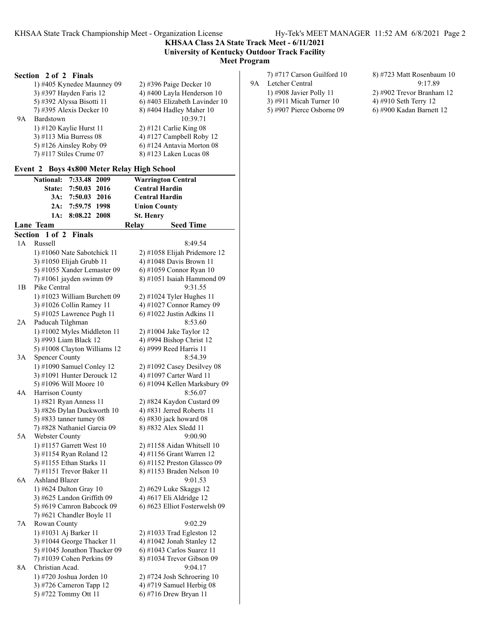**KHSAA Class 2A State Track Meet - 6/11/2021 University of Kentucky Outdoor Track Facility Meet Program**

## **Section 2 of 2 Finals**

|    | 1) #405 Kynedee Maunney 09  | $(2)$ #396 Paige Decker 10    |
|----|-----------------------------|-------------------------------|
|    | 3) #397 Hayden Faris 12     | 4) #400 Layla Henderson 10    |
|    | 5) #392 Alyssa Bisotti 11   | 6) #403 Elizabeth Lavinder 10 |
|    | $(7)$ #395 Alexis Decker 10 | 8) #404 Hadley Maher 10       |
| 9Α | Bardstown                   | 10:39.71                      |
|    | 1) $\#120$ Kaylie Hurst 11  | $2)$ #121 Carlie King 08      |
|    | 3) #113 Mia Burress $08$    | 4) #127 Campbell Roby 12      |
|    | 5) #126 Ainsley Roby 09     | $6$ ) #124 Antavia Morton 08  |
|    | $(7)$ #117 Stiles Crume 07  | 8) #123 Laken Lucas 08        |
|    |                             |                               |

# **Event 2 Boys 4x800 Meter Relay High School**

|         | $\sim$ 2010 12000 1110101 11                    |      | $m_{\rm B}$ "    |                               |
|---------|-------------------------------------------------|------|------------------|-------------------------------|
|         | 7:33.48 2009<br><b>National:</b>                |      |                  | <b>Warrington Central</b>     |
|         | State:<br>7:50.03 2016                          |      |                  | <b>Central Hardin</b>         |
|         | 3A:<br>7:50.03 2016                             |      |                  | <b>Central Hardin</b>         |
|         | 2A:<br>7:59.75 1998                             |      |                  | <b>Union County</b>           |
|         | 1A:<br>8:08.22                                  | 2008 | <b>St. Henry</b> |                               |
|         | Lane Team                                       |      | Relay            | <b>Seed Time</b>              |
| Section | 1 of 2<br>Finals                                |      |                  |                               |
| 1A      | Russell                                         |      |                  | 8:49.54                       |
|         | 1) #1060 Nate Sabotchick 11                     |      |                  | 2) #1058 Elijah Pridemore 12  |
|         | 3) #1050 Elijah Grubb 11                        |      |                  | 4) #1048 Davis Brown 11       |
|         | 5) #1055 Xander Lemaster 09                     |      |                  | 6) #1059 Connor Ryan 10       |
|         | 7) #1061 jayden swimm 09                        |      |                  | 8) #1051 Isaiah Hammond 09    |
| 1B      | Pike Central                                    |      |                  | 9:31.55                       |
|         | 1) #1023 William Burchett 09                    |      |                  | 2) #1024 Tyler Hughes 11      |
|         | 3) #1026 Collin Ramey 11                        |      |                  | 4) #1027 Connor Ramey 09      |
|         | 5) #1025 Lawrence Pugh 11                       |      |                  | 6) #1022 Justin Adkins 11     |
| 2A      | Paducah Tilghman                                |      |                  | 8:53.60                       |
|         | 1) #1002 Myles Middleton 11                     |      |                  | 2) #1004 Jake Taylor 12       |
|         | 3) #993 Liam Black 12                           |      |                  | 4) #994 Bishop Christ 12      |
|         | 5) #1008 Clayton Williams 12                    |      |                  | 6) #999 Reed Harris 11        |
| 3A      | <b>Spencer County</b>                           |      |                  | 8:54.39                       |
|         | 1) #1090 Samuel Conley 12                       |      |                  | $2)$ #1092 Casey Desilvey 08  |
|         | 3) #1091 Hunter Derouck 12                      |      |                  | 4) #1097 Carter Ward 11       |
|         | 5) #1096 Will Moore 10                          |      |                  | 6) #1094 Kellen Marksbury 09  |
| 4A      | Harrison County                                 |      |                  | 8:56.07                       |
|         | 1) #821 Ryan Anness 11                          |      |                  | 2) #824 Kaydon Custard 09     |
|         | 3) #826 Dylan Duckworth 10                      |      |                  | 4) #831 Jerred Roberts 11     |
|         | 5) #833 tanner tumey 08                         |      |                  | 6) #830 jack howard 08        |
|         | 7) #828 Nathaniel Garcia 09                     |      |                  | 8) #832 Alex Sledd 11         |
| 5A      | Webster County                                  |      |                  | 9:00.90                       |
|         | 1) #1157 Garrett West 10                        |      |                  | 2) #1158 Aidan Whitsell 10    |
|         | 3) #1154 Ryan Roland 12                         |      |                  | 4) #1156 Grant Warren 12      |
|         | 5) #1155 Ethan Starks 11                        |      |                  | 6) #1152 Preston Glassco 09   |
|         | 7) #1151 Trevor Baker 11                        |      |                  | 8) #1153 Braden Nelson 10     |
| 6A      | <b>Ashland Blazer</b>                           |      |                  | 9:01.53                       |
|         | 1) #624 Dalton Gray 10                          |      |                  | 2) #629 Luke Skaggs 12        |
|         | 3) #625 Landon Griffith 09                      |      |                  | 4) #617 Eli Aldridge 12       |
|         | 5) #619 Camron Babcock 09                       |      |                  | 6) #623 Elliot Fosterwelsh 09 |
|         | 7) #621 Chandler Boyle 11                       |      |                  |                               |
| 7Α      | Rowan County                                    |      |                  | 9:02.29                       |
|         | 1) #1031 Aj Barker 11                           |      |                  | 2) #1033 Trad Egleston 12     |
|         | 3) #1044 George Thacker 11                      |      |                  | 4) #1042 Jonah Stanley 12     |
|         | 5) #1045 Jonathon Thacker 09                    |      |                  | $6$ ) #1043 Carlos Suarez 11  |
|         | 7) #1039 Cohen Perkins 09                       |      |                  | 8) #1034 Trevor Gibson 09     |
| 8A      | Christian Acad.                                 |      |                  | 9:04.17                       |
|         | 1) #720 Joshua Jorden 10                        |      |                  | 2) #724 Josh Schroering $10$  |
|         | 3) #726 Cameron Tapp 12<br>5) #722 Tommy Ott 11 |      |                  | 4) #719 Samuel Herbig 08      |
|         |                                                 |      |                  | 6) #716 Drew Bryan 11         |

- 9A Letcher Central<br>1) #908 Javier Polly 11
	- 5) #907 Pierce Osborne 09
- 8) #723 Matt Rosenbaum 10<br>9:17.89 2) #902 Trevor Branham 12<br>4) #910 Seth Terry 12 3) #911 Micah Turner 10  $\begin{array}{r} 4$  +910 Seth Terry 12<br>5) #907 Pierce Osborne 09  $\begin{array}{r} 6$  +900 Kadan Barnett 12
	-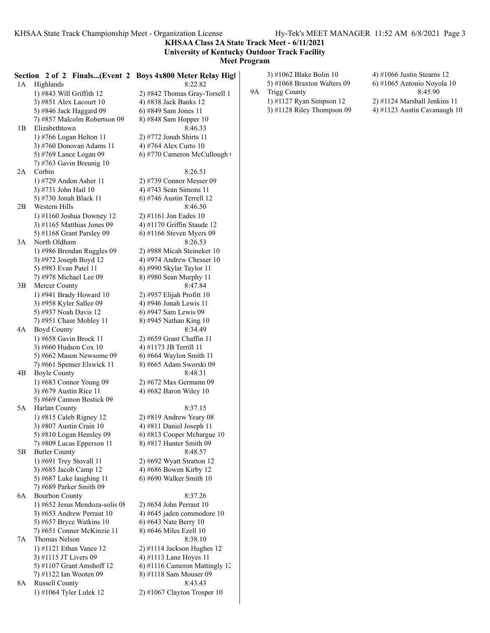**KHSAA Class 2A State Track Meet - 6/11/2021 University of Kentucky Outdoor Track Facility**

**Meet Program**

| 1A | Highlands                                               | Section 2 of 2 Finals(Event 2 Boys 4x800 Meter Relay High<br>8:22.82 |    | 3) #1062 Blake Bolin 10<br>5) #1068 Braxton Walters 09 | 4) #1066 Justin Stearns 12<br>6) #1065 Antonio Noyola 10 |
|----|---------------------------------------------------------|----------------------------------------------------------------------|----|--------------------------------------------------------|----------------------------------------------------------|
|    | 1) #843 Will Griffith 12                                | 2) #842 Thomas Gray-Torsell 1                                        | 9A | <b>Trigg County</b>                                    | 8:45.90                                                  |
|    | 3) #851 Alex Lacourt 10                                 | 4) #838 Jack Banks 12                                                |    | 1) #1127 Ryan Simpson 12                               | 2) #1124 Marshall Jenkins 11                             |
|    | 5) #846 Jack Haggard 09                                 | 6) #849 Sam Jones 11                                                 |    | 3) #1128 Riley Thompson 09                             | 4) #1123 Austin Cavanaugh 10                             |
|    | 7) #857 Malcolm Robertson 09                            | 8) #848 Sam Hopper 10                                                |    |                                                        |                                                          |
| 1B | Elizabethtown                                           | 8:46.33                                                              |    |                                                        |                                                          |
|    | 1) #766 Logan Helton 11                                 | 2) #772 Jonah Shirts 11                                              |    |                                                        |                                                          |
|    | 3) #760 Donovan Adams 11                                | 4) #764 Alex Curto 10                                                |    |                                                        |                                                          |
|    | 5) #769 Lance Logan 09                                  | 6) #770 Cameron McCullough                                           |    |                                                        |                                                          |
| 2A | 7) #763 Gavin Breunig $10$<br>Corbin                    | 8:26.51                                                              |    |                                                        |                                                          |
|    | 1) #729 Andon Asher 11                                  | 2) #739 Connor Messer 09                                             |    |                                                        |                                                          |
|    | 3) #731 John Hail 10                                    | 4) #743 Sean Simons 11                                               |    |                                                        |                                                          |
|    | 5) #730 Jonah Black 11                                  | 6) #746 Austin Terrell $12$                                          |    |                                                        |                                                          |
| 2B | Western Hills                                           | 8:46.50                                                              |    |                                                        |                                                          |
|    | 1) #1160 Joshua Downey 12                               | $2)$ #1161 Jon Eades 10                                              |    |                                                        |                                                          |
|    | 3) #1165 Matthias Jones 09                              | 4) #1170 Griffin Staude 12                                           |    |                                                        |                                                          |
|    | 5) #1168 Grant Parsley 09                               | 6) #1166 Steven Myers 09                                             |    |                                                        |                                                          |
| 3A | North Oldham                                            | 8:26.53                                                              |    |                                                        |                                                          |
|    | 1) #986 Brendan Ruggles 09                              | 2) #988 Micah Steineker 10                                           |    |                                                        |                                                          |
|    | 3) #972 Joseph Boyd 12<br>5) #983 Evan Patel 11         | 4) #974 Andrew Chesser $10$<br>6) #990 Skylar Taylor 11              |    |                                                        |                                                          |
|    | 7) #978 Michael Lee 09                                  | 8) #980 Sean Murphy 11                                               |    |                                                        |                                                          |
| 3B | Mercer County                                           | 8:47.84                                                              |    |                                                        |                                                          |
|    | 1) #941 Brady Howard 10                                 | 2) #957 Elijah Profitt 10                                            |    |                                                        |                                                          |
|    | 3) #958 Kyler Sallee 09                                 | 4) #946 Jonah Lewis 11                                               |    |                                                        |                                                          |
|    | 5) #937 Noah Davis 12                                   | 6) #947 Sam Lewis 09                                                 |    |                                                        |                                                          |
|    | 7) #951 Chase Mobley 11                                 | 8) #945 Nathan King 10                                               |    |                                                        |                                                          |
| 4A | <b>Boyd County</b>                                      | 8:34.49                                                              |    |                                                        |                                                          |
|    | 1) #658 Gavin Brock 11                                  | 2) #659 Grant Chaffin 11<br>4) #1173 JB Terrill 11                   |    |                                                        |                                                          |
|    | 3) #660 Hudson Cox 10<br>5) #662 Mason Newsome 09       | 6) #664 Waylon Smith $11$                                            |    |                                                        |                                                          |
|    | 7) #661 Spenser Elswick 11                              | 8) #665 Adam Sworski 09                                              |    |                                                        |                                                          |
| 4B | <b>Boyle County</b>                                     | 8:48.31                                                              |    |                                                        |                                                          |
|    | 1) #683 Connor Young 09                                 | 2) #672 Max Germann 09                                               |    |                                                        |                                                          |
|    | 3) #679 Austin Rice 11                                  | 4) #682 Baron Wiley 10                                               |    |                                                        |                                                          |
|    | 5) #669 Cannon Bostick 09                               |                                                                      |    |                                                        |                                                          |
| 5A | Harlan County                                           | 8:37.15                                                              |    |                                                        |                                                          |
|    | 1) #815 Caleb Rigney 12                                 | $2)$ #819 Andrew Yeary 08<br>4) #811 Daniel Joseph 11                |    |                                                        |                                                          |
|    | 3) #807 Austin Crain 10<br>5) #810 Logan Hensley 09     | 6) #813 Cooper Mchargue 10                                           |    |                                                        |                                                          |
|    | 7) #809 Lucas Epperson 11                               | 8) #817 Hunter Smith 09                                              |    |                                                        |                                                          |
| 5B | <b>Butler County</b>                                    | 8:48.57                                                              |    |                                                        |                                                          |
|    | 1) #691 Trey Stovall 11                                 | 2) #692 Wyatt Stratton 12                                            |    |                                                        |                                                          |
|    | 3) #685 Jacob Camp 12                                   | 4) #686 Bowen Kirby 12                                               |    |                                                        |                                                          |
|    | 5) #687 Luke laughing 11                                | $(6)$ #690 Walker Smith 10                                           |    |                                                        |                                                          |
|    | 7) #689 Parker Smith 09                                 |                                                                      |    |                                                        |                                                          |
| 6A | <b>Bourbon County</b><br>1) #652 Jesus Mendoza-solis 08 | 8:37.26                                                              |    |                                                        |                                                          |
|    | 3) #653 Andrew Perraut 10                               | $2)$ #654 John Perraut 10<br>4) #645 jaden commodore 10              |    |                                                        |                                                          |
|    | 5) #657 Bryce Watkins 10                                | 6) #643 Nate Berry $10$                                              |    |                                                        |                                                          |
|    | 7) #651 Conner McKinzie 11                              | 8) #646 Miles Ezell 10                                               |    |                                                        |                                                          |
| 7A | Thomas Nelson                                           | 8:38.10                                                              |    |                                                        |                                                          |
|    | 1) #1121 Ethan Vance 12                                 | 2) #1114 Jackson Hughes 12                                           |    |                                                        |                                                          |
|    | 3) #1115 JT Livers 09                                   | 4) #1113 Lane Hoyes 11                                               |    |                                                        |                                                          |
|    | 5) #1107 Grant Amshoff 12                               | 6) #1116 Cameron Mattingly 12                                        |    |                                                        |                                                          |
|    | 7) #1122 Ian Wooten 09                                  | 8) #1118 Sam Mouser 09                                               |    |                                                        |                                                          |
| 8A | Russell County<br>1) #1064 Tyler Lulek 12               | 8:43.43                                                              |    |                                                        |                                                          |
|    |                                                         | $2)$ #1067 Clayton Trosper 10                                        |    |                                                        |                                                          |
|    |                                                         |                                                                      |    |                                                        |                                                          |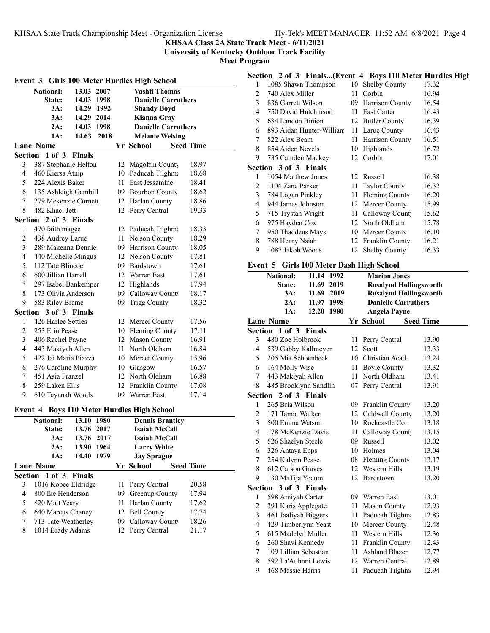**KHSAA Class 2A State Track Meet - 6/11/2021**

**University of Kentucky Outdoor Track Facility**

**Meet Program**

| Event 3 Girls 100 Meter Hurdles High School |                       |               |      |    |                                            |                  |
|---------------------------------------------|-----------------------|---------------|------|----|--------------------------------------------|------------------|
|                                             | <b>National:</b>      | 13.03 2007    |      |    | <b>Vashti Thomas</b>                       |                  |
|                                             | State:                | 14.03 1998    |      |    | <b>Danielle Carruthers</b>                 |                  |
|                                             | 3A:                   | 14.29 1992    |      |    | <b>Shandy Boyd</b>                         |                  |
|                                             | 3A:                   | 14.29 2014    |      |    | Kianna Gray                                |                  |
|                                             | 2A:                   | 14.03 1998    |      |    | <b>Danielle Carruthers</b>                 |                  |
|                                             | 1A:                   | 14.63         | 2018 |    | <b>Melanie Welsing</b>                     |                  |
|                                             | <b>Lane Name</b>      |               |      |    | Yr School                                  | <b>Seed Time</b> |
|                                             | Section 1 of 3        | <b>Finals</b> |      |    |                                            |                  |
| 3                                           | 387 Stephanie Helton  |               |      |    | 12 Magoffin County                         | 18.97            |
| $\overline{4}$                              | 460 Kiersa Atnip      |               |      |    | 10 Paducah Tilghma                         | 18.68            |
| 5                                           | 224 Alexis Baker      |               |      |    | 11 East Jessamine                          | 18.41            |
| 6                                           | 135 Ashleigh Gambill  |               |      |    | 09 Bourbon County                          | 18.62            |
| $\sqrt{ }$                                  | 279 Mekenzie Cornett  |               |      |    | 12 Harlan County                           | 18.86            |
| 8                                           | 482 Khaci Jett        |               |      |    | 12 Perry Central                           | 19.33            |
| Section                                     | 2 of 3 Finals         |               |      |    |                                            |                  |
| 1                                           | 470 faith magee       |               |      |    | 12 Paducah Tilghma                         | 18.33            |
| $\overline{c}$                              | 438 Audrey Larue      |               |      |    | 11 Nelson County                           | 18.29            |
| 3                                           | 289 Makenna Dennie    |               |      |    | 09 Harrison County                         | 18.05            |
| 4                                           | 440 Michelle Mingus   |               |      |    | 12 Nelson County                           | 17.81            |
| 5                                           | 112 Tate Blincoe      |               |      |    | 09 Bardstown                               | 17.61            |
| 6                                           | 600 Jillian Harrell   |               |      |    | 12 Warren East                             | 17.61            |
| 7                                           | 297 Isabel Bankemper  |               |      |    | 12 Highlands                               | 17.94            |
| 8                                           | 173 Olivia Anderson   |               |      |    | 09 Calloway Count                          | 18.17            |
| 9                                           | 583 Riley Brame       |               |      | 09 | <b>Trigg County</b>                        | 18.32            |
|                                             | Section 3 of 3 Finals |               |      |    |                                            |                  |
| 1                                           | 426 Harlee Settles    |               |      |    | 12 Mercer County                           | 17.56            |
| 2                                           | 253 Erin Pease        |               |      |    | 10 Fleming County                          | 17.11            |
| 3                                           | 406 Rachel Payne      |               |      |    | 12 Mason County                            | 16.91            |
| $\overline{4}$                              | 443 Makiyah Allen     |               |      |    | 11 North Oldham                            | 16.84            |
| 5                                           | 422 Jai Maria Piazza  |               |      |    | 10 Mercer County                           | 15.96            |
| 6                                           | 276 Caroline Murphy   |               |      |    | 10 Glasgow                                 | 16.57            |
| 7                                           | 451 Asia Franzel      |               |      |    | 12 North Oldham                            | 16.88            |
| 8                                           | 259 Laken Ellis       |               |      |    | 12 Franklin County                         | 17.08            |
| 9                                           | 610 Tayanah Woods     |               |      |    | 09 Warren East                             | 17.14            |
|                                             |                       |               |      |    | Event 4 Boys 110 Meter Hurdles High School |                  |
|                                             | <b>National:</b>      | 13.10         | 1980 |    | <b>Dennis Brantley</b>                     |                  |
|                                             | State:                | 13.76         | 2017 |    | <b>Isaiah McCall</b>                       |                  |
|                                             | 3A:                   | 13.76         | 2017 |    | Isaiah McCall                              |                  |
|                                             | $2A$ :                | 13.90         | 1964 |    | <b>Larry White</b>                         |                  |
|                                             | 1A:                   | 14.40         | 1979 |    | <b>Jay Sprague</b>                         |                  |
|                                             | <b>Lane Name</b>      |               |      |    | Yr School                                  | <b>Seed Time</b> |
| Section                                     | 1 of 3                | <b>Finals</b> |      |    |                                            |                  |
| 3                                           | 1016 Kobee Eldridge   |               |      | 11 | Perry Central                              | 20.58            |
| 4                                           | 800 Ike Henderson     |               |      |    | 09 Greenup County                          | 17.94            |
| 5                                           | 820 Matt Yeary        |               |      |    | 11 Harlan County                           | 17.62            |
| 6                                           | 640 Marcus Chaney     |               |      |    | 12 Bell County                             | 17.74            |
| 7                                           | 713 Tate Weatherley   |               |      |    | 09 Calloway Count                          | 18.26            |
| 8                                           | 1014 Brady Adams      |               |      |    | 12 Perry Central                           | 21.17            |
|                                             |                       |               |      |    |                                            |                  |

# **Section 2 of 3 Finals...(Event 4 Boys 110 Meter Hurdles High**

| 1 | 1085 Shawn Thompson          | 10  | Shelby County        | 17.32 |
|---|------------------------------|-----|----------------------|-------|
| 2 | 740 Alex Miller              | 11  | Corbin               | 16.94 |
| 3 | 836 Garrett Wilson           | 09. | Harrison County      | 16.54 |
| 4 | 750 David Hutchinson         | 11  | East Carter          | 16.43 |
| 5 | 684 Landon Binion            | 12  | Butler County        | 16.39 |
| 6 | 893 Aidan Hunter-William     | 11  | Larue County         | 16.43 |
| 7 | 822 Alex Beam                | 11  | Harrison County      | 16.51 |
| 8 | 854 Aiden Nevels             | 10  | Highlands            | 16.72 |
| 9 | 735 Camden Mackey            |     | 12 Corbin            | 17.01 |
|   | <b>Section 3 of 3 Finals</b> |     |                      |       |
| 1 | 1054 Matthew Jones           | 12  | Russell              | 16.38 |
| 2 | 1104 Zane Parker             | 11  | <b>Taylor County</b> | 16.32 |
| 3 | 784 Logan Pinkley            | 11  | Fleming County       | 16.20 |
| 4 | 944 James Johnston           | 12  | Mercer County        | 15.99 |
| 5 | 715 Trystan Wright           | 11  | Calloway Count       | 15.62 |
| 6 | 975 Hayden Cox               | 12  | North Oldham         | 15.78 |
| 7 | 950 Thaddeus Mays            | 10  | Mercer County        | 16.10 |
| 8 |                              | 12  | Franklin County      | 16.21 |
|   | 788 Henry Nsiah              |     |                      |       |

## **Event 5 Girls 100 Meter Dash High School**

|                         | <b>National:</b>      | 11.14 1992    |    | <b>Marion Jones</b>           |                  |
|-------------------------|-----------------------|---------------|----|-------------------------------|------------------|
|                         | State:                | 11.69 2019    |    | <b>Rosalynd Hollingsworth</b> |                  |
|                         | 3A:                   | 11.69 2019    |    | <b>Rosalynd Hollingsworth</b> |                  |
|                         | $2A$ :                | 11.97 1998    |    | <b>Danielle Carruthers</b>    |                  |
|                         | 1A:                   | 12.20 1980    |    | <b>Angela Payne</b>           |                  |
|                         | <b>Lane Name</b>      |               |    | Yr School                     | <b>Seed Time</b> |
| Section                 | $1$ of $3$            | <b>Finals</b> |    |                               |                  |
| 3                       | 480 Zoe Holbrook      |               | 11 | Perry Central                 | 13.90            |
| 4                       | 539 Gabby Kallmeyer   |               |    | 12 Scott                      | 13.33            |
| 5                       | 205 Mia Schoenbeck    |               |    | 10 Christian Acad.            | 13.24            |
| 6                       | 164 Molly Wise        |               |    | 11 Boyle County               | 13.32            |
| 7                       | 443 Makiyah Allen     |               |    | 11 North Oldham               | 13.41            |
| 8                       | 485 Brooklynn Sandlin |               |    | 07 Perry Central              | 13.91            |
|                         | Section 2 of 3 Finals |               |    |                               |                  |
| 1                       | 265 Bria Wilson       |               |    | 09 Franklin County            | 13.20            |
| 2                       | 171 Tamia Walker      |               |    | 12 Caldwell County            | 13.20            |
| 3                       | 500 Emma Watson       |               |    | 10 Rockcastle Co.             | 13.18            |
| $\overline{4}$          | 178 McKenzie Davis    |               |    | 11 Calloway Count             | 13.15            |
| 5                       | 526 Shaelyn Steele    |               |    | 09 Russell                    | 13.02            |
| 6                       | 326 Antaya Epps       |               |    | 10 Holmes                     | 13.04            |
| 7                       | 254 Kalynn Pease      |               |    | 08 Fleming County             | 13.17            |
| 8                       | 612 Carson Graves     |               |    | 12 Western Hills              | 13.19            |
| 9                       | 130 MaTija Yocum      |               |    | 12 Bardstown                  | 13.20            |
|                         | Section 3 of 3 Finals |               |    |                               |                  |
| 1                       | 598 Amiyah Carter     |               |    | 09 Warren East                | 13.01            |
| $\overline{\mathbf{c}}$ | 391 Karis Applegate   |               |    | 11 Mason County               | 12.93            |
| 3                       | 461 Jaaliyah Biggers  |               |    | 11 Paducah Tilghma            | 12.83            |
| $\overline{4}$          | 429 Timberlynn Yeast  |               |    | 10 Mercer County              | 12.48            |
| 5                       | 615 Madelyn Muller    |               |    | 11 Western Hills              | 12.36            |
| 6                       | 260 Shavi Kennedy     |               |    | 11 Franklin County            | 12.43            |
| 7                       | 109 Lillian Sebastian |               |    | 11 Ashland Blazer             | 12.77            |
| 8                       | 592 La'Auhnni Lewis   |               |    | 12 Warren Central             | 12.89            |
| 9                       | 468 Massie Harris     |               | 11 | Paducah Tilghma               | 12.94            |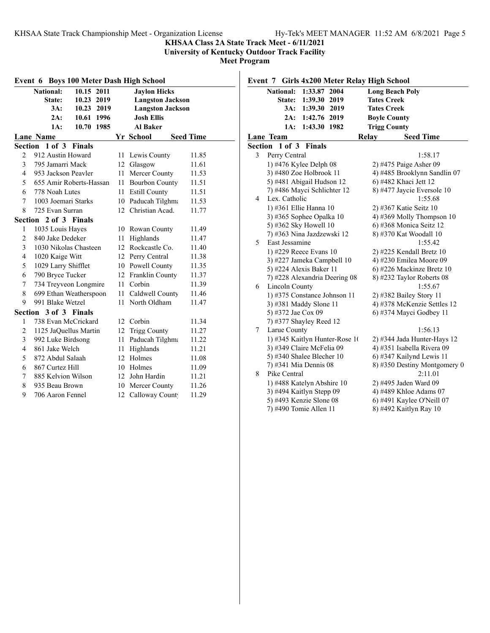## **KHSAA Class 2A State Track Meet - 6/11/2021**

**University of Kentucky Outdoor Track Facility**

**Meet Program**

|                | Event 6 Boys 100 Meter Dash High School |  |    |                         |                  |  |  |
|----------------|-----------------------------------------|--|----|-------------------------|------------------|--|--|
|                | National:<br>10.15 2011                 |  |    | <b>Jaylon Hicks</b>     |                  |  |  |
|                | State:<br>10.23 2019                    |  |    | <b>Langston Jackson</b> |                  |  |  |
|                | 3A:<br>10.23 2019                       |  |    | <b>Langston Jackson</b> |                  |  |  |
|                | 2A:<br>10.61 1996                       |  |    | <b>Josh Ellis</b>       |                  |  |  |
|                | 10.70 1985<br>1A:                       |  |    | <b>Al Baker</b>         |                  |  |  |
|                | <b>Lane Name</b>                        |  |    | Yr School               | <b>Seed Time</b> |  |  |
|                | Section 1 of 3 Finals                   |  |    |                         |                  |  |  |
| $\overline{2}$ | 912 Austin Howard                       |  | 11 | Lewis County            | 11.85            |  |  |
| 3              | 795 Jamarri Mack                        |  |    | 12 Glasgow              | 11.61            |  |  |
| $\overline{4}$ | 953 Jackson Peavler                     |  | 11 | Mercer County           | 11.53            |  |  |
| 5              | 655 Amir Roberts-Hassan                 |  | 11 | <b>Bourbon County</b>   | 11.51            |  |  |
| 6              | 778 Noah Lutes                          |  | 11 | <b>Estill County</b>    | 11.51            |  |  |
| 7              | 1003 Joemari Starks                     |  |    | 10 Paducah Tilghma      | 11.53            |  |  |
| 8              | 725 Evan Surran                         |  | 12 | Christian Acad.         | 11.77            |  |  |
|                | Section 2 of 3 Finals                   |  |    |                         |                  |  |  |
| 1              | 1035 Louis Hayes                        |  |    | 10 Rowan County         | 11.49            |  |  |
| $\overline{2}$ | 840 Jake Dedeker                        |  | 11 | Highlands               | 11.47            |  |  |
| 3              | 1030 Nikolas Chasteen                   |  |    | 12 Rockcastle Co.       | 11.40            |  |  |
| $\overline{4}$ | 1020 Kaige Witt                         |  |    | 12 Perry Central        | 11.38            |  |  |
| 5              | 1029 Larry Shifflet                     |  |    | 10 Powell County        | 11.35            |  |  |
| 6              | 790 Bryce Tucker                        |  |    | 12 Franklin County      | 11.37            |  |  |
| 7              | 734 Treyveon Longmire                   |  | 11 | Corbin                  | 11.39            |  |  |
| 8              | 699 Ethan Weatherspoon                  |  | 11 | Caldwell County         | 11.46            |  |  |
| 9              | 991 Blake Wetzel                        |  | 11 | North Oldham            | 11.47            |  |  |
|                | Section 3 of 3 Finals                   |  |    |                         |                  |  |  |
| 1              | 738 Evan McCrickard                     |  |    | 12 Corbin               | 11.34            |  |  |
| $\overline{2}$ | 1125 JaQuellus Martin                   |  |    | 12 Trigg County         | 11.27            |  |  |
| 3              | 992 Luke Birdsong                       |  | 11 | Paducah Tilghma         | 11.22            |  |  |
| $\overline{4}$ | 861 Jake Welch                          |  | 11 | Highlands               | 11.21            |  |  |
| 5              | 872 Abdul Salaah                        |  | 12 | Holmes                  | 11.08            |  |  |
| 6              | 867 Curtez Hill                         |  | 10 | Holmes                  | 11.09            |  |  |
| 7              | 885 Kelvion Wilson                      |  | 12 | John Hardin             | 11.21            |  |  |
| 8              | 935 Beau Brown                          |  |    | 10 Mercer County        | 11.26            |  |  |
| 9              | 706 Aaron Fennel                        |  |    | 12 Calloway Count       | 11.29            |  |  |

| <b>Girls 4x200 Meter Relay High School</b><br>Event 7 |                                |               |      |                     |                              |
|-------------------------------------------------------|--------------------------------|---------------|------|---------------------|------------------------------|
|                                                       | <b>National:</b>               | 1:33.87       | 2004 |                     | <b>Long Beach Poly</b>       |
|                                                       | State:                         | 1:39.30 2019  |      | <b>Tates Creek</b>  |                              |
|                                                       | $3A$ :                         | 1:39.30       | 2019 | <b>Tates Creek</b>  |                              |
|                                                       | 2A:                            | 1:42.76       | 2019 | <b>Boyle County</b> |                              |
|                                                       | 1A:                            | 1:43.30       | 1982 | <b>Trigg County</b> |                              |
|                                                       | Lane Team                      |               |      | Relay               | <b>Seed Time</b>             |
| Section                                               | $1$ of $3$                     | <b>Finals</b> |      |                     |                              |
| 3                                                     | Perry Central                  |               |      |                     | 1:58.17                      |
|                                                       | 1) #476 Kylee Delph 08         |               |      |                     | 2) #475 Paige Asher 09       |
|                                                       | 3) #480 Zoe Holbrook 11        |               |      |                     | 4) #485 Brooklynn Sandlin 07 |
|                                                       | 5) #481 Abigail Hudson 12      |               |      |                     | 6) #482 Khaci Jett 12        |
|                                                       | 7) #486 Mayci Schlichter 12    |               |      |                     | 8) #477 Jaycie Eversole 10   |
| 4                                                     | Lex. Catholic                  |               |      |                     | 1:55.68                      |
|                                                       | 1) #361 Ellie Hanna 10         |               |      |                     | 2) #367 Katie Seitz 10       |
|                                                       | 3) #365 Sophee Opalka 10       |               |      |                     | 4) #369 Molly Thompson 10    |
|                                                       | 5) #362 Sky Howell 10          |               |      |                     | 6) #368 Monica Seitz 12      |
|                                                       | 7) #363 Nina Jazdzewski 12     |               |      |                     | 8) #370 Kat Woodall 10       |
| 5                                                     | East Jessamine                 |               |      |                     | 1:55.42                      |
|                                                       | 1) #229 Reece Evans 10         |               |      |                     | 2) #225 Kendall Bretz 10     |
|                                                       | 3) #227 Jameka Campbell 10     |               |      |                     | 4) #230 Emilea Moore 09      |
|                                                       | 5) #224 Alexis Baker 11        |               |      |                     | 6) #226 Mackinze Bretz 10    |
|                                                       | 7) #228 Alexandria Deering 08  |               |      |                     | 8) #232 Taylor Roberts 08    |
| 6                                                     | Lincoln County                 |               |      |                     | 1:55.67                      |
|                                                       | 1) #375 Constance Johnson 11   |               |      |                     | 2) #382 Bailey Story 11      |
|                                                       | 3) #381 Maddy Slone 11         |               |      |                     | 4) #378 McKenzie Settles 12  |
|                                                       | 5) #372 Jae Cox 09             |               |      |                     | 6) #374 Mayci Godbey 11      |
|                                                       | 7) #377 Shayley Reed 12        |               |      |                     |                              |
| 7                                                     | Larue County                   |               |      |                     | 1:56.13                      |
|                                                       | 1) #345 Kaitlyn Hunter-Rose 10 |               |      |                     | 2) #344 Jada Hunter-Hays 12  |
|                                                       | 3) #349 Claire McFelia 09      |               |      |                     | 4) #351 Isabella Rivera 09   |
|                                                       | 5) #340 Shalee Blecher $10$    |               |      |                     | 6) #347 Kailynd Lewis 11     |
|                                                       | 7) #341 Mia Dennis 08          |               |      |                     | 8) #350 Destiny Montgomery 0 |
| 8                                                     | Pike Central                   |               |      |                     | 2:11.01                      |
|                                                       | 1) #488 Katelyn Abshire 10     |               |      |                     | 2) #495 Jaden Ward 09        |
|                                                       | 3) #494 Kaitlyn Stepp 09       |               |      |                     | 4) #489 Khloe Adams 07       |
|                                                       | 5) #493 Kenzie Slone 08        |               |      |                     | 6) #491 Kaylee O'Neill 07    |
|                                                       | 7) #490 Tomie Allen 11         |               |      |                     | 8) #492 Kaitlyn Ray 10       |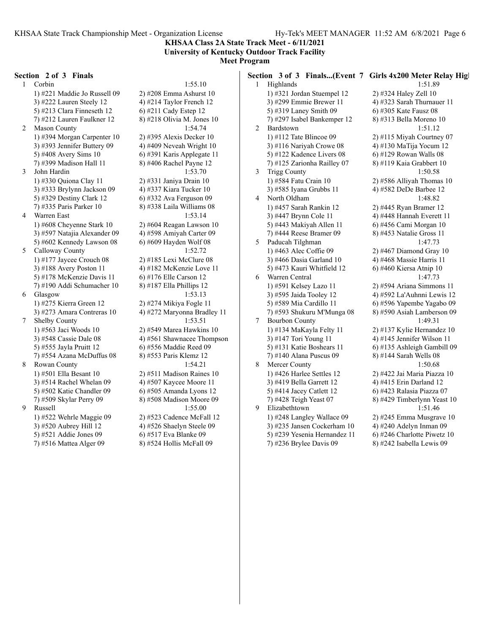**KHSAA Class 2A State Track Meet - 6/11/2021 University of Kentucky Outdoor Track Facility**

# **Meet Program**

#### **Section 2 of 3 Finals**

1 Corbin 1:55.10 1) #221 Maddie Jo Russell 09 2) #208 Emma Ashurst 10 3) #222 Lauren Steely 12  $\qquad \qquad$  4) #214 Taylor French 12 5) #213 Clara Finneseth 12  $\qquad$  6) #211 Cady Estep 12 7) #212 Lauren Faulkner 12 8) #218 Olivia M. Jones 10 2 Mason County 1:54.74 1) #394 Morgan Carpenter 10 2) #395 Alexis Decker 10 3) #393 Jennifer Buttery 09  $\qquad$  4) #409 Neveah Wright 10 5) #408 Avery Sims 10 6) #391 Karis Applegate 11 7) #399 Madison Hall 11 8) #406 Rachel Payne 12 3 John Hardin 1:53.70 1) #330 Quiona Clay 11 2) #331 Janiya Drain 10 3) #333 Brylynn Jackson 09 4) #337 Kiara Tucker 10 5) #329 Destiny Clark 12 6) #332 Ava Ferguson 09 7) #335 Paris Parker 10 8) #338 Laila Williams 08 4 Warren East 1:53.14 1) #608 Cheyenne Stark 10 2) #604 Reagan Lawson 10 3) #597 Natajia Alexander 09 4) #598 Amiyah Carter 09 5) #602 Kennedy Lawson 08 6) #609 Hayden Wolf 08 5 Calloway County 1:52.72 1) #177 Jaycee Crouch 08 2) #185 Lexi McClure 08 3) #188 Avery Poston 11  $\qquad \qquad$  4) #182 McKenzie Love 11 5) #178 McKenzie Davis 11 6) #176 Elle Carson 12 7) #190 Addi Schumacher 10 8) #187 Ella Phillips 12 6 Glasgow 1:53.13 1) #275 Kierra Green 12 2) #274 Mikiya Fogle 11 3) #273 Amara Contreras 10  $\qquad$  4) #272 Maryonna Bradley 11 7 Shelby County 1:53.51 1) #563 Jaci Woods 10 2) #549 Marea Hawkins 10 5) #555 Jayla Pruitt 12 6) #556 Maddie Reed 09 7) #554 Azana McDuffus 08 8) #553 Paris Klemz 12 8 Rowan County 1:54.21 1) #501 Ella Besant 10 2) #511 Madison Raines 10 3)  $#514$  Rachel Whelan 09  $4)$   $#507$  Kaycee Moore 11 5) #502 Katie Chandler 09 6) #505 Amanda Lyons 12 7) #509 Skylar Perry 09 8) #508 Madison Moore 09 9 Russell 1:55.00 1) #522 Wehrle Maggie 09 2) #523 Cadence McFall 12 3) #520 Aubrey Hill 12 4) #526 Shaelyn Steele 09 5) #521 Addie Jones 09 6) #517 Eva Blanke 09

3) #548 Cassie Dale 08 4) #561 Shawnacee Thompson 7) #516 Mattea Alger 09 8) #524 Hollis McFall 09

|   |                                                   |                              | Section 3 of 3 Finals(Event 7 Girls 4x200 Meter Relay Hig |  |
|---|---------------------------------------------------|------------------------------|-----------------------------------------------------------|--|
| 1 | Highlands                                         |                              | 1:51.89                                                   |  |
|   |                                                   | 1) #321 Jordan Stuempel 12   | 2) #324 Haley Zell 10                                     |  |
|   |                                                   | 3) #299 Emmie Brewer 11      | 4) #323 Sarah Thurnauer 11                                |  |
|   | 5) #319 Laney Smith 09                            |                              | 6) #305 Kate Fausz 08                                     |  |
|   |                                                   | 7) #297 Isabel Bankemper 12  | 8) #313 Bella Moreno 10                                   |  |
| 2 | Bardstown                                         |                              | 1:51.12                                                   |  |
|   | 1) #112 Tate Blincoe $09$                         |                              | $2)$ #115 Miyah Courtney 07                               |  |
|   |                                                   | 3) #116 Nariyah Crowe 08     | 4) #130 MaTija Yocum 12                                   |  |
|   |                                                   | 5) #122 Kadence Livers 08    | 6) #129 Rowan Walls 08                                    |  |
|   |                                                   | 7) #125 Zarionha Railley 07  | 8) #119 Kaia Grabbert 10                                  |  |
| 3 | <b>Trigg County</b>                               |                              | 1:50.58                                                   |  |
|   | 1) #584 Fatu Crain 10                             |                              | 2) #586 Alliyah Thomas 10                                 |  |
|   |                                                   | 3) #585 Iyana Grubbs 11      | 4) #582 DeDe Barbee 12                                    |  |
| 4 | North Oldham                                      |                              | 1:48.82                                                   |  |
|   |                                                   | 1) #457 Sarah Rankin 12      | 2) #445 Ryan Bramer 12                                    |  |
|   | 3) #447 Brynn Cole 11                             |                              | 4) #448 Hannah Everett 11                                 |  |
|   |                                                   | 5) #443 Makiyah Allen 11     | 6) #456 Cami Morgan 10                                    |  |
|   |                                                   | 7) #444 Reese Bramer 09      | 8) #453 Natalie Gross 11                                  |  |
| 5 | Paducah Tilghman                                  |                              | 1:47.73                                                   |  |
|   | 1) #463 Alec Coffie 09                            |                              | $2)$ #467 Diamond Gray 10                                 |  |
|   |                                                   | 3) #466 Dasia Garland 10     | 4) #468 Massie Harris 11                                  |  |
|   |                                                   | 5) #473 Kauri Whitfield 12   | 6) #460 Kiersa Atnip 10<br>1:47.73                        |  |
| 6 | Warren Central                                    |                              |                                                           |  |
|   | 1) #591 Kelsey Lazo 11<br>3) #595 Jaida Tooley 12 |                              | 2) #594 Ariana Simmons 11<br>4) #592 La'Auhnni Lewis 12   |  |
|   | 5) #589 Mia Cardillo 11                           |                              | 6) #596 Yapembe Yagabo 09                                 |  |
|   |                                                   | 7) #593 Shukuru M'Munga 08   | 8) #590 Asiah Lamberson 09                                |  |
| 7 | <b>Bourbon County</b>                             |                              | 1:49.31                                                   |  |
|   |                                                   | 1) #134 MaKayla Felty 11     | 2) #137 Kylie Hernandez 10                                |  |
|   | 3) #147 Tori Young 11                             |                              | 4) #145 Jennifer Wilson 11                                |  |
|   |                                                   | 5) #131 Katie Boshears 11    | 6) #135 Ashleigh Gambill 09                               |  |
|   |                                                   | 7) #140 Alana Puscus 09      | 8) #144 Sarah Wells 08                                    |  |
| 8 | Mercer County                                     |                              | 1:50.68                                                   |  |
|   |                                                   | 1) #426 Harlee Settles 12    | 2) #422 Jai Maria Piazza 10                               |  |
|   | 3) #419 Bella Garrett 12                          |                              | 4) #415 Erin Darland 12                                   |  |
|   | 5) #414 Jacey Catlett 12                          |                              | 6) #423 Ralasia Piazza 07                                 |  |
|   | 7) #428 Teigh Yeast 07                            |                              | 8) #429 Timberlynn Yeast 10                               |  |
| 9 | Elizabethtown                                     |                              | 1:51.46                                                   |  |
|   |                                                   | 1) #248 Langley Wallace 09   | 2) #245 Emma Musgrave 10                                  |  |
|   |                                                   | 3) #235 Jansen Cockerham 10  | 4) #240 Adelyn Inman 09                                   |  |
|   |                                                   | 5) #239 Yesenia Hernandez 11 | 6) #246 Charlotte Piwetz 10                               |  |
|   |                                                   | 7) #236 Brylee Davis 09      | 8) #242 Isabella Lewis 09                                 |  |
|   |                                                   |                              |                                                           |  |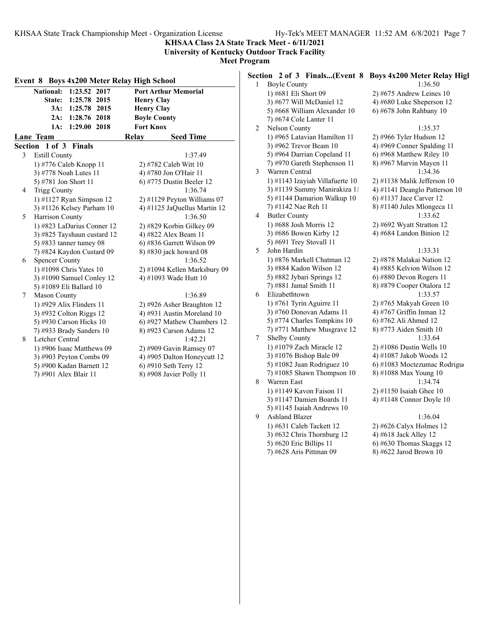**KHSAA Class 2A State Track Meet - 6/11/2021 University of Kentucky Outdoor Track Facility**

**Meet Program**

|   | Event 8 Boys 4x200 Meter Relay High School |                               | $\mathbf{1}$ | <b>Boyle County</b>                                                      | Section 2 of 3 Finals(Event 8 Boys 4x200 Meter Relay High<br>1:36.50 |
|---|--------------------------------------------|-------------------------------|--------------|--------------------------------------------------------------------------|----------------------------------------------------------------------|
|   | National: 1:23.52 2017                     | <b>Port Arthur Memorial</b>   |              | 1) #681 Eli Short 09                                                     | $2)$ #675 Andrew Leines 10                                           |
|   | State: 1:25.78 2015                        | <b>Henry Clay</b>             |              | 3) #677 Will McDaniel 12                                                 | 4) #680 Luke Sheperson 12                                            |
|   | 3A: 1:25.78 2015                           | <b>Henry Clay</b>             |              | 5) #668 William Alexander 10                                             | 6) #678 John Rahbany 10                                              |
|   | 2A: 1:28.76 2018                           | <b>Boyle County</b>           |              | 7) #674 Cole Lanter 11                                                   |                                                                      |
|   | 1A: 1:29.00 2018                           | <b>Fort Knox</b>              | 2            | Nelson County                                                            | 1:35.37                                                              |
|   | Lane Team                                  | <b>Seed Time</b><br>Relay     |              | 1) #965 Latavian Hamilton 11                                             | $2)$ #966 Tyler Hudson 12                                            |
|   | Section 1 of 3 Finals                      |                               |              | 3) #962 Trevor Beam 10                                                   | 4) #969 Conner Spalding 11                                           |
| 3 | <b>Estill County</b>                       | 1:37.49                       |              | 5) #964 Darrian Copeland 11                                              | 6) #968 Matthew Riley 10                                             |
|   | 1) #776 Caleb Knopp 11                     | 2) #782 Caleb Witt 10         |              | 7) #970 Gareth Stephenson 11                                             | 8) #967 Marvin Mayen 11                                              |
|   | 3) #778 Noah Lutes 11                      | 4) #780 Jon O'Hair 11         | 3            | Warren Central                                                           | 1:34.36                                                              |
|   | 5) #781 Jon Short 11                       | $6$ ) #775 Dustin Beeler 12   |              | 1) #1143 Izayiah Villafuerte 10                                          | $2)$ #1138 Malik Jefferson 10                                        |
| 4 | <b>Trigg County</b>                        | 1:36.74                       |              | 3) #1139 Summy Manirakiza 11                                             | 4) #1141 Deanglo Patterson 10                                        |
|   | 1) #1127 Ryan Simpson 12                   | $2)$ #1129 Peyton Williams 07 |              | 5) #1144 Damarion Walkup 10                                              | 6) #1137 Jace Carver 12                                              |
|   | 3) #1126 Kelsey Parham 10                  | 4) #1125 JaQuellus Martin 12  |              | 7) #1142 Nae Reh 11                                                      | $8)$ #1140 Jules Mlongeca 11                                         |
| 5 | Harrison County                            | 1:36.50                       | 4            | <b>Butler County</b>                                                     | 1:33.62                                                              |
|   | 1) #823 LaDarius Conner 12                 | 2) #829 Korbin Gilkey 09      |              | 1) #688 Josh Morris 12                                                   | 2) #692 Wyatt Stratton 12                                            |
|   | 3) #825 Tayshaun custard 12                | 4) #822 Alex Beam 11          |              | 3) #686 Bowen Kirby 12                                                   | 4) #684 Landon Binion 12                                             |
|   | 5) #833 tanner tumey $08$                  | 6) #836 Garrett Wilson 09     |              | 5) #691 Trey Stovall 11                                                  |                                                                      |
|   | 7) #824 Kaydon Custard 09                  | 8) #830 jack howard 08        | 5            | John Hardin                                                              | 1:33.31                                                              |
| 6 | <b>Spencer County</b>                      | 1:36.52                       |              | 1) #876 Markell Chatman 12                                               | 2) #878 Malakai Nation 12                                            |
|   | 1) #1098 Chris Yates 10                    | 2) #1094 Kellen Marksbury 09  |              | 3) #884 Kadon Wilson 12                                                  | 4) #885 Kelvion Wilson 12                                            |
|   | 3) #1090 Samuel Conley 12                  | 4) #1093 Wade Hutt 10         |              | 5) #882 Jybari Springs 12                                                | $6$ ) #880 Devon Rogers 11                                           |
|   | 5) #1089 Eli Ballard 10                    |                               |              | 7) #881 Jamal Smith 11                                                   | 8) #879 Cooper Otalora 12                                            |
| 7 | <b>Mason County</b>                        | 1:36.89                       | 6            | Elizabethtown                                                            | 1:33.57                                                              |
|   | 1) #929 Alix Flinders 11                   | 2) #926 Asher Braughton 12    |              | 1) #761 Tyrin Aguirre 11                                                 | 2) #765 Makyah Green 10                                              |
|   | 3) #932 Colton Riggs 12                    | 4) #931 Austin Moreland 10    |              | 3) #760 Donovan Adams 11                                                 | 4) #767 Griffin Inman 12                                             |
|   | 5) #930 Carson Hicks 10                    | 6) #927 Mathew Chambers 12    |              | 5) #774 Charles Tompkins 10                                              | 6) #762 Ali Ahmed 12                                                 |
|   | 7) #933 Brady Sanders 10                   | 8) #923 Carson Adams 12       |              | 7) #771 Matthew Musgrave 12                                              | 8) #773 Aiden Smith 10                                               |
| 8 | Letcher Central                            | 1:42.21                       | 7            | Shelby County                                                            | 1:33.64                                                              |
|   | 1) #906 Isaac Matthews 09                  | 2) #909 Gavin Ramsey 07       |              | 1) #1079 Zach Miracle 12                                                 | $2)$ #1086 Dustin Wells 10                                           |
|   | 3) #903 Peyton Combs 09                    | 4) #905 Dalton Honeycutt 12   |              | 3) #1076 Bishop Bale 09                                                  | 4) #1087 Jakob Woods 12                                              |
|   | 5) #900 Kadan Barnett 12                   | 6) #910 Seth Terry 12         |              | 5) #1082 Juan Rodriguez 10                                               | 6) #1083 Moctezumac Rodrigue                                         |
|   | 7) #901 Alex Blair 11                      | 8) #908 Javier Polly 11       |              | 7) #1085 Shawn Thompson $10$                                             | 8) #1088 Max Young 10                                                |
|   |                                            |                               | 8            | Warren East<br>13.0114.017<br>$\mathbb{R}^n$ . The set of $\mathbb{R}^n$ | 1:34.74<br>$21.111701$ $1.71$ $21.10$                                |
|   |                                            |                               |              |                                                                          |                                                                      |

 $4962$  Trevor Beam 10  $4)$  #969 Conner Spalding 11 5) #964 Darrian Copeland 11 6) #968 Matthew Riley 10 #970 Gareth Stephenson 11 8) #967 Marvin Mayen 11 arren Central 1:34.36 1) #1143 Izayiah Villafuerte 10 2) #1138 Malik Jefferson 10 #1139 Summy Manirakiza 11 4) #1141 Deanglo Patterson 10 #1144 Damarion Walkup  $10 \qquad 6$ ) #1137 Jace Carver 12 7) #1142 Nae Reh 11 8) #1140 Jules Mlongeca 11  $\text{tler County}$  1:33.62 1) #688 Josh Morris 12 2) #692 Wyatt Stratton 12 3) #686 Bowen Kirby 12 4) #684 Landon Binion 12 5) #691 Trey Stovall 11 n Hardin 1:33.31 1) #876 Markell Chatman 12 2) #878 Malakai Nation 12 3) #884 Kadon Wilson 12 4) #885 Kelvion Wilson 12 5) #882 Jybari Springs 12 6) #880 Devon Rogers 11 7) #881 Jamal Smith 11 8) #879 Cooper Otalora 12 zabethtown 1:33.57 1) #761 Tyrin Aguirre 11 2) #765 Makyah Green 10 #760 Donovan Adams 11  $\qquad$  4) #767 Griffin Inman 12 #774 Charles Tompkins  $10 \qquad 6)$  #762 Ali Ahmed  $12$ #771 Matthew Musgrave 12  $8)$  #773 Aiden Smith 10 elby County 1:33.64 1) #1079 Zach Miracle 12 2) #1086 Dustin Wells 10 #1076 Bishop Bale 09 4) #1087 Jakob Woods 12 5) #1082 Juan Rodriguez 10 6) #1083 Moctezumac Rodrigue #1085 Shawn Thompson 10 8) #1088 Max Young 10 a a Warren East 1:34.74 1) #1149 Kavon Faison 11 2) #1150 Isaiah Ghee 10 3) #1147 Damien Boards 11 4) #1148 Connor Doyle 10 5) #1145 Isaiah Andrews 10 9 Ashland Blazer 1:36.04 1) #631 Caleb Tackett 12 2) #626 Calyx Holmes 12 3)  $\#632$  Chris Thornburg 12 4)  $\#618$  Jack Alley 12 5) #620 Eric Billips 11 6) #630 Thomas Skaggs 12

1) #965 Latavian Hamilton 11 2) #966 Tyler Hudson 12

7) #628 Aris Pittman 09 8) #622 Jarod Brown 10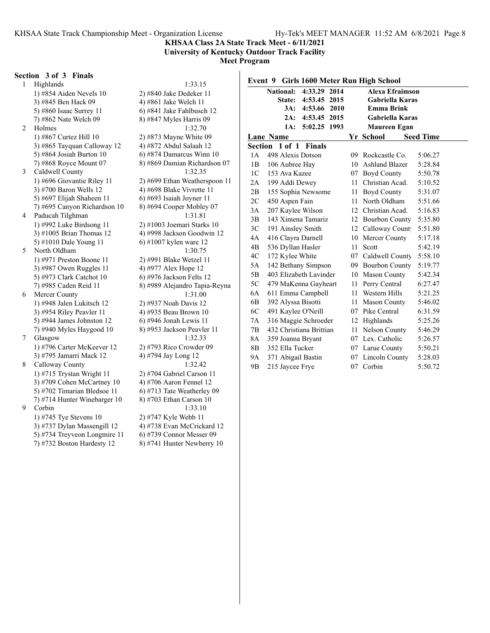#### **KHSAA Class 2A State Track Meet - 6/11/2021 University of Kentucky Outdoor Track Facility**

**Meet Program**

#### **Section 3 of 3 Finals**

1 Highlands 1:33.15 1) #854 Aiden Nevels 10 2) #840 Jake Dedeker 11 3) #845 Ben Hack 09 4) #861 Jake Welch 11 5) #860 Isaac Surrey 11 6) #841 Jake Fahlbusch 12 7) #862 Nate Welch 09 8) #847 Myles Harris 09 2 Holmes 1:32.70 1) #867 Curtez Hill 10 2) #873 Mayne White 09 3)  $\#865$  Tayquan Calloway 12  $\qquad$  4)  $\#872$  Abdul Salaah 12 5) #864 Josiah Burton 10 6) #874 Damarcus Winn 10 3 Caldwell County 1:32.35 3) #700 Baron Wells 12 4) #698 Blake Vivrette 11 5) #697 Elijah Shaheen 11 6) #693 Isaiah Joyner 11 7) #695 Canyon Richardson  $10 \qquad 8$ ) #694 Cooper Mobley 07 4 Paducah Tilghman 1:31.81 1) #992 Luke Birdsong 11 2) #1003 Joemari Starks 10 5) #1010 Dale Young 11 6) #1007 kylen ware 12 5 North Oldham 1:30.75 1) #971 Preston Boone 11 2) #991 Blake Wetzel 11 3) #987 Owen Ruggles 11  $\qquad$  4) #977 Alex Hope 12 5) #973 Clark Catchot 10 6) #976 Jackson Felts 12 6 Mercer County 1:31.00 1) #948 Jalen Lukitsch 12 2) #937 Noah Davis 12 3) #954 Riley Peavler 11 4) #935 Beau Brown 10 5) #944 James Johnston 12 6) #946 Jonah Lewis 11 7) #940 Myles Haygood 10 8) #953 Jackson Peavler 11 7 Glasgow 1:32.33 1) #796 Carter McKeever 12 2) #793 Rico Crowder 09 3) #795 Jamarri Mack 12 4) #794 Jay Long 12 8 Calloway County 1:32.42 1) #715 Trystan Wright 11 2) #704 Gabriel Carson 11 3) #709 Cohen McCartney 10  $\qquad$  4) #706 Aaron Fennel 12 5) #702 Timarian Bledsoe 11  $\qquad$  6) #713 Tate Weatherley 09 7) #714 Hunter Winebarger 10  $\qquad$  8) #703 Ethan Carson 10 9 Corbin 1:33.10 1) #745 Tye Stevens 10 2) #747 Kyle Webb 11 5) #734 Treyveon Longmire 11 6) #739 Connor Messer 09

7) #868 Royce Mount 07 8) #869 Damian Richardson 07 1) #696 Giovantie Riley 11 2) #699 Ethan Weatherspoon 11 3)  $\#1005$  Brian Thomas 12 4)  $\#998$  Jackson Goodwin 12 7) #985 Caden Reid 11 8) #989 Alejandro Tapia-Reyna 3) #737 Dylan Massengill 12 4) #738 Evan McCrickard 12

7) #732 Boston Hardesty 12 8) #741 Hunter Newberry 10

|                |                         |               |      |      | Event 9 Girls 1600 Meter Run High School |                  |  |
|----------------|-------------------------|---------------|------|------|------------------------------------------|------------------|--|
|                | <b>National:</b>        | 4:33.29       | 2014 |      | <b>Alexa Efraimson</b>                   |                  |  |
|                | State:                  | 4:53.45 2015  |      |      | <b>Gabriella Karas</b>                   |                  |  |
|                | 3A:                     | 4:53.66 2010  |      |      | <b>Emma Brink</b>                        |                  |  |
|                | 2A:                     | 4:53.45       | 2015 |      | <b>Gabriella Karas</b>                   |                  |  |
|                | 1A:                     | 5:02.25 1993  |      |      | Maureen Egan                             |                  |  |
|                | <b>Lane Name</b>        |               |      |      | Yr School                                | <b>Seed Time</b> |  |
| Section        |                         | 1 of 1 Finals |      |      |                                          |                  |  |
| 1 A            | 498 Alexis Dotson       |               |      |      | 09 Rockcastle Co.                        | 5:06.27          |  |
| 1B             | 106 Aubree Hay          |               |      | 10   | Ashland Blazer                           | 5:28.84          |  |
| 1 <sup>C</sup> | 153 Ava Kazee           |               |      |      | 07 Boyd County                           | 5:50.78          |  |
| 2A             | 199 Addi Dewey          |               |      |      | 11 Christian Acad.                       | 5:10.52          |  |
| 2B             | 155 Sophia Newsome      |               |      | 11 - | Boyd County                              | 5:31.07          |  |
| 2C             | 450 Aspen Fain          |               |      | 11   | North Oldham                             | 5:51.66          |  |
| 3A             | 207 Kaylee Wilson       |               |      |      | 12 Christian Acad.                       | 5:16.83          |  |
| 3B             | 143 Ximena Tamariz      |               |      | 12   | <b>Bourbon County</b>                    | 5:35.80          |  |
| 3C             | 191 Ainsley Smith       |               |      |      | 12 Calloway Count                        | 5:51.80          |  |
| 4A             | 416 Clayra Darnell      |               |      | 10   | Mercer County                            | 5:17.18          |  |
| 4B             | 536 Dyllan Hasler       |               |      | 11   | Scott                                    | 5:42.19          |  |
| 4C             | 172 Kylee White         |               |      |      | 07 Caldwell County                       | 5:58.10          |  |
| 5A             | 142 Bethany Simpson     |               |      |      | 09 Bourbon County                        | 5:19.77          |  |
| 5B             | 403 Elizabeth Lavinder  |               |      |      | 10 Mason County                          | 5:42.34          |  |
| 5C             | 479 MaKenna Gayheart    |               |      |      | 11 Perry Central                         | 6:27.47          |  |
| 6A             | 611 Emma Campbell       |               |      |      | 11 Western Hills                         | 5:21.25          |  |
| 6B             | 392 Alyssa Bisotti      |               |      | 11 - | <b>Mason County</b>                      | 5:46.02          |  |
| 6C             | 491 Kaylee O'Neill      |               |      |      | 07 Pike Central                          | 6:31.59          |  |
| 7A             | 316 Maggie Schroeder    |               |      | 12   | Highlands                                | 5:25.26          |  |
| 7B             | 432 Christiana Brittian |               |      | 11   | Nelson County                            | 5:46.29          |  |
| 8A             | 359 Joanna Bryant       |               |      |      | 07 Lex. Catholic                         | 5:26.57          |  |
| 8B             | 352 Ella Tucker         |               |      |      | 07 Larue County                          | 5:50.21          |  |
| 9Α             | 371 Abigail Bastin      |               |      | 07   | Lincoln County                           | 5:28.03          |  |
| 9 <sub>B</sub> | 215 Jaycee Frye         |               |      | 07   | Corbin                                   | 5:50.72          |  |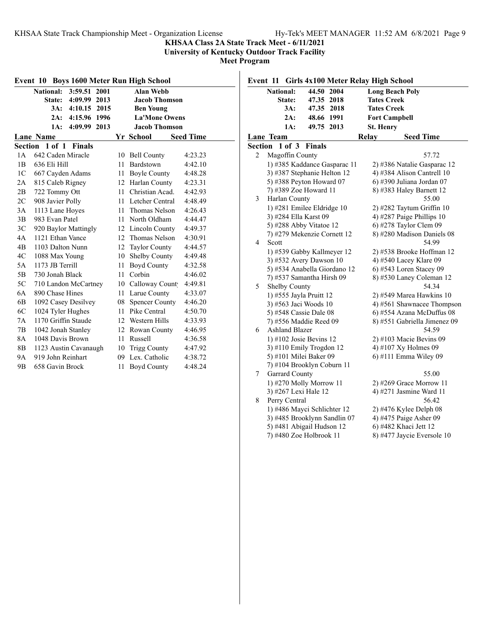**Event 11 Girls 4x100 Meter Relay High School**

#### **KHSAA Class 2A State Track Meet - 6/11/2021**

**University of Kentucky Outdoor Track Facility**

**Meet Program**

| Event 10 Boys 1600 Meter Run High School          |                                 |     |                       |         |  |  |  |  |
|---------------------------------------------------|---------------------------------|-----|-----------------------|---------|--|--|--|--|
|                                                   | National: 3:59.51 2001          |     | <b>Alan Webb</b>      |         |  |  |  |  |
|                                                   | 4:09.99 2013<br>State:          |     | <b>Jacob Thomson</b>  |         |  |  |  |  |
|                                                   | 3A:<br>4:10.15 2015             |     | <b>Ben Young</b>      |         |  |  |  |  |
|                                                   | 4:15.96<br>1996<br>2A:          |     | <b>La'Mone Owens</b>  |         |  |  |  |  |
|                                                   | 4:09.99<br>2013<br>1A:          |     | <b>Jacob Thomson</b>  |         |  |  |  |  |
| <b>Lane Name</b><br>Yr School<br><b>Seed Time</b> |                                 |     |                       |         |  |  |  |  |
|                                                   | Section 1 of 1<br><b>Finals</b> |     |                       |         |  |  |  |  |
| 1 A                                               | 642 Caden Miracle               | 10  | <b>Bell County</b>    | 4:23.23 |  |  |  |  |
| 1B                                                | 636 Eli Hill                    | 11  | Bardstown             | 4:42.10 |  |  |  |  |
| 1 <sup>C</sup>                                    | 667 Cayden Adams                | 11  | <b>Boyle County</b>   | 4:48.28 |  |  |  |  |
| 2A                                                | 815 Caleb Rigney                |     | 12 Harlan County      | 4:23.31 |  |  |  |  |
| 2B                                                | 722 Tommy Ott                   | 11  | Christian Acad.       | 4:42.93 |  |  |  |  |
| 2C                                                | 908 Javier Polly                | 11  | Letcher Central       | 4:48.49 |  |  |  |  |
| 3A                                                | 1113 Lane Hoves                 | 11  | Thomas Nelson         | 4:26.43 |  |  |  |  |
| 3B                                                | 983 Evan Patel                  | 11  | North Oldham          | 4:44.47 |  |  |  |  |
| 3 <sup>C</sup>                                    | 920 Baylor Mattingly            | 12  | Lincoln County        | 4:49.37 |  |  |  |  |
| 4A                                                | 1121 Ethan Vance                | 12. | Thomas Nelson         | 4:30.91 |  |  |  |  |
| 4B                                                | 1103 Dalton Nunn                | 12  | <b>Taylor County</b>  | 4:44.57 |  |  |  |  |
| 4C                                                | 1088 Max Young                  | 10  | Shelby County         | 4:49.48 |  |  |  |  |
| 5A                                                | 1173 JB Terrill                 | 11  | <b>Boyd County</b>    | 4:32.58 |  |  |  |  |
| 5B                                                | 730 Jonah Black                 | 11  | Corbin                | 4:46.02 |  |  |  |  |
| 5C                                                | 710 Landon McCartney            |     | 10 Calloway Count     | 4:49.81 |  |  |  |  |
| 6A                                                | 890 Chase Hines                 | 11  | Larue County          | 4:33.07 |  |  |  |  |
| 6B                                                | 1092 Casey Desilvey             | 08  | <b>Spencer County</b> | 4:46.20 |  |  |  |  |
| 6C                                                | 1024 Tyler Hughes               | 11  | Pike Central          | 4:50.70 |  |  |  |  |
| 7Α                                                | 1170 Griffin Staude             | 12  | Western Hills         | 4:33.93 |  |  |  |  |
| 7B                                                | 1042 Jonah Stanley              | 12  | Rowan County          | 4:46.95 |  |  |  |  |
| 8A                                                | 1048 Davis Brown                | 11  | Russell               | 4:36.58 |  |  |  |  |
| 8B                                                | 1123 Austin Cavanaugh           | 10  | Trigg County          | 4:47.92 |  |  |  |  |
| 9Α                                                | 919 John Reinhart               | 09  | Lex. Catholic         | 4:38.72 |  |  |  |  |
| 9 <sub>B</sub>                                    | 658 Gavin Brock                 | 11  | <b>Boyd County</b>    | 4:48.24 |  |  |  |  |

**National: 44.50 2004 Long Beach Poly State: 47.35 2018 Tates Creek 3A: 47.35 2018 Tates Creek 2A: 48.66 1991 Fort Campbell 1A: 49.75 2013 St. Henry Lane Team Relay Seed Time Section 1 of 3 Finals** 2 Magoffin County 57.72 1) #385 Kaddance Gasparac 11 2) #386 Natalie Gasparac 12 3) #387 Stephanie Helton 12 (4) #384 Alison Cantrell 10 5) #388 Peyton Howard 07 6) #390 Juliana Jordan 07 7) #389 Zoe Howard 11 8) #383 Haley Barnett 12 3 Harlan County 55.00 1) #281 Emilee Eldridge 10 2) #282 Taytum Griffin 10 3) #284 Ella Karst 09 4) #287 Paige Phillips 10 5) #288 Abby Vitatoe 12 6) #278 Taylor Clem 09 7) #279 Mekenzie Cornett 12 8) #280 Madison Daniels 08 4 Scott 54.99 1) #539 Gabby Kallmeyer 12 2) #538 Brooke Hoffman 12 3) #532 Avery Dawson 10 4) #540 Lacey Klare 09 5) #534 Anabella Giordano 12 6) #543 Loren Stacey 09 7) #537 Samantha Hirsh 09 8) #530 Laney Coleman 12 5 Shelby County 54.34 1) #555 Jayla Pruitt 12 2) #549 Marea Hawkins 10 3)  $#563$  Jaci Woods 10 4)  $#561$  Shawnacee Thompson 5) #548 Cassie Dale 08 6) #554 Azana McDuffus 08 7) #556 Maddie Reed 09 8) #551 Gabriella Jimenez 09 6 Ashland Blazer 54.59 1) #102 Josie Bevins 12 2) #103 Macie Bevins 09 3) #110 Emily Trogdon 12  $\qquad \qquad$  4) #107 Xy Holmes 09 5) #101 Milei Baker 09 6) #111 Emma Wiley 09 7) #104 Brooklyn Coburn 11 7 Garrard County 55.00 1) #270 Molly Morrow 11 2) #269 Grace Morrow 11 3) #267 Lexi Hale 12 4) #271 Jasmine Ward 11 8 Perry Central 56.42 1) #486 Mayci Schlichter 12 2) #476 Kylee Delph 08 3) #485 Brooklynn Sandlin  $07 \qquad 4$ ) #475 Paige Asher 09 5) #481 Abigail Hudson 12 6) #482 Khaci Jett 12<br>
7) #480 Zoe Holbrook 11 8) #477 Jaycie Everso 8) #477 Jaycie Eversole 10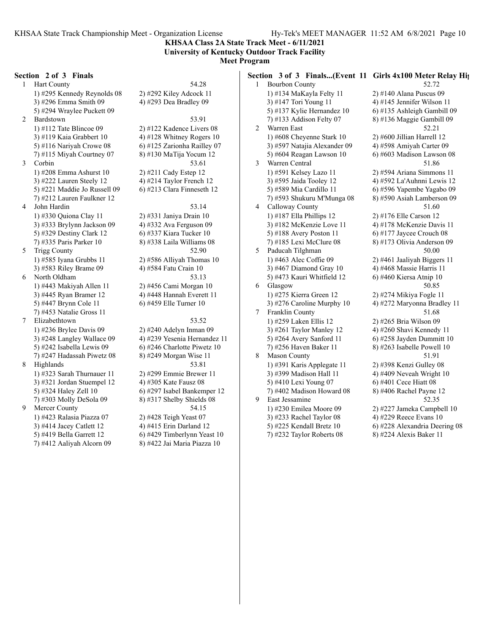**KHSAA Class 2A State Track Meet - 6/11/2021 University of Kentucky Outdoor Track Facility**

**Meet Program**

#### **Section 2 of 3 Finals**

1 Hart County 54.28 1) #295 Kennedy Reynolds 08 2) #292 Kiley Adcock 11 3) #296 Emma Smith 09 4) #293 Dea Bradley 09 5) #294 Wraylee Puckett 09 2 Bardstown 53.91 1) #112 Tate Blincoe 09 2) #122 Kadence Livers 08 3) #119 Kaia Grabbert 10  $\qquad \qquad$  4) #128 Whitney Rogers 10 5) #116 Nariyah Crowe 08 6) #125 Zarionha Railley 07 7) #115 Miyah Courtney 07 8) #130 MaTija Yocum 12 3 Corbin 53.61 1) #208 Emma Ashurst 10 2) #211 Cady Estep 12 3) #222 Lauren Steely 12  $\qquad \qquad$  4) #214 Taylor French 12 5) #221 Maddie Jo Russell 09  $\qquad$  6) #213 Clara Finneseth 12 7) #212 Lauren Faulkner 12 4 John Hardin 53.14 1) #330 Quiona Clay 11 2) #331 Janiya Drain 10 3) #333 Brylynn Jackson 09 4) #332 Ava Ferguson 09 5) #329 Destiny Clark 12 6) #337 Kiara Tucker 10 7) #335 Paris Parker 10 8) #338 Laila Williams 08 5 Trigg County 52.90 1) #585 Iyana Grubbs 11 2) #586 Alliyah Thomas 10 3) #583 Riley Brame 09 4) #584 Fatu Crain 10 6 North Oldham 53.13 1) #443 Makiyah Allen 11 2) #456 Cami Morgan 10 3) #445 Ryan Bramer 12 4) #448 Hannah Everett 11 5) #447 Brynn Cole 11 6) #459 Elle Turner 10 7) #453 Natalie Gross 11 7 Elizabethtown 53.52 1) #236 Brylee Davis 09 2) #240 Adelyn Inman 09 3) #248 Langley Wallace 09 4) #239 Yesenia Hernandez 11 5) #242 Isabella Lewis 09  $\qquad$  6) #246 Charlotte Piwetz 10 7) #247 Hadassah Piwetz 08 8) #249 Morgan Wise 11 8 Highlands 53.81 1) #323 Sarah Thurnauer 11 2) #299 Emmie Brewer 11 3) #321 Jordan Stuempel 12  $\qquad$  4) #305 Kate Fausz 08 5) #324 Haley Zell 10 6) #297 Isabel Bankemper 12 7) #303 Molly DeSola 09 8) #317 Shelby Shields 08 9 Mercer County 54.15 1) #423 Ralasia Piazza 07 2) #428 Teigh Yeast 07 3) #414 Jacey Catlett 12  $\qquad \qquad$  4) #415 Erin Darland 12 5) #419 Bella Garrett 12 6) #429 Timberlynn Yeast 10

- 
- 
- 7) #412 Aaliyah Alcorn 09 8) #422 Jai Maria Piazza 10

**Section 3 of 3 Finals...(Event 11 Girls 4x100 Meter Relay Hig** 1 Bourbon County 52.72 1) #134 MaKayla Felty 11 2) #140 Alana Puscus 09 3) #147 Tori Young 11  $\qquad \qquad$  4) #145 Jennifer Wilson 11 5) #137 Kylie Hernandez 10  $\qquad$  6) #135 Ashleigh Gambill 09 7) #133 Addison Felty 07 8) #136 Maggie Gambill 09 2 Warren East 52.21 1) #608 Cheyenne Stark 10 2) #600 Jillian Harrell 12 3) #597 Natajia Alexander 09  $\qquad$  4) #598 Amiyah Carter 09 5) #604 Reagan Lawson 10 6) #603 Madison Lawson 08 3 Warren Central 51.86 1) #591 Kelsey Lazo 11 2) #594 Ariana Simmons 11 3) #595 Jaida Tooley 12 4) #592 La'Auhnni Lewis 12 5) #589 Mia Cardillo 11 6) #596 Yapembe Yagabo 09 7) #593 Shukuru M'Munga 08 8) #590 Asiah Lamberson 09 4 Calloway County 51.60 1) #187 Ella Phillips 12 2) #176 Elle Carson 12 3) #182 McKenzie Love 11 4) #178 McKenzie Davis 11 5) #188 Avery Poston 11 6) #177 Jaycee Crouch  $08$ 7) #185 Lexi McClure 08 8) #173 Olivia Anderson 09 5 Paducah Tilghman 50.00 1) #463 Alec Coffie 09 2) #461 Jaaliyah Biggers 11 3) #467 Diamond Gray 10  $\qquad$  4) #468 Massie Harris 11 5) #473 Kauri Whitfield 12 6) #460 Kiersa Atnip 10 6 Glasgow 50.85 1) #275 Kierra Green 12 2) #274 Mikiya Fogle 11 3) #276 Caroline Murphy 10  $\qquad$  4) #272 Maryonna Bradley 11 7 Franklin County 51.68 1) #259 Laken Ellis 12 2) #265 Bria Wilson 09 3) #261 Taylor Manley 12  $\qquad \qquad$  4) #260 Shavi Kennedy 11 5) #264 Avery Sanford 11 6) #258 Jayden Dummitt 10 7) #256 Haven Baker 11 8) #263 Isabelle Powell 10 8 Mason County 51.91 1) #391 Karis Applegate 11 2) #398 Kenzi Gulley 08 3)  $\#399$  Madison Hall 11  $\qquad \qquad$  4)  $\#409$  Neveah Wright 10 5) #410 Lexi Young 07 6) #401 Cece Hiatt 08 7) #402 Madison Howard 08  $\hspace{1.6cm}$  8) #406 Rachel Payne 12 9 East Jessamine 52.35 1) #230 Emilea Moore 09 2) #227 Jameka Campbell 10 3) #233 Rachel Taylor 08 4) #229 Reece Evans 10 5) #225 Kendall Bretz 10 6) #228 Alexandria Deering 08 7) #232 Taylor Roberts 08 8) #224 Alexis Baker 11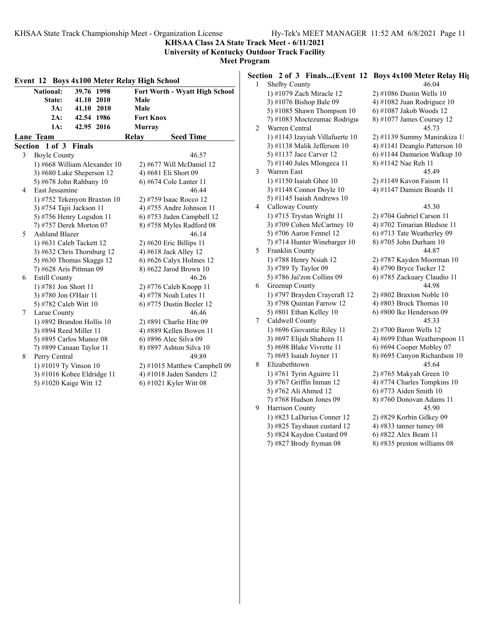**KHSAA Class 2A State Track Meet - 6/11/2021 University of Kentucky Outdoor Track Facility**

**Meet Program**

|                      | National:                | 39.76 1998                   |                           | Fort Worth - Wyatt High School |  |
|----------------------|--------------------------|------------------------------|---------------------------|--------------------------------|--|
| 41.10 2010<br>State: |                          | Male                         |                           |                                |  |
|                      | 3A:                      | 41.10 2010                   | Male                      |                                |  |
|                      | 2A:                      | 42.54 1986                   | <b>Fort Knox</b>          |                                |  |
|                      | 1A:                      | 42.95 2016                   | <b>Murray</b>             |                                |  |
|                      | Lane Team                |                              | Relay                     | <b>Seed Time</b>               |  |
|                      | Section 1 of 3 Finals    |                              |                           |                                |  |
| 3                    | <b>Boyle County</b>      |                              |                           | 46.57                          |  |
|                      |                          | 1) #668 William Alexander 10 |                           | 2) #677 Will McDaniel 12       |  |
|                      |                          | 3) #680 Luke Sheperson 12    |                           | 4) #681 Eli Short 09           |  |
|                      |                          | 5) #678 John Rahbany 10      |                           | 6) #674 Cole Lanter 11         |  |
| 4                    | East Jessamine           |                              |                           | 46.44                          |  |
|                      |                          | 1) #752 Tekenyon Braxton 10  |                           | 2) #759 Isaac Rocco 12         |  |
|                      | 3) #754 Tajii Jackson 11 |                              |                           | 4) #755 Andre Johnson 11       |  |
|                      |                          | 5) #756 Henry Logsdon 11     | 6) #753 Jaden Campbell 12 |                                |  |
|                      |                          | 7) #757 Derek Morton 07      | 8) #758 Myles Radford 08  |                                |  |
| 5                    | <b>Ashland Blazer</b>    |                              | 46.14                     |                                |  |
|                      |                          | 1) #631 Caleb Tackett 12     |                           | $2)$ #620 Eric Billips 11      |  |
|                      |                          | 3) #632 Chris Thornburg 12   |                           | 4) #618 Jack Alley 12          |  |
|                      |                          | 5) #630 Thomas Skaggs 12     |                           | 6) #626 Calyx Holmes $12$      |  |
|                      | 7) #628 Aris Pittman 09  |                              |                           | 8) #622 Jarod Brown 10         |  |
| 6                    | <b>Estill County</b>     |                              |                           | 46.26                          |  |
|                      | 1) #781 Jon Short 11     |                              |                           | 2) #776 Caleb Knopp 11         |  |
|                      | 3) #780 Jon O'Hair 11    |                              |                           | 4) #778 Noah Lutes 11          |  |
|                      | 5) #782 Caleb Witt 10    |                              |                           | 6) #775 Dustin Beeler 12       |  |
| 7                    | Larue County             |                              |                           | 46.46                          |  |
|                      |                          | 1) #892 Brandon Hollis 10    |                           | 2) #891 Charlie Hite 09        |  |
|                      | 3) #894 Reed Miller 11   |                              |                           | 4) #889 Kellen Bowen 11        |  |
|                      |                          | 5) #895 Carlos Munoz 08      |                           | 6) #896 Alec Silva 09          |  |
|                      |                          | 7) #899 Canaan Taylor 11     |                           | 8) #897 Ashton Silva 10        |  |
| 8                    | Perry Central            |                              |                           | 49.89                          |  |
|                      | 1) #1019 Ty Vinson 10    |                              |                           | 2) #1015 Matthew Campbell 09   |  |
|                      |                          | 3) #1016 Kobee Eldridge 11   |                           | 4) #1018 Jaden Sanders 12      |  |
|                      | 5) #1020 Kaige Witt 12   |                              |                           | 6) #1021 Kyler Witt 08         |  |

# **Section 2 of 3 Finals...(Event 12 Boys 4x100 Meter Relay Hig** 1 Shelby County 46.04

|   | 1) #1079 Zach Miracle 12        | 2) #1086 Dustin Wells 10      |
|---|---------------------------------|-------------------------------|
|   | 3) #1076 Bishop Bale 09         | 4) #1082 Juan Rodriguez 10    |
|   | 5) #1085 Shawn Thompson $10$    | 6) #1087 Jakob Woods 12       |
|   | 7) #1083 Moctezumac Rodrigue    | 8) #1077 James Coursey 12     |
| 2 | Warren Central                  | 45.73                         |
|   | 1) #1143 Izayiah Villafuerte 10 | 2) #1139 Summy Manirakiza 11  |
|   | 3) #1138 Malik Jefferson 10     | 4) #1141 Deanglo Patterson 10 |
|   | 5) #1137 Jace Carver 12         | 6) #1144 Damarion Walkup 10   |
|   | 7) #1140 Jules Mlongeca 11      | 8) #1142 Nae Reh 11           |
| 3 | Warren East                     | 45.49                         |
|   | 1) #1150 Isaiah Ghee $10$       | 2) #1149 Kavon Faison 11      |
|   | 3) #1148 Connor Doyle 10        | 4) #1147 Damien Boards 11     |
|   | 5) #1145 Isaiah Andrews 10      |                               |
| 4 | Calloway County                 | 45.30                         |
|   | 1) #715 Trystan Wright 11       | 2) #704 Gabriel Carson 11     |
|   | 3) #709 Cohen McCartney 10      | 4) #702 Timarian Bledsoe 11   |
|   | 5) #706 Aaron Fennel 12         | 6) #713 Tate Weatherley 09    |
|   | 7) #714 Hunter Winebarger 10    | 8) #705 John Durham 10        |
| 5 | Franklin County                 | 44.87                         |
|   | 1) #788 Henry Nsiah 12          | 2) #787 Kayden Moorman 10     |
|   | 3) #789 Ty Taylor 09            | 4) #790 Bryce Tucker 12       |
|   | 5) #786 Jai'zon Collins 09      | 6) #785 Zackuary Claudio 11   |
| 6 | Greenup County                  | 44.98                         |
|   | 1) #797 Brayden Craycraft 12    | 2) #802 Braxton Noble 10      |
|   | 3) #798 Quintan Farrow 12       | 4) #803 Brock Thomas $10$     |
|   | 5) #801 Ethan Kelley 10         | 6) #800 Ike Henderson 09      |
| 7 | Caldwell County                 | 45.33                         |
|   | 1) #696 Giovantie Riley 11      | 2) #700 Baron Wells 12        |
|   | 3) #697 Elijah Shaheen 11       | 4) #699 Ethan Weatherspoon 11 |
|   | 5) #698 Blake Vivrette 11       | 6) #694 Cooper Mobley 07      |
|   | 7) #693 Isaiah Joyner 11        | 8) #695 Canyon Richardson 10  |
| 8 | Elizabethtown                   | 45.64                         |
|   | 1) #761 Tyrin Aguirre 11        | 2) #765 Makyah Green 10       |
|   | 3) #767 Griffin Inman 12        | 4) #774 Charles Tompkins 10   |
|   | 5) #762 Ali Ahmed 12            | 6) #773 Aiden Smith 10        |
|   | 7) #768 Hudson Jones 09         | 8) #760 Donovan Adams 11      |
| 9 | Harrison County                 | 45.90                         |
|   | 1) #823 LaDarius Conner 12      | 2) #829 Korbin Gilkey 09      |
|   | 3) #825 Tayshaun custard 12     | 4) #833 tanner tumey $08$     |
|   | 5) #824 Kaydon Custard 09       | 6) #822 Alex Beam 11          |
|   | 7) #827 Brody fryman 08         | 8) #835 preston williams 08   |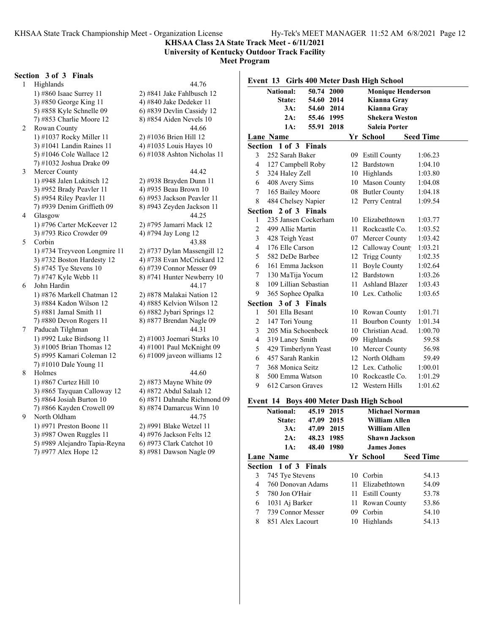**University of Kentucky Outdoor Track Facility**

**Meet Program**

#### **Section 3 of 3 Finals**

1 Highlands 44.76 1) #860 Isaac Surrey 11 2) #841 Jake Fahlbusch 12 3) #850 George King 11  $\qquad \qquad$  4) #840 Jake Dedeker 11 5) #858 Kyle Schnelle 09 6) #839 Devlin Cassidy 12 7) #853 Charlie Moore 12 8) #854 Aiden Nevels 10 2 Rowan County 44.66 1) #1037 Rocky Miller 11 2) #1036 Brien Hill 12 3) #1041 Landin Raines 11  $\qquad$  4) #1035 Louis Hayes 10 5) #1046 Cole Wallace 12 6) #1038 Ashton Nicholas 11 7) #1032 Joshua Drake 09 3 Mercer County 44.42 1) #948 Jalen Lukitsch 12 2) #938 Brayden Dunn 11 3) #952 Brady Peavler 11 4) #935 Beau Brown 10 5) #954 Riley Peavler 11 6) #953 Jackson Peavler 11 7) #939 Denim Griffieth 09 8) #943 Zeyden Jackson 11 4 Glasgow 44.25 1) #796 Carter McKeever 12 2) #795 Jamarri Mack 12 3) #793 Rico Crowder 09 4) #794 Jay Long 12 5 Corbin 43.88 1) #734 Treyveon Longmire 11  $\qquad$  2) #737 Dylan Massengill 12 3) #732 Boston Hardesty 12 4) #738 Evan McCrickard 12 5) #745 Tye Stevens 10 6) #739 Connor Messer 09 7) #747 Kyle Webb 11 8) #741 Hunter Newberry 10 6 John Hardin 44.17 1) #876 Markell Chatman 12 2) #878 Malakai Nation 12 3) #884 Kadon Wilson 12 4) #885 Kelvion Wilson 12 5) #881 Jamal Smith 11 6) #882 Jybari Springs 12 7) #880 Devon Rogers 11 8) #877 Brendan Nagle 09 7 Paducah Tilghman 44.31 1) #992 Luke Birdsong 11 2) #1003 Joemari Starks 10 3) #1005 Brian Thomas 12  $\qquad \qquad$  4) #1001 Paul McKnight 09 5) #995 Kamari Coleman 12 6) #1009 javeon williams 12 7) #1010 Dale Young 11 8 Holmes 44.60 1) #867 Curtez Hill 10 2) #873 Mayne White 09 3) #865 Tayquan Calloway 12 4) #872 Abdul Salaah 12 5) #864 Josiah Burton 10 6) #871 Dahnahe Richmond 09 7) #866 Kayden Crowell 09 8) #874 Damarcus Winn 10 9 North Oldham 44.75 1) #971 Preston Boone 11 2) #991 Blake Wetzel 11 3)  $\#987$  Owen Ruggles 11 4)  $\#976$  Jackson Felts 12 5) #989 Alejandro Tapia-Reyna 6) #973 Clark Catchot 10

7) #977 Alex Hope 12 8) #981 Dawson Nagle 09

| Event 13 Girls 400 Meter Dash High School |                  |                   |                       |      |    |                          |                  |  |
|-------------------------------------------|------------------|-------------------|-----------------------|------|----|--------------------------|------------------|--|
|                                           | <b>National:</b> |                   | 50.74                 | 2000 |    | <b>Monique Henderson</b> |                  |  |
|                                           |                  | State:            | 54.60                 | 2014 |    | Kianna Gray              |                  |  |
|                                           |                  | 3A:               | 54.60 2014            |      |    | Kianna Gray              |                  |  |
|                                           |                  | 2A:               | 55.46 1995            |      |    | <b>Shekera Weston</b>    |                  |  |
|                                           |                  | 1A:               | 55.91 2018            |      |    | <b>Saleia Porter</b>     |                  |  |
|                                           | <b>Lane Name</b> |                   |                       |      |    | Yr School                | <b>Seed Time</b> |  |
| Section                                   |                  | 1 of 3            | <b>Finals</b>         |      |    |                          |                  |  |
| 3                                         |                  | 252 Sarah Baker   |                       |      | 09 | <b>Estill County</b>     | 1:06.23          |  |
| 4                                         |                  |                   | 127 Campbell Roby     |      |    | 12 Bardstown             | 1:04.10          |  |
| 5                                         |                  | 324 Haley Zell    |                       |      |    | 10 Highlands             | 1:03.80          |  |
| 6                                         |                  | 408 Avery Sims    |                       |      |    | 10 Mason County          | 1:04.08          |  |
| 7                                         |                  | 165 Bailey Moore  |                       |      |    | 08 Butler County         | 1:04.18          |  |
| 8                                         |                  |                   | 484 Chelsey Napier    |      |    | 12 Perry Central         | 1:09.54          |  |
|                                           |                  |                   | Section 2 of 3 Finals |      |    |                          |                  |  |
| $\mathbf{1}$                              |                  |                   | 235 Jansen Cockerham  |      |    | 10 Elizabethtown         | 1:03.77          |  |
| $\overline{c}$                            |                  | 499 Allie Martin  |                       |      |    | 11 Rockcastle Co.        | 1:03.52          |  |
| 3                                         |                  | 428 Teigh Yeast   |                       |      |    | 07 Mercer County         | 1:03.42          |  |
| $\overline{4}$                            |                  | 176 Elle Carson   |                       |      |    | 12 Calloway Count        | 1:03.21          |  |
| 5                                         |                  | 582 DeDe Barbee   |                       |      |    | 12 Trigg County          | 1:02.35          |  |
| 6                                         |                  | 161 Emma Jackson  |                       |      |    | 11 Boyle County          | 1:02.64          |  |
| 7                                         |                  | 130 MaTija Yocum  |                       |      |    | 12 Bardstown             | 1:03.26          |  |
| 8                                         |                  |                   | 109 Lillian Sebastian |      |    | 11 Ashland Blazer        | 1:03.43          |  |
| 9                                         |                  |                   | 365 Sophee Opalka     |      |    | 10 Lex. Catholic         | 1:03.65          |  |
| Section                                   |                  |                   | 3 of 3 Finals         |      |    |                          |                  |  |
| 1                                         |                  | 501 Ella Besant   |                       |      |    | 10 Rowan County          | 1:01.71          |  |
| $\overline{c}$                            |                  | 147 Tori Young    |                       |      |    | 11 Bourbon County        | 1:01.34          |  |
| 3                                         |                  |                   | 205 Mia Schoenbeck    |      |    | 10 Christian Acad.       | 1:00.70          |  |
| $\overline{4}$                            |                  | 319 Laney Smith   |                       |      |    | 09 Highlands             | 59.58            |  |
| 5                                         |                  |                   | 429 Timberlynn Yeast  |      |    | 10 Mercer County         | 56.98            |  |
| 6                                         |                  | 457 Sarah Rankin  |                       |      |    | 12 North Oldham          | 59.49            |  |
| 7                                         |                  | 368 Monica Seitz  |                       |      |    | 12 Lex. Catholic         | 1:00.01          |  |
| 8                                         |                  | 500 Emma Watson   |                       |      |    | 10 Rockcastle Co.        | 1:01.29          |  |
| 9                                         |                  | 612 Carson Graves |                       |      |    | 12 Western Hills         | 1:01.62          |  |
|                                           |                  |                   |                       |      |    |                          |                  |  |

#### **Event 14 Boys 400 Meter Dash High School**

|   |                              |            |    | ິ                    |                       |                  |  |
|---|------------------------------|------------|----|----------------------|-----------------------|------------------|--|
|   | <b>National:</b>             | 45.19 2015 |    |                      | <b>Michael Norman</b> |                  |  |
|   | State:                       | 47.09 2015 |    | William Allen        |                       |                  |  |
|   | 3A:                          | 47.09 2015 |    | William Allen        |                       |                  |  |
|   | 2A:                          | 48.23 1985 |    | <b>Shawn Jackson</b> |                       |                  |  |
|   | 1A:                          | 48.40 1980 |    | <b>James Jones</b>   |                       |                  |  |
|   | <b>Lane Name</b>             |            |    | Yr School            |                       | <b>Seed Time</b> |  |
|   | <b>Section 1 of 3 Finals</b> |            |    |                      |                       |                  |  |
| 3 | 745 Tye Stevens              |            |    | 10 Corbin            |                       | 54.13            |  |
| 4 | 760 Donovan Adams            |            |    | 11 Elizabethtown     |                       | 54.09            |  |
| 5 | 780 Jon O'Hair               |            |    | 11 Estill County     |                       | 53.78            |  |
| 6 | 1031 Aj Barker               |            |    | 11 Rowan County      |                       | 53.86            |  |
| 7 | 739 Connor Messer            |            | 09 | Corbin               |                       | 54.10            |  |
| 8 | 851 Alex Lacourt             |            | 10 | Highlands            |                       | 54.13            |  |
|   |                              |            |    |                      |                       |                  |  |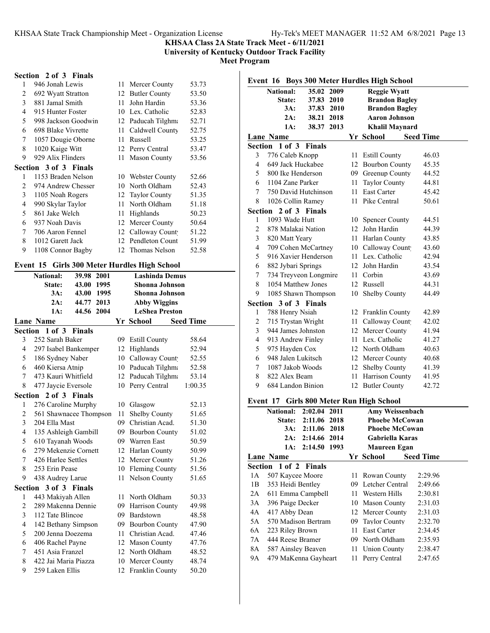**University of Kentucky Outdoor Track Facility**

**Meet Program**

## **Section 2 of 3 Finals**

| 1                        | 946 Jonah Lewis              | 11 | Mercer County        | 53.73 |
|--------------------------|------------------------------|----|----------------------|-------|
| 2                        | 692 Wyatt Stratton           | 12 | <b>Butler County</b> | 53.50 |
| 3                        | 881 Jamal Smith              | 11 | John Hardin          | 53.36 |
| 4                        | 915 Hunter Foster            | 10 | Lex. Catholic        | 52.83 |
| $\overline{\phantom{0}}$ | 998 Jackson Goodwin          | 12 | Paducah Tilghma      | 52.71 |
| 6                        | 698 Blake Vivrette           | 11 | Caldwell County      | 52.75 |
| 7                        | 1057 Dougie Oborne           | 11 | <b>Russell</b>       | 53.25 |
| 8                        | 1020 Kaige Witt              | 12 | Perry Central        | 53.47 |
| 9                        | 929 Alix Flinders            | 11 | <b>Mason County</b>  | 53.56 |
|                          | <b>Section 3 of 3 Finals</b> |    |                      |       |
| 1                        | 1153 Braden Nelson           | 10 | Webster County       | 52.66 |
| $\mathfrak{D}$           | 974 Andrew Chesser           | 10 | North Oldham         | 52.43 |
| 3                        | 1105 Noah Rogers             | 12 | Taylor County        | 51.35 |
| 4                        | 990 Skylar Taylor            | 11 | North Oldham         | 51.18 |
| 5                        | 861 Jake Welch               | 11 | Highlands            | 50.23 |
| 6                        | 937 Noah Davis               | 12 | Mercer County        | 50.64 |
| 7                        | 706 Aaron Fennel             | 12 | Calloway Count       | 51.22 |
| 8                        | 1012 Garett Jack             | 12 | Pendleton Count      | 51.99 |
| 9                        | 1108 Connor Bagby            |    | 12 Thomas Nelson     | 52.58 |
|                          |                              |    |                      |       |

# **Event 15 Girls 300 Meter Hurdles High School**

|                | <b>National:</b><br>39.98<br>2001<br><b>Lashinda Demus</b> |                        |                |                       |                  |  |  |
|----------------|------------------------------------------------------------|------------------------|----------------|-----------------------|------------------|--|--|
|                | 43.00 1995<br>State:                                       |                        |                | Shonna Johnson        |                  |  |  |
|                | 3A:                                                        | 43.00 1995             | Shonna Johnson |                       |                  |  |  |
|                | 2A:                                                        | 44.77 2013             |                | <b>Abby Wiggins</b>   |                  |  |  |
|                | 1A:                                                        | 44.56 2004             |                | <b>LeShea Preston</b> |                  |  |  |
|                | <b>Lane Name</b>                                           |                        |                | Yr School             | <b>Seed Time</b> |  |  |
|                | Section 1 of 3 Finals                                      |                        |                |                       |                  |  |  |
| 3              | 252 Sarah Baker                                            |                        |                | 09 Estill County      | 58.64            |  |  |
| $\overline{4}$ | 297 Isabel Bankemper                                       |                        | 12             | Highlands             | 52.94            |  |  |
| 5              | 186 Sydney Naber                                           |                        | 10             | Calloway Count        | 52.55            |  |  |
| 6              | 460 Kiersa Atnip                                           |                        |                | 10 Paducah Tilghma    | 52.58            |  |  |
| 7              | 473 Kauri Whitfield                                        |                        |                | 12 Paducah Tilghma    | 53.14            |  |  |
| 8              | 477 Jaycie Eversole                                        |                        | 10             | Perry Central         | 1:00.35          |  |  |
|                | Section 2 of 3 Finals                                      |                        |                |                       |                  |  |  |
| 1              | 276 Caroline Murphy                                        |                        | 10             | Glasgow               | 52.13            |  |  |
| $\overline{c}$ |                                                            | 561 Shawnacee Thompson | 11             | Shelby County         | 51.65            |  |  |
| 3              | 204 Ella Mast                                              |                        | 09             | Christian Acad.       | 51.30            |  |  |
| $\overline{4}$ | 135 Ashleigh Gambill                                       |                        |                | 09 Bourbon County     | 51.02            |  |  |
| 5              | 610 Tayanah Woods                                          |                        |                | 09 Warren East        | 50.59            |  |  |
| 6              | 279 Mekenzie Cornett                                       |                        |                | 12 Harlan County      | 50.99            |  |  |
| 7              | 426 Harlee Settles                                         |                        | 12             | Mercer County         | 51.26            |  |  |
| 8              | 253 Erin Pease                                             |                        | 10             | <b>Fleming County</b> | 51.56            |  |  |
| 9              | 438 Audrey Larue                                           |                        | 11             | Nelson County         | 51.65            |  |  |
|                | Section 3 of 3 Finals                                      |                        |                |                       |                  |  |  |
| 1              | 443 Makiyah Allen                                          |                        | 11.            | North Oldham          | 50.33            |  |  |
| $\overline{c}$ | 289 Makenna Dennie                                         |                        | 09             | Harrison County       | 49.98            |  |  |
| 3              | 112 Tate Blincoe                                           |                        |                | 09 Bardstown          | 48.58            |  |  |
| $\overline{4}$ | 142 Bethany Simpson                                        |                        |                | 09 Bourbon County     | 47.90            |  |  |
| 5              | 200 Jenna Doezema                                          |                        | 11             | Christian Acad.       | 47.46            |  |  |
| 6              | 406 Rachel Payne                                           |                        | 12             | <b>Mason County</b>   | 47.76            |  |  |
| 7              | 451 Asia Franzel                                           |                        |                | 12 North Oldham       | 48.52            |  |  |
| 8              | 422 Jai Maria Piazza                                       |                        |                | 10 Mercer County      | 48.74            |  |  |
| 9              | 259 Laken Ellis                                            |                        | 12             | Franklin County       | 50.20            |  |  |

|                                                   | Event 16 Boys 300 Meter Hurdles High School              |                                          |      |                        |       |  |  |  |  |
|---------------------------------------------------|----------------------------------------------------------|------------------------------------------|------|------------------------|-------|--|--|--|--|
|                                                   | 35.02<br><b>National:</b><br>2009<br><b>Reggie Wyatt</b> |                                          |      |                        |       |  |  |  |  |
|                                                   | State:                                                   | 2010<br>37.83                            |      | <b>Brandon Bagley</b>  |       |  |  |  |  |
|                                                   | <b>Brandon Bagley</b><br>3A:<br>37.83<br>2010            |                                          |      |                        |       |  |  |  |  |
|                                                   | 2A:                                                      | 2018<br>38.21                            |      | <b>Aaron Johnson</b>   |       |  |  |  |  |
|                                                   | 1A:<br>38.37<br>2013<br><b>Khalil Maynard</b>            |                                          |      |                        |       |  |  |  |  |
| Yr School<br><b>Lane Name</b><br><b>Seed Time</b> |                                                          |                                          |      |                        |       |  |  |  |  |
| Section                                           | 1 of 3                                                   | <b>Finals</b>                            |      |                        |       |  |  |  |  |
| 3                                                 | 776 Caleb Knopp                                          |                                          | 11   | <b>Estill County</b>   | 46.03 |  |  |  |  |
| $\overline{\mathcal{L}}$                          | 649 Jack Huckabee                                        |                                          |      | 12 Bourbon County      | 45.35 |  |  |  |  |
| 5                                                 | 800 Ike Henderson                                        |                                          |      | 09 Greenup County      | 44.52 |  |  |  |  |
| 6                                                 | 1104 Zane Parker                                         |                                          | 11.  | <b>Taylor County</b>   | 44.81 |  |  |  |  |
| 7                                                 | 750 David Hutchinson                                     |                                          | 11   | East Carter            | 45.42 |  |  |  |  |
| 8                                                 | 1026 Collin Ramey                                        |                                          | 11.  | Pike Central           | 50.61 |  |  |  |  |
|                                                   | Section 2 of 3 Finals                                    |                                          |      |                        |       |  |  |  |  |
| 1                                                 | 1093 Wade Hutt                                           |                                          | 10   | <b>Spencer County</b>  | 44.51 |  |  |  |  |
| $\overline{c}$                                    | 878 Malakai Nation                                       |                                          | 12   | John Hardin            | 44.39 |  |  |  |  |
| 3                                                 | 820 Matt Yeary                                           |                                          | 11.  | Harlan County          | 43.85 |  |  |  |  |
| $\overline{\mathcal{L}}$                          | 709 Cohen McCartney                                      |                                          |      | 10 Calloway Count      | 43.60 |  |  |  |  |
| 5                                                 | 916 Xavier Henderson                                     |                                          |      | 11 Lex. Catholic       | 42.94 |  |  |  |  |
| 6                                                 | 882 Jybari Springs                                       |                                          |      | 12 John Hardin         | 43.54 |  |  |  |  |
| 7                                                 |                                                          | 734 Treyveon Longmire                    |      | 11 Corbin<br>43.69     |       |  |  |  |  |
| 8                                                 | 1054 Matthew Jones                                       |                                          |      | 12 Russell             | 44.31 |  |  |  |  |
| 9                                                 | 1085 Shawn Thompson                                      |                                          | 10   | Shelby County          | 44.49 |  |  |  |  |
|                                                   | Section 3 of 3 Finals                                    |                                          |      |                        |       |  |  |  |  |
| 1                                                 | 788 Henry Nsiah                                          |                                          |      | 12 Franklin County     | 42.89 |  |  |  |  |
| $\overline{c}$                                    | 715 Trystan Wright                                       |                                          | 11 - | Calloway Count         | 42.02 |  |  |  |  |
| 3                                                 | 944 James Johnston                                       |                                          |      | 12 Mercer County       | 41.94 |  |  |  |  |
| 4                                                 | 913 Andrew Finley                                        |                                          |      | 11 Lex. Catholic       | 41.27 |  |  |  |  |
| 5                                                 | 975 Hayden Cox                                           |                                          |      | 12 North Oldham        | 40.63 |  |  |  |  |
| 6                                                 | 948 Jalen Lukitsch                                       |                                          |      | 12 Mercer County       | 40.68 |  |  |  |  |
| 7                                                 | 1087 Jakob Woods                                         |                                          |      | 12 Shelby County       | 41.39 |  |  |  |  |
| 8                                                 | 822 Alex Beam                                            |                                          |      | 11 Harrison County     | 41.95 |  |  |  |  |
| 9                                                 | 684 Landon Binion                                        |                                          |      | 12 Butler County       | 42.72 |  |  |  |  |
|                                                   |                                                          | Event 17 Girls 800 Meter Run High School |      |                        |       |  |  |  |  |
|                                                   | <b>National:</b>                                         | 2:02.04 2011                             |      | <b>Amy Weissenbach</b> |       |  |  |  |  |
|                                                   | State:                                                   | 2018<br>2:11.06                          |      | Phoebe McCowan         |       |  |  |  |  |

|    | <b>National:</b>      | 2:02.04 2011     |     | <b>Amy Weissenbach</b> |                  |
|----|-----------------------|------------------|-----|------------------------|------------------|
|    | <b>State:</b>         | 2:11.06 2018     |     | <b>Phoebe McCowan</b>  |                  |
|    | 3A:                   | 2:11.06 2018     |     | <b>Phoebe McCowan</b>  |                  |
|    | 2A:                   | 2:14.66 2014     |     | Gabriella Karas        |                  |
|    |                       | 1A: 2:14.50 1993 |     | Maureen Egan           |                  |
|    | Lane Name             |                  |     | Yr School              | <b>Seed Time</b> |
|    | Section 1 of 2 Finals |                  |     |                        |                  |
| 1A | 507 Kaycee Moore      |                  |     | 11 Rowan County        | 2:29.96          |
| 1B | 353 Heidi Bentley     |                  |     | 09 Letcher Central     | 2:49.66          |
| 2A | 611 Emma Campbell     |                  |     | 11 Western Hills       | 2:30.81          |
| 3A | 396 Paige Decker      |                  |     | 10 Mason County        | 2:31.03          |
| 4A | 417 Abby Dean         |                  |     | 12 Mercer County       | 2:31.03          |
| 5A | 570 Madison Bertram   |                  |     | 09 Taylor County       | 2:32.70          |
| 6A | 223 Riley Brown       |                  | 11. | East Carter            | 2:34.45          |
| 7A | 444 Reese Bramer      |                  |     | 09 North Oldham        | 2:35.93          |
| 8A | 587 Ainsley Beaven    |                  |     | 11 Union County        | 2:38.47          |
| 9А | 479 MaKenna Gayheart  |                  |     | 11 Perry Central       | 2:47.65          |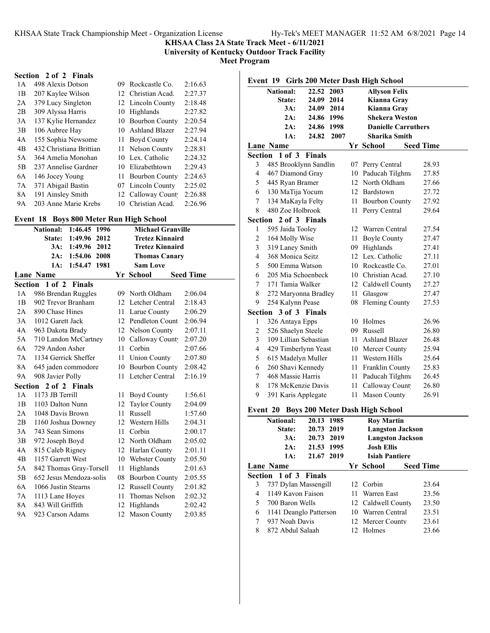**University of Kentucky Outdoor Track Facility**

**Meet Program**

## **Section 2 of 2 Finals**

| 1 A            | 498 Alexis Dotson       | 09. | Rockcastle Co.        | 2:16.63 |
|----------------|-------------------------|-----|-----------------------|---------|
| 1B             | 207 Kaylee Wilson       |     | 12 Christian Acad.    | 2:27.37 |
| 2A             | 379 Lucy Singleton      |     | 12 Lincoln County     | 2:18.48 |
| 2B             | 309 Alyssa Harris       | 10  | Highlands             | 2:27.82 |
| 3A             | 137 Kylie Hernandez     | 10  | <b>Bourbon County</b> | 2:20.54 |
| 3B             | 106 Aubree Hay          |     | 10 Ashland Blazer     | 2:27.94 |
| 4A             | 155 Sophia Newsome      | 11  | <b>Boyd County</b>    | 2:24.14 |
| 4 <sub>B</sub> | 432 Christiana Brittian |     | 11 Nelson County      | 2:28.81 |
| 5A             | 364 Amelia Monohan      |     | 10 Lex. Catholic      | 2:24.32 |
| 5B             | 237 Annelise Gardner    |     | 10 Elizabethtown      | 2:29.43 |
| 6A             | 146 Jocey Young         | 11. | <b>Bourbon County</b> | 2:24.63 |
| 7A             | 371 Abigail Bastin      |     | 07 Lincoln County     | 2:25.02 |
| 8A             | 191 Ainsley Smith       |     | 12 Calloway Count     | 2:26.88 |
| 9А             | 203 Anne Marie Krebs    | 10  | Christian Acad.       | 2:26.96 |

## **Event 18 Boys 800 Meter Run High School**

|               | 1:46.45 1996<br><b>National:</b> |    | <b>Michael Granville</b> |                  |
|---------------|----------------------------------|----|--------------------------|------------------|
|               | 1:49.96 2012<br>State:           |    | <b>Tretez Kinnaird</b>   |                  |
|               | 3A:<br>1:49.96 2012              |    | <b>Tretez Kinnaird</b>   |                  |
|               | 2A:<br>1:54.06<br>2008           |    | <b>Thomas Canary</b>     |                  |
|               | 1:54.47<br>1981<br>1A:           |    | <b>Sam Love</b>          |                  |
|               | <b>Lane Name</b>                 |    | Yr School                | <b>Seed Time</b> |
| Section       | $1$ of $2$<br><b>Finals</b>      |    |                          |                  |
| 1A            | 986 Brendan Ruggles              |    | 09 North Oldham          | 2:06.04          |
| $1\mathrm{B}$ | 902 Trevor Branham               |    | 12 Letcher Central       | 2:18.43          |
| 2A            | 890 Chase Hines                  | 11 | Larue County             | 2:06.29          |
| 3A            | 1012 Garett Jack                 |    | 12 Pendleton Count       | 2:06.94          |
| 4A            | 963 Dakota Brady                 |    | 12 Nelson County         | 2:07.11          |
| 5A            | 710 Landon McCartney             |    | 10 Calloway Count        | 2:07.20          |
| 6A            | 729 Andon Asher                  | 11 | Corbin                   | 2:07.66          |
| 7A            | 1134 Gerrick Sheffer             |    | 11 Union County          | 2:07.80          |
| 8A            | 645 jaden commodore              |    | 10 Bourbon County        | 2:08.42          |
| 9Α            | 908 Javier Polly                 | 11 | Letcher Central          | 2:16.19          |
| Section       | 2 of 2 Finals                    |    |                          |                  |
| 1A            | 1173 JB Terrill                  | 11 | <b>Boyd County</b>       | 1:56.61          |
| 1B            | 1103 Dalton Nunn                 | 12 | <b>Taylor County</b>     | 2:04.09          |
| 2A            | 1048 Davis Brown                 | 11 | Russell                  | 1:57.60          |
| 2B            | 1160 Joshua Downey               |    | 12 Western Hills         | 2:04.31          |
| 3A            | 743 Sean Simons                  | 11 | Corbin                   | 2:00.17          |
| 3B            | 972 Joseph Boyd                  |    | 12 North Oldham          | 2:05.02          |
| 4A            | 815 Caleb Rigney                 |    | 12 Harlan County         | 2:01.11          |
| 4B            | 1157 Garrett West                |    | 10 Webster County        | 2:05.50          |
| 5A            | 842 Thomas Gray-Torsell          | 11 | Highlands                | 2:01.63          |
| 5B            | 652 Jesus Mendoza-solis          |    | 08 Bourbon County        | 2:05.55          |
| 6A            | 1066 Justin Stearns              |    | 12 Russell County        | 2:01.82          |
| 7A            | 1113 Lane Hoyes                  | 11 | Thomas Nelson            | 2:02.32          |
| 8A            | 843 Will Griffith                |    | 12 Highlands             | 2:02.42          |
| <b>9A</b>     | 923 Carson Adams                 | 12 | <b>Mason County</b>      | 2:03.85          |

|                | <b>National:</b>      | 22.52         | 2003 |    | <b>Allyson Felix</b>                   |                  |
|----------------|-----------------------|---------------|------|----|----------------------------------------|------------------|
|                | State:                | 24.09 2014    |      |    | Kianna Gray                            |                  |
|                | 3A:                   | 24.09 2014    |      |    | Kianna Gray                            |                  |
|                | 2A:                   | 24.86 1996    |      |    | <b>Shekera Weston</b>                  |                  |
|                | 2A:                   | 24.86 1998    |      |    | <b>Danielle Carruthers</b>             |                  |
|                | $1A$ :                | 24.82         | 2007 |    | <b>Sharika Smith</b>                   |                  |
|                | <b>Lane Name</b>      |               |      |    | Yr School                              | <b>Seed Time</b> |
|                | Section 1 of 3        | <b>Finals</b> |      |    |                                        |                  |
| 3              | 485 Brooklynn Sandlin |               |      |    | 07 Perry Central                       | 28.93            |
| 4              | 467 Diamond Gray      |               |      |    | 10 Paducah Tilghma                     | 27.85            |
| 5              | 445 Ryan Bramer       |               |      |    | 12 North Oldham                        | 27.66            |
| 6              | 130 MaTija Yocum      |               |      |    | 12 Bardstown                           | 27.72            |
| 7              | 134 MaKayla Felty     |               |      |    | 11 Bourbon County                      | 27.92            |
| 8              | 480 Zoe Holbrook      |               |      |    | 11 Perry Central                       | 29.64            |
| Section        | 2 of 3 Finals         |               |      |    |                                        |                  |
| 1              | 595 Jaida Tooley      |               |      |    | 12 Warren Central                      | 27.54            |
| 2              | 164 Molly Wise        |               |      |    | 11 Boyle County                        | 27.47            |
| 3              | 319 Laney Smith       |               |      |    | 09 Highlands                           | 27.41            |
| $\overline{4}$ | 368 Monica Seitz      |               |      |    | 12 Lex. Catholic                       | 27.11            |
| 5              | 500 Emma Watson       |               |      |    | 10 Rockcastle Co.                      | 27.01            |
| 6              | 205 Mia Schoenbeck    |               |      |    | 10 Christian Acad.                     | 27.10            |
| 7              | 171 Tamia Walker      |               |      |    | 12 Caldwell County                     | 27.27            |
| 8              | 272 Maryonna Bradley  |               |      |    | 11 Glasgow                             | 27.47            |
| 9              | 254 Kalynn Pease      |               |      |    | 08 Fleming County                      | 27.53            |
| Section        | 3 of 3 Finals         |               |      |    |                                        |                  |
| 1              | 326 Antaya Epps       |               |      |    | 10 Holmes                              | 26.96            |
| 2              | 526 Shaelyn Steele    |               |      |    | 09 Russell                             | 26.80            |
| 3              | 109 Lillian Sebastian |               |      |    | 11 Ashland Blazer                      | 26.48            |
| 4              | 429 Timberlynn Yeast  |               |      |    | 10 Mercer County                       | 25.94            |
| 5              | 615 Madelyn Muller    |               |      |    | 11 Western Hills                       | 25.64            |
| 6              | 260 Shavi Kennedy     |               |      |    | 11 Franklin County                     | 25.83            |
| 7              | 468 Massie Harris     |               |      |    | 11 Paducah Tilghma                     | 26.45            |
| 8              | 178 McKenzie Davis    |               |      |    | 11 Calloway Count                      | 26.80            |
| 9              | 391 Karis Applegate   |               |      | 11 | Mason County                           | 26.91            |
| Event 20       |                       |               |      |    | <b>Boys 200 Meter Dash High School</b> |                  |
|                | <b>National:</b>      | 20.13         | 1985 |    | <b>Roy Martin</b>                      |                  |

|   | <b>National:</b>       | 20.13 1985 | <b>Roy Martin</b>       |                  |  |
|---|------------------------|------------|-------------------------|------------------|--|
|   | State:                 | 20.73 2019 | <b>Langston Jackson</b> |                  |  |
|   | 3A:                    | 20.73 2019 | <b>Langston Jackson</b> |                  |  |
|   | 2A:                    | 21.53 1995 | <b>Josh Ellis</b>       |                  |  |
|   | 1A:                    | 21.67 2019 | <b>Isiah Pantiere</b>   |                  |  |
|   | <b>Lane Name</b>       |            | Yr School               | <b>Seed Time</b> |  |
|   | Section 1 of 3 Finals  |            |                         |                  |  |
| 3 | 737 Dylan Massengill   |            | 12 Corbin               | 23.64            |  |
| 4 | 1149 Kavon Faison      |            | 11 Warren East          | 23.56            |  |
| 5 | 700 Baron Wells        |            | 12 Caldwell County      | 23.50            |  |
| 6 | 1141 Deanglo Patterson |            | 10 Warren Central       | 23.51            |  |
| 7 | 937 Noah Davis         |            | 12 Mercer County        | 23.61            |  |
| 8 | 872 Abdul Salaah       |            | 12 Holmes               | 23.66            |  |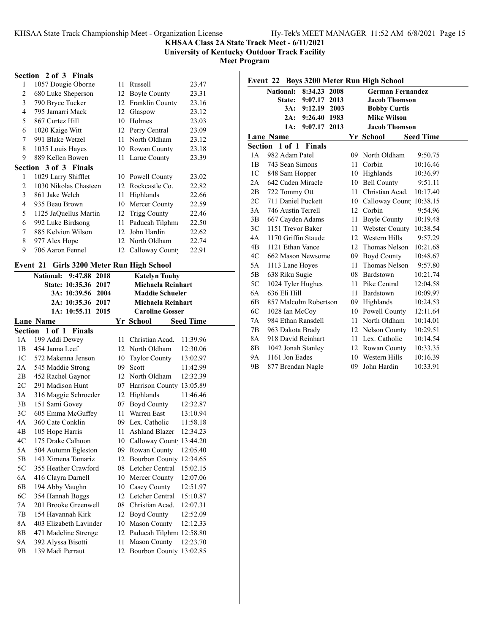**University of Kentucky Outdoor Track Facility**

**Meet Program**

## **Section 2 of 3 Finals**

| 1                        | 1057 Dougie Oborne           |     | 11 Russell             | 23.47 |
|--------------------------|------------------------------|-----|------------------------|-------|
| 2                        | 680 Luke Sheperson           | 12  | <b>Boyle County</b>    | 23.31 |
| 3                        | 790 Bryce Tucker             | 12  | <b>Franklin County</b> | 23.16 |
| 4                        | 795 Jamarri Mack             | 12  | Glasgow                | 23.12 |
| $\overline{\phantom{0}}$ | 867 Curtez Hill              | 10  | Holmes                 | 23.03 |
| 6                        | 1020 Kaige Witt              |     | 12 Perry Central       | 23.09 |
| 7                        | 991 Blake Wetzel             | 11  | North Oldham           | 23.12 |
| 8                        | 1035 Louis Hayes             | 10  | Rowan County           | 23.18 |
| 9                        | 889 Kellen Bowen             | 11  | Larue County           | 23.39 |
|                          | <b>Section 3 of 3 Finals</b> |     |                        |       |
| 1                        | 1029 Larry Shifflet          |     | 10 Powell County       | 23.02 |
| 2                        | 1030 Nikolas Chasteen        | 12  | Rockcastle Co.         | 22.82 |
| 3                        | 861 Jake Welch               | 11  | Highlands              | 22.66 |
| 4                        | 935 Beau Brown               | 10  | Mercer County          | 22.59 |
| 5                        | 1125 JaQuellus Martin        | 12  | Trigg County           | 22.46 |
| 6                        | 992 Luke Birdsong            | 11  | Paducah Tilghma        | 22.50 |
| 7                        | 885 Kelvion Wilson           | 12  | John Hardin            | 22.62 |
| 8                        | 977 Alex Hope                | 12. | North Oldham           | 22.74 |
| 9                        | 706 Aaron Fennel             |     | 12 Calloway Count      | 22.91 |
|                          |                              |     |                        |       |

# **Event 21 Girls 3200 Meter Run High School**

|                | <b>National:</b><br>9:47.88<br>2018 |    | <b>Katelyn Touhy</b>        |                  |
|----------------|-------------------------------------|----|-----------------------------|------------------|
|                | <b>State: 10:35.36</b><br>2017      |    | Michaela Reinhart           |                  |
|                | 3A: 10:39.56<br>2004                |    | <b>Maddie Schueler</b>      |                  |
|                | 2A: 10:35.36 2017                   |    | Michaela Reinhart           |                  |
|                | 1A: 10:55.11<br>2015                |    | <b>Caroline Gosser</b>      |                  |
|                | <b>Lane Name</b>                    |    | Yr School                   | <b>Seed Time</b> |
|                | Section 1 of 1 Finals               |    |                             |                  |
| 1A             | 199 Addi Dewey                      | 11 | Christian Acad.             | 11:39.96         |
| 1B             | 454 Janna Leef                      | 12 | North Oldham                | 12:30.06         |
| 1 <sup>C</sup> | 572 Makenna Jenson                  | 10 | <b>Taylor County</b>        | 13:02.97         |
| 2A             | 545 Maddie Strong                   | 09 | Scott                       | 11:42.99         |
| 2B             | 452 Rachel Gaynor                   |    | 12 North Oldham             | 12:32.39         |
| 2C             | 291 Madison Hunt                    |    | 07 Harrison County 13:05.89 |                  |
| 3A             | 316 Maggie Schroeder                |    | 12 Highlands                | 11:46.46         |
| 3B             | 151 Sami Govey                      | 07 | Boyd County                 | 12:32.87         |
| 3C             | 605 Emma McGuffey                   | 11 | Warren East                 | 13:10.94         |
| 4A             | 360 Cate Conklin                    |    | 09 Lex. Catholic            | 11:58.18         |
| 4B             | 105 Hope Harris                     |    | 11 Ashland Blazer           | 12:34.23         |
| 4C             | 175 Drake Calhoon                   |    | 10 Calloway Count           | 13:44.20         |
| 5A             | 504 Autumn Egleston                 |    | 09 Rowan County             | 12:05.40         |
| 5B             | 143 Ximena Tamariz                  |    | 12 Bourbon County 12:34.65  |                  |
| 5C             | 355 Heather Crawford                |    | 08 Letcher Central          | 15:02.15         |
| 6A             | 416 Clayra Darnell                  | 10 | Mercer County               | 12:07.06         |
| 6B             | 194 Abby Vaughn                     | 10 | Casey County                | 12:51.97         |
| 6C             | 354 Hannah Boggs                    | 12 | Letcher Central             | 15:10.87         |
| 7A             | 201 Brooke Greenwell                |    | 08 Christian Acad.          | 12:07.31         |
| 7B             | 154 Havannah Kirk                   | 12 | <b>Boyd County</b>          | 12:52.09         |
| 8A             | 403 Elizabeth Lavinder              | 10 | <b>Mason County</b>         | 12:12.33         |
| 8B             | 471 Madeline Strenge                |    | 12 Paducah Tilghm: 12:58.80 |                  |
| 9Α             | 392 Alyssa Bisotti                  | 11 | <b>Mason County</b>         | 12:23.70         |
| 9 <sub>B</sub> | 139 Madi Perraut                    | 12 | Bourbon County 13:02.85     |                  |
|                |                                     |    |                             |                  |

|                |                       |                       |      |     | Event 22 Boys 3200 Meter Run High School |                  |
|----------------|-----------------------|-----------------------|------|-----|------------------------------------------|------------------|
|                | <b>National:</b>      | 8:34.23               | 2008 |     | <b>German Fernandez</b>                  |                  |
|                |                       | <b>State: 9:07.17</b> | 2013 |     | <b>Jacob Thomson</b>                     |                  |
|                |                       | 3A: 9:12.19           | 2003 |     | <b>Bobby Curtis</b>                      |                  |
|                | 2A:                   | 9:26.40 1983          |      |     | <b>Mike Wilson</b>                       |                  |
|                | 1A:                   | 9:07.17               | 2013 |     | <b>Jacob Thomson</b>                     |                  |
|                | Lane Name             |                       |      |     | Yr School                                | <b>Seed Time</b> |
| Section        |                       | 1 of 1 Finals         |      |     |                                          |                  |
| 1 A            | 982 Adam Patel        |                       |      | 09. | North Oldham                             | 9:50.75          |
| 1B             | 743 Sean Simons       |                       |      | 11  | Corbin                                   | 10:16.46         |
| 1C             | 848 Sam Hopper        |                       |      | 10  | Highlands                                | 10:36.97         |
| 2A             | 642 Caden Miracle     |                       |      | 10  | <b>Bell County</b>                       | 9:51.11          |
| 2B             | 722 Tommy Ott         |                       |      | 11  | Christian Acad.                          | 10:17.40         |
| 2C             | 711 Daniel Puckett    |                       |      | 10  | Calloway Count 10:38.15                  |                  |
| 3A             | 746 Austin Terrell    |                       |      | 12  | Corbin                                   | 9:54.96          |
| 3B             | 667 Cayden Adams      |                       |      | 11  | <b>Boyle County</b>                      | 10:19.48         |
| 3C             | 1151 Trevor Baker     |                       |      | 11  | <b>Webster County</b>                    | 10:38.54         |
| 4A             | 1170 Griffin Staude   |                       |      | 12  | Western Hills                            | 9:57.29          |
| 4B             | 1121 Ethan Vance      |                       |      | 12  | Thomas Nelson                            | 10:21.68         |
| 4C             | 662 Mason Newsome     |                       |      | 09  | Boyd County                              | 10:48.67         |
| 5A             | 1113 Lane Hoyes       |                       |      | 11  | Thomas Nelson                            | 9:57.80          |
| 5B             | 638 Riku Sugie        |                       |      | 08  | Bardstown                                | 10:21.74         |
| 5C             | 1024 Tyler Hughes     |                       |      | 11  | Pike Central                             | 12:04.58         |
| 6A             | 636 Eli Hill          |                       |      | 11  | Bardstown                                | 10:09.97         |
| 6B             | 857 Malcolm Robertson |                       |      | 09  | Highlands                                | 10:24.53         |
| 6C             | 1028 Ian McCoy        |                       |      |     | 10 Powell County                         | 12:11.64         |
| 7A             | 984 Ethan Ransdell    |                       |      | 11  | North Oldham                             | 10:14.01         |
| 7B             | 963 Dakota Brady      |                       |      |     | 12 Nelson County                         | 10:29.51         |
| 8A             | 918 David Reinhart    |                       |      | 11  | Lex. Catholic                            | 10:14.54         |
| 8B             | 1042 Jonah Stanley    |                       |      | 12  | Rowan County                             | 10:33.35         |
| 9Α             | 1161 Jon Eades        |                       |      | 10  | Western Hills                            | 10:16.39         |
| 9 <sub>B</sub> | 877 Brendan Nagle     |                       |      | 09  | John Hardin                              | 10:33.91         |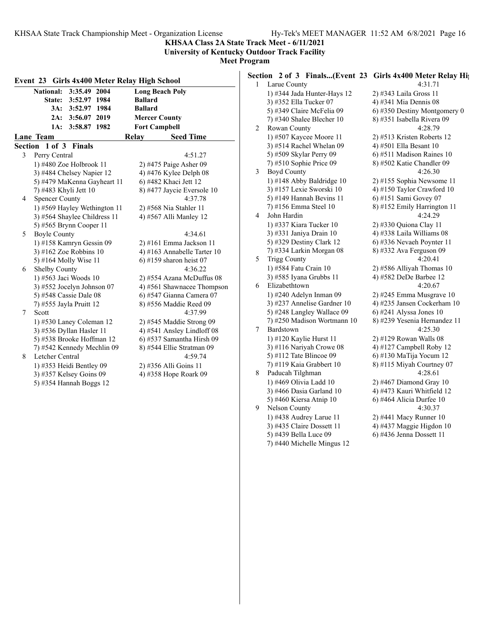**KHSAA Class 2A State Track Meet - 6/11/2021**

**University of Kentucky Outdoor Track Facility Meet Program**

|   | Event 23 Girls 4x400 Meter Relay High School |                             |
|---|----------------------------------------------|-----------------------------|
|   | <b>National:</b><br>3:35.49 2004             | <b>Long Beach Poly</b>      |
|   | State: 3:52.97 1984                          | <b>Ballard</b>              |
|   | 3A: 3:52.97 1984                             | <b>Ballard</b>              |
|   | 3:56.07 2019<br>2A:                          | <b>Mercer County</b>        |
|   | 1A:<br>3:58.87 1982                          | <b>Fort Campbell</b>        |
|   | <b>Lane Team</b>                             | <b>Seed Time</b><br>Relay   |
|   | Section 1 of 3 Finals                        |                             |
| 3 | Perry Central                                | 4:51.27                     |
|   | 1) #480 Zoe Holbrook 11                      | 2) #475 Paige Asher 09      |
|   | 3) #484 Chelsey Napier 12                    | 4) #476 Kylee Delph 08      |
|   | 5) #479 MaKenna Gayheart 11                  | 6) #482 Khaci Jett 12       |
|   | 7) #483 Khyli Jett 10                        | 8) #477 Jaycie Eversole 10  |
| 4 | <b>Spencer County</b>                        | 4:37.78                     |
|   | 1) #569 Hayley Wethington 11                 | 2) #568 Nia Stahler 11      |
|   | 3) #564 Shaylee Childress 11                 | 4) #567 Alli Manley 12      |
|   | 5) #565 Brynn Cooper 11                      |                             |
| 5 | <b>Boyle County</b>                          | 4:34.61                     |
|   | 1) #158 Kamryn Gessin 09                     | $2)$ #161 Emma Jackson 11   |
|   | 3) #162 Zoe Robbins $10$                     | 4) #163 Annabelle Tarter 10 |
|   | 5) #164 Molly Wise 11                        | 6) #159 sharon heist 07     |
| 6 | <b>Shelby County</b>                         | 4:36.22                     |
|   | 1) #563 Jaci Woods 10                        | 2) #554 Azana McDuffus 08   |
|   | 3) #552 Jocelyn Johnson 07                   | 4) #561 Shawnacee Thompson  |
|   | 5) #548 Cassie Dale 08                       | 6) #547 Gianna Camera 07    |
|   | 7) #555 Jayla Pruitt 12                      | 8) #556 Maddie Reed 09      |
| 7 | Scott                                        | 4:37.99                     |
|   | 1) #530 Laney Coleman 12                     | $2)$ #545 Maddie Strong 09  |
|   | 3) #536 Dyllan Hasler 11                     | 4) #541 Ansley Lindloff 08  |
|   | 5) #538 Brooke Hoffman 12                    | 6) #537 Samantha Hirsh 09   |
|   | 7) #542 Kennedy Mechlin 09                   | 8) #544 Ellie Stratman 09   |
| 8 | Letcher Central                              | 4:59.74                     |
|   | 1) #353 Heidi Bentley 09                     | 2) #356 Alli Goins 11       |
|   | 3) #357 Kelsey Goins 09                      | 4) #358 Hope Roark 09       |
|   | 5) #354 Hannah Boggs 12                      |                             |

**Section 2 of 3 Finals...(Event 23 Girls 4x400 Meter Relay Hig** 1 Larue County 4:31.71 1) #344 Jada Hunter-Hays 12 2) #343 Laila Gross 11 3) #352 Ella Tucker 07 4) #341 Mia Dennis 08 5) #349 Claire McFelia 09  $\qquad$  6) #350 Destiny Montgomery 0 7) #340 Shalee Blecher 10 8) #351 Isabella Rivera 09 2 Rowan County 4:28.79 1) #507 Kaycee Moore 11 2) #513 Kristen Roberts 12 3) #514 Rachel Whelan 09 4) #501 Ella Besant 10 5) #509 Skylar Perry 09 6) #511 Madison Raines 10 7) #510 Sophie Price 09 8) #502 Katie Chandler 09 3 Boyd County 4:26.30 1) #148 Abby Baldridge 10 2) #155 Sophia Newsome 11 3) #157 Lexie Sworski 10 4) #150 Taylor Crawford 10 5) #149 Hannah Bevins 11 6) #151 Sami Govey 07 7) #156 Emma Steel 10 8) #152 Emily Harrington 11 4 John Hardin 4:24.29 1) #337 Kiara Tucker 10 2) #330 Quiona Clay 11 3) #331 Janiya Drain 10 4) #338 Laila Williams 08 5) #329 Destiny Clark 12 6) #336 Nevaeh Poynter 11 7) #334 Larkin Morgan 08 8) #332 Ava Ferguson 09 5 Trigg County 4:20.41 1) #584 Fatu Crain 10 2) #586 Alliyah Thomas 10 3) #585 Iyana Grubbs 11 4) #582 DeDe Barbee 12 6 Elizabethtown 4:20.67 1) #240 Adelyn Inman 09 2) #245 Emma Musgrave 10 3) #237 Annelise Gardner 10  $\qquad$  4) #235 Jansen Cockerham 10 5) #248 Langley Wallace  $09 \qquad 6$  #241 Alyssa Jones 10 7) #250 Madison Wortmann 10 8) #239 Yesenia Hernandez 11 7 Bardstown 4:25.30 1) #120 Kaylie Hurst 11 2) #129 Rowan Walls 08 3) #116 Nariyah Crowe  $08 \t 4$ ) #127 Campbell Roby 12 5) #112 Tate Blincoe 09 6) #130 MaTija Yocum 12 7) #119 Kaia Grabbert 10 8) #115 Miyah Courtney 07

- 8 Paducah Tilghman 4:28.61 1) #469 Olivia Ladd 10 2) #467 Diamond Gray 10 3) #466 Dasia Garland 10 4) #473 Kauri Whitfield 12 5) #460 Kiersa Atnip 10 6) #464 Alicia Durfee 10 9 Nelson County 4:30.37 1) #438 Audrey Larue 11 2) #441 Macy Runner 10 3) #435 Claire Dossett 11  $\qquad \qquad$  4) #437 Maggie Higdon 10 5) #439 Bella Luce 09 6) #436 Jenna Dossett 11
	- 7) #440 Michelle Mingus 12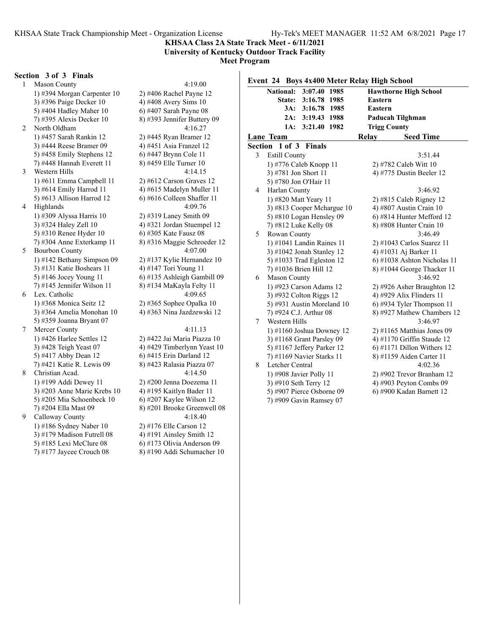#### **University of Kentucky Outdoor Track Facility Meet Program**

#### **Section 3 of 3 Finals**

1 Mason County 4:19.00 1) #394 Morgan Carpenter 10 2) #406 Rachel Payne 12 3) #396 Paige Decker 10 4) #408 Avery Sims 10 5) #404 Hadley Maher 10 6) #407 Sarah Payne 08 7) #395 Alexis Decker 10 8) #393 Jennifer Buttery 09 2 North Oldham 4:16.27 1) #457 Sarah Rankin 12 2) #445 Ryan Bramer 12 3) #444 Reese Bramer 09 4) #451 Asia Franzel 12 5) #458 Emily Stephens 12 6) #447 Brynn Cole 11 7) #448 Hannah Everett 11 8) #459 Elle Turner 10 3 Western Hills 4:14.15 1) #611 Emma Campbell 11 2) #612 Carson Graves 12 3) #614 Emily Harrod 11  $\qquad \qquad$  4) #615 Madelyn Muller 11 5) #613 Allison Harrod 12 6) #616 Colleen Shaffer 11 4 Highlands 4:09.76 1) #309 Alyssa Harris 10 2) #319 Laney Smith 09 3) #324 Haley Zell 10 4) #321 Jordan Stuempel 12 5) #310 Renee Hyder 10 6) #305 Kate Fausz 08 7) #304 Anne Exterkamp 11 8) #316 Maggie Schroeder 12 5 Bourbon County 4:07.00 1) #142 Bethany Simpson 09 2) #137 Kylie Hernandez 10 3) #131 Katie Boshears 11  $\qquad$  4) #147 Tori Young 11 5) #146 Jocey Young 11 6) #135 Ashleigh Gambill 09 7) #145 Jennifer Wilson 11 8) #134 MaKayla Felty 11 6 Lex. Catholic 4:09.65 1) #368 Monica Seitz 12 2) #365 Sophee Opalka 10 3) #364 Amelia Monohan 10 4) #363 Nina Jazdzewski 12 5) #359 Joanna Bryant 07 7 Mercer County 4:11.13 1) #426 Harlee Settles 12 2) #422 Jai Maria Piazza 10 3) #428 Teigh Yeast 07 4) #429 Timberlynn Yeast 10 5) #417 Abby Dean 12 6) #415 Erin Darland 12 7) #421 Katie R. Lewis 09 8) #423 Ralasia Piazza 07 8 Christian Acad. 4:14.50 1) #199 Addi Dewey 11 2) #200 Jenna Doezema 11 3) #203 Anne Marie Krebs 10 <br>5) #205 Mia Schoenbeck 10 <br>6) #207 Kaylee Wilson 12 5) #205 Mia Schoenbeck 10 7) #204 Ella Mast 09 8) #201 Brooke Greenwell 08 9 Calloway County 4:18.40

1) #186 Sydney Naber 10 2) #176 Elle Carson 12 3) #179 Madison Futrell  $08 \t 4$ ) #191 Ainsley Smith 12 5) #185 Lexi McClure 08 6) #173 Olivia Anderson 09 7) #177 Jaycee Crouch 08 8) #190 Addi Schumacher 10

|   | $\overline{\text{National}}$ :<br>$3:07.40$ 1985<br>3:16.78 1985<br><b>State:</b> | <b>Hawthorne High School</b><br><b>Eastern</b> |
|---|-----------------------------------------------------------------------------------|------------------------------------------------|
|   | 3A:<br>3:16.78 1985                                                               | Eastern                                        |
|   | 2A:<br>3:19.43 1988                                                               | Paducah Tilghman                               |
|   | 3:21.40 1982<br>1A:                                                               | <b>Trigg County</b>                            |
|   | Lane Team                                                                         | Relay<br><b>Seed Time</b>                      |
|   | <b>Section 1 of 3 Finals</b>                                                      |                                                |
| 3 | <b>Estill County</b>                                                              | 3:51.44                                        |
|   | 1) #776 Caleb Knopp 11                                                            | 2) #782 Caleb Witt 10                          |
|   | 3) #781 Jon Short 11                                                              | 4) #775 Dustin Beeler 12                       |
|   | 5) #780 Jon O'Hair 11                                                             |                                                |
| 4 | Harlan County                                                                     | 3:46.92                                        |
|   | 1) #820 Matt Yeary 11                                                             | $2)$ #815 Caleb Rigney 12                      |
|   | 3) #813 Cooper Mchargue 10                                                        | 4) #807 Austin Crain 10                        |
|   | 5) #810 Logan Hensley 09                                                          | 6) #814 Hunter Mefford 12                      |
|   | 7) #812 Luke Kelly 08                                                             | 8) #808 Hunter Crain 10                        |
| 5 | Rowan County                                                                      | 3:46.49                                        |
|   | 1) #1041 Landin Raines 11                                                         | 2) #1043 Carlos Suarez 11                      |
|   | 3) #1042 Jonah Stanley 12                                                         | 4) #1031 Aj Barker 11                          |
|   | 5) #1033 Trad Egleston 12                                                         | 6) #1038 Ashton Nicholas 11                    |
|   | 7) #1036 Brien Hill 12                                                            | 8) #1044 George Thacker 11                     |
| 6 | Mason County                                                                      | 3:46.92                                        |
|   | 1) #923 Carson Adams 12                                                           | 2) #926 Asher Braughton 12                     |
|   | 3) #932 Colton Riggs 12                                                           | 4) #929 Alix Flinders 11                       |
|   | 5) #931 Austin Moreland 10                                                        | $(6)$ #934 Tyler Thompson 11                   |
|   | 7) #924 C.J. Arthur 08                                                            | 8) #927 Mathew Chambers 12                     |
| 7 | Western Hills                                                                     | 3:46.97                                        |
|   | 1) #1160 Joshua Downey 12                                                         | $2)$ #1165 Matthias Jones 09                   |
|   | 3) #1168 Grant Parsley 09                                                         | 4) #1170 Griffin Staude 12                     |
|   | 5) #1167 Jeffery Parker 12                                                        | $6$ ) #1171 Dillon Withers 12                  |
|   | 7) #1169 Navier Starks 11                                                         | 8) #1159 Aiden Carter 11                       |
| 8 | Letcher Central                                                                   | 4:02.36                                        |
|   | 1) #908 Javier Polly 11                                                           | 2) #902 Trevor Branham 12                      |
|   | 3) #910 Seth Terry 12                                                             | 4) #903 Peyton Combs 09                        |

7) #909 Gavin Ramsey 07

5) #907 Pierce Osborne 09 6) #900 Kadan Barnett 12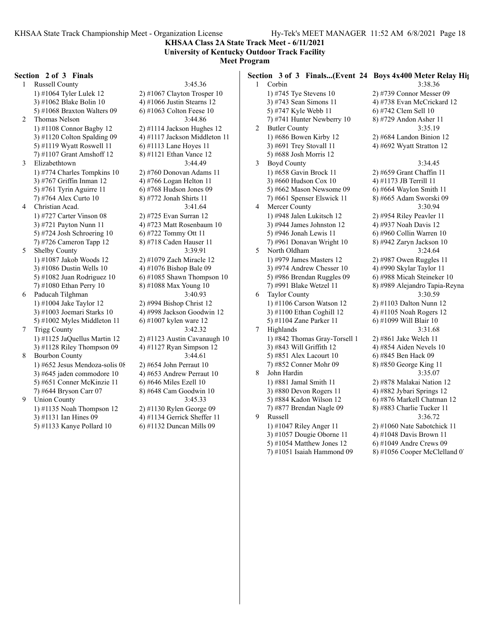**KHSAA Class 2A State Track Meet - 6/11/2021 University of Kentucky Outdoor Track Facility Meet Program**

#### **Section 2 of 3 Finals**

1 Russell County 3:45.36 1) #1064 Tyler Lulek 12 2) #1067 Clayton Trosper 10 3) #1062 Blake Bolin 10  $\qquad \qquad$  4) #1066 Justin Stearns 12 5) #1068 Braxton Walters 09  $\qquad$  6) #1063 Colton Feese 10 2 Thomas Nelson 3:44.86 1) #1108 Connor Bagby 12 2) #1114 Jackson Hughes 12 5) #1119 Wyatt Roswell 11 6) #1113 Lane Hoyes 11 7) #1107 Grant Amshoff 12 8) #1121 Ethan Vance 12 3 Elizabethtown 3:44.49 1) #774 Charles Tompkins 10 2) #760 Donovan Adams 11 3) #767 Griffin Inman 12 4) #766 Logan Helton 11 5) #761 Tyrin Aguirre 11 6) #768 Hudson Jones 09 7) #764 Alex Curto 10 8) #772 Jonah Shirts 11 4 Christian Acad. 3:41.64 1) #727 Carter Vinson 08 2) #725 Evan Surran 12 3) #721 Payton Nunn 11 4) #723 Matt Rosenbaum 10 5) #724 Josh Schroering 10 6) #722 Tommy Ott 11 7) #726 Cameron Tapp 12 8) #718 Caden Hauser 11 5 Shelby County 3:39.91 1) #1087 Jakob Woods 12 2) #1079 Zach Miracle 12 3) #1086 Dustin Wells 10  $\qquad$  4) #1076 Bishop Bale 09

- 6 Paducah Tilghman 3:40.93 1) #1004 Jake Taylor 12 2) #994 Bishop Christ 12 3)  $\#1003$  Joemari Starks 10  $\qquad \qquad$  4)  $\#998$  Jackson Goodwin 12 5) #1002 Myles Middleton 11 6) #1007 kylen ware 12
- 3) #1128 Riley Thompson 09  $\qquad$  4) #1127 Ryan Simpson 12
- 8 Bourbon County 3:44.61 1) #652 Jesus Mendoza-solis  $08 \times 2$ ) #654 John Perraut 10 3) #645 jaden commodore 10  $\qquad$  4) #653 Andrew Perraut 10 5) #651 Conner McKinzie 11 6) #646 Miles Ezell 10 7) #644 Bryson Carr 07 8) #648 Cam Goodwin 10
- 9 Union County 3:45.33 1) #1135 Noah Thompson 12 2) #1130 Rylen George 09 3) #1131 Ian Hines 09 4) #1134 Gerrick Sheffer 11 5) #1133 Kanye Pollard 10 6) #1132 Duncan Mills 09

3)  $\#1120$  Colton Spalding 09  $\qquad$  4)  $\#1117$  Jackson Middleton 11 5) #1082 Juan Rodriguez 10 6) #1085 Shawn Thompson 10 7) #1080 Ethan Perry 10 8) #1088 Max Young 10 7 Trigg County 3:42.32 1) #1125 JaQuellus Martin 12 2) #1123 Austin Cavanaugh 10 **Section 3 of 3 Finals...(Event 24 Boys 4x400 Meter Relay Hig** 1 Corbin 3:38.36 1) #745 Tye Stevens 10 2) #739 Connor Messer 09 3) #743 Sean Simons 11 4) #738 Evan McCrickard 12 5) #747 Kyle Webb 11 6) #742 Clem Sell 10 7) #741 Hunter Newberry 10 8) #729 Andon Asher 11 2 Butler County 3:35.19 1) #686 Bowen Kirby 12 2) #684 Landon Binion 12 3) #691 Trey Stovall 11  $\qquad \qquad$  4) #692 Wyatt Stratton 12 5) #688 Josh Morris 12 3 Boyd County 3:34.45 1) #658 Gavin Brock 11 2) #659 Grant Chaffin 11 3) #660 Hudson Cox 10  $(4)$  #1173 JB Terrill 11 5) #662 Mason Newsome  $09 \t\t 6$ ) #664 Waylon Smith 11 7) #661 Spenser Elswick 11 8) #665 Adam Sworski 09 4 Mercer County 3:30.94 1) #948 Jalen Lukitsch 12 2) #954 Riley Peavler 11 3) #944 James Johnston 12 4) #937 Noah Davis 12 5) #946 Jonah Lewis 11 6) #960 Collin Warren 10 7) #961 Donavan Wright 10 8) #942 Zaryn Jackson 10 5 North Oldham 3:24.64 1) #979 James Masters 12 2) #987 Owen Ruggles 11 3) #974 Andrew Chesser 10 4) #990 Skylar Taylor 11 5) #986 Brendan Ruggles 09 6) #988 Micah Steineker 10 7) #991 Blake Wetzel 11 8) #989 Alejandro Tapia-Reyna 6 Taylor County 3:30.59 1) #1106 Carson Watson 12 2) #1103 Dalton Nunn 12 3) #1100 Ethan Coghill 12  $\qquad \qquad$  4) #1105 Noah Rogers 12 5) #1104 Zane Parker 11 6) #1099 Will Blair 10 7 Highlands 3:31.68 1) #842 Thomas Gray-Torsell 1 2) #861 Jake Welch 11 3) #843 Will Griffith  $12$  4) #854 Aiden Nevels  $10$ 5) #851 Alex Lacourt 10 6) #845 Ben Hack 09 7) #852 Conner Mohr 09 8) #850 George King 11 8 John Hardin 3:35.07 1) #881 Jamal Smith 11 2) #878 Malakai Nation 12 3) #880 Devon Rogers 11 4) #882 Jybari Springs 12 5) #884 Kadon Wilson 12 6) #876 Markell Chatman 12 7) #877 Brendan Nagle 09 8) #883 Charlie Tucker 11 9 Russell 3:36.72 1) #1047 Riley Anger 11 2) #1060 Nate Sabotchick 11 3) #1057 Dougie Oborne 11  $\qquad \qquad$  4) #1048 Davis Brown 11 5) #1054 Matthew Jones 12 6) #1049 Andre Crews 09 7)  $\#1051$  Isaiah Hammond 09 8)  $\#1056$  Cooper McClelland 0'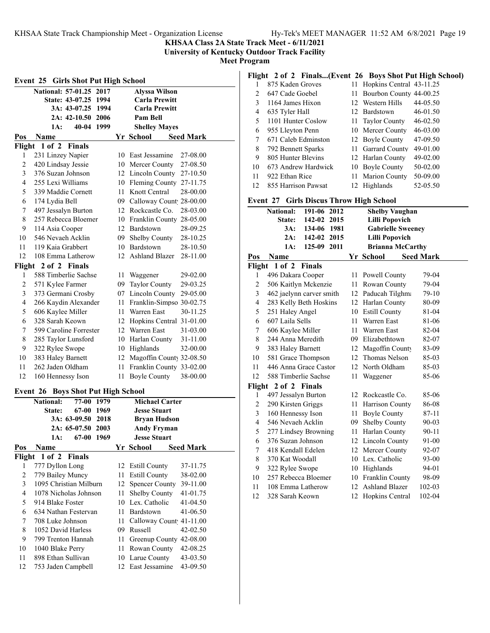**KHSAA Class 2A State Track Meet - 6/11/2021**

**University of Kentucky Outdoor Track Facility**

**Meet Program**

| <b>Event 25 Girls Shot Put High School</b> |                                           |                        |      |    |                             |                  |  |
|--------------------------------------------|-------------------------------------------|------------------------|------|----|-----------------------------|------------------|--|
|                                            | National: 57-01.25 2017                   |                        |      |    | Alyssa Wilson               |                  |  |
|                                            |                                           | State: 43-07.25 1994   |      |    | <b>Carla Prewitt</b>        |                  |  |
|                                            |                                           | 3A: 43-07.25 1994      |      |    | <b>Carla Prewitt</b>        |                  |  |
|                                            |                                           | 2A: 42-10.50 2006      |      |    | Pam Bell                    |                  |  |
|                                            | 1A:                                       | 40-04 1999             |      |    | <b>Shelley Mayes</b>        |                  |  |
| Pos                                        | Name                                      |                        |      |    | Yr School                   | <b>Seed Mark</b> |  |
|                                            | Flight 1 of 2 Finals                      |                        |      |    |                             |                  |  |
| 1                                          | 231 Linzey Napier                         |                        |      |    | 10 East Jessamine           | 27-08.00         |  |
| $\overline{c}$                             | 420 Lindsay Jessie                        |                        |      |    | 10 Mercer County            | 27-08.50         |  |
| 3                                          | 376 Suzan Johnson                         |                        |      |    | 12 Lincoln County 27-10.50  |                  |  |
| 4                                          | 255 Lexi Williams                         |                        |      |    | 10 Fleming County 27-11.75  |                  |  |
| 5                                          | 339 Maddie Cornett                        |                        |      |    | 11 Knott Central            | 28-00.00         |  |
| 6                                          | 174 Lydia Bell                            |                        |      |    | 09 Calloway Count 28-00.00  |                  |  |
| 7                                          | 497 Jessalyn Burton                       |                        |      |    | 12 Rockcastle Co.           | 28-03.00         |  |
| 8                                          |                                           | 257 Rebecca Bloemer    |      |    | 10 Franklin County 28-05.00 |                  |  |
| 9                                          | 114 Asia Cooper                           |                        |      |    | 12 Bardstown                | 28-09.25         |  |
| 10                                         | 546 Nevaeh Acklin                         |                        |      |    | 09 Shelby County            | 28-10.25         |  |
| 11                                         | 119 Kaia Grabbert                         |                        |      |    | 10 Bardstown                | 28-10.50         |  |
| 12                                         |                                           | 108 Emma Latherow      |      |    | 12 Ashland Blazer           | 28-11.00         |  |
| Flight                                     |                                           | 2 of 2 Finals          |      |    |                             |                  |  |
| 1                                          |                                           | 588 Timberlie Sachse   |      |    | 11 Waggener                 | 29-02.00         |  |
| $\overline{c}$                             | 571 Kylee Farmer                          |                        |      |    | 09 Taylor County            | 29-03.25         |  |
| 3                                          | 373 Germani Crosby                        |                        |      |    | 07 Lincoln County 29-05.00  |                  |  |
| 4                                          | 266 Kaydin Alexander                      |                        |      |    | 11 Franklin-Simpso 30-02.75 |                  |  |
| 5                                          | 606 Kaylee Miller                         |                        |      |    | 11 Warren East              | 30-11.25         |  |
| 6                                          | 328 Sarah Keown                           |                        |      |    | 12 Hopkins Central 31-01.00 |                  |  |
| 7                                          |                                           | 599 Caroline Forrester |      |    | 12 Warren East              | 31-03.00         |  |
| 8                                          | 285 Taylor Lunsford                       |                        |      |    | 10 Harlan County            | 31-11.00         |  |
| 9                                          | 322 Rylee Swope                           |                        |      |    | 10 Highlands                | 32-00.00         |  |
| 10                                         | 383 Haley Barnett                         |                        |      |    | 12 Magoffin County 32-08.50 |                  |  |
| 11                                         | 262 Jaden Oldham                          |                        |      |    | 11 Franklin County 33-02.00 |                  |  |
| 12                                         | 160 Hennessy Ison                         |                        |      |    | 11 Boyle County             | 38-00.00         |  |
|                                            | <b>Event 26 Boys Shot Put High School</b> |                        |      |    |                             |                  |  |
|                                            | <b>National:</b>                          | 77-00                  | 1979 |    | <b>Michael Carter</b>       |                  |  |
|                                            | <b>State:</b>                             | 67-00 1969             |      |    | <b>Jesse Stuart</b>         |                  |  |
|                                            |                                           | 3A: 63-09.50           | 2018 |    | <b>Bryan Hudson</b>         |                  |  |
|                                            |                                           | 2A: 65-07.50           | 2003 |    | <b>Andy Fryman</b>          |                  |  |
|                                            | 1A:                                       | 67-00 1969             |      |    | <b>Jesse Stuart</b>         |                  |  |
| Pos                                        | Name                                      |                        |      |    | Yr School                   | <b>Seed Mark</b> |  |
|                                            | Flight 1 of 2                             | <b>Finals</b>          |      |    |                             |                  |  |
| 1                                          | 777 Dyllon Long                           |                        |      | 12 | <b>Estill County</b>        | 37-11.75         |  |
| $\overline{c}$                             | 779 Bailey Muncy                          |                        |      | 11 | <b>Estill County</b>        | 38-02.00         |  |
| 3                                          |                                           | 1095 Christian Milburn |      | 12 | <b>Spencer County</b>       | 39-11.00         |  |
| $\overline{4}$                             |                                           | 1078 Nicholas Johnson  |      | 11 | Shelby County               | 41-01.75         |  |
| 5                                          | 914 Blake Foster                          |                        |      |    | 10 Lex. Catholic            | 41-04.50         |  |
| 6                                          | 634 Nathan Festervan                      |                        |      | 11 | Bardstown                   | 41-06.50         |  |
| 7                                          | 708 Luke Johnson                          |                        |      | 11 | Calloway Count 41-11.00     |                  |  |
| 8                                          | 1052 David Harless                        |                        |      |    | 09 Russell                  | 42-02.50         |  |
| 9                                          |                                           | 799 Trenton Hannah     |      | 11 | Greenup County 42-08.00     |                  |  |
| 10                                         | 1040 Blake Perry                          |                        |      | 11 | Rowan County                | 42-08.25         |  |
| 11                                         | 898 Ethan Sullivan                        |                        |      |    | 10 Larue County             | 43-03.50         |  |
| 12                                         |                                           | 753 Jaden Campbell     |      |    | 12 East Jessamine           | 43-09.50         |  |

|  |  |  | Flight 2 of 2 Finals(Event 26 Boys Shot Put High School) |  |
|--|--|--|----------------------------------------------------------|--|
|  |  |  |                                                          |  |

|    | 875 Kaden Groves    | 11 Hopkins Central 43-11.25 |              |
|----|---------------------|-----------------------------|--------------|
| 2  | 647 Cade Goebel     | 11 Bourbon County 44-00.25  |              |
| 3  | 1164 James Hixon    | 12 Western Hills            | 44-05.50     |
| 4  | 635 Tyler Hall      | 12 Bardstown                | 46-01.50     |
| 5  | 1101 Hunter Coslow  | 11 Taylor County            | $46 - 02.50$ |
| 6  | 955 Lleyton Penn    | 10 Mercer County            | 46-03.00     |
| 7  | 671 Caleb Edminston | 12 Boyle County             | 47-09.50     |
| 8  | 792 Bennett Sparks  | 11 Garrard County           | 49-01.00     |
| 9  | 805 Hunter Blevins  | 12 Harlan County            | 49-02.00     |
| 10 | 673 Andrew Hardwick | 10 Boyle County             | 50-02.00     |
| 11 | 922 Ethan Rice      | 11 Marion County            | 50-09.00     |
| 12 | 855 Harrison Pawsat | 12 Highlands                | 52-05.50     |

# **Event 27 Girls Discus Throw High School**

| - - -<br>Ship Discus Throw High School |                                 |      |                          |                  |  |  |  |
|----------------------------------------|---------------------------------|------|--------------------------|------------------|--|--|--|
|                                        | <b>National:</b><br>191-06 2012 |      | <b>Shelby Vaughan</b>    |                  |  |  |  |
|                                        | 142-02<br>State:                | 2015 | <b>Lilli Popovich</b>    |                  |  |  |  |
|                                        | 134-06 1981<br>3A:              |      | <b>Gabrielle Sweeney</b> |                  |  |  |  |
|                                        | 2A:<br>142-02 2015              |      | <b>Lilli Popovich</b>    |                  |  |  |  |
|                                        | 125-09 2011<br>1A:              |      | <b>Brianna McCarthy</b>  |                  |  |  |  |
| Pos                                    | Name                            |      | Yr School                | <b>Seed Mark</b> |  |  |  |
|                                        | Flight 1 of 2<br><b>Finals</b>  |      |                          |                  |  |  |  |
| 1                                      | 496 Dakara Cooper               |      | 11 Powell County         | 79-04            |  |  |  |
| $\overline{2}$                         | 506 Kaitlyn Mckenzie            | 11 - | Rowan County             | 79-04            |  |  |  |
| 3                                      | 462 jaelynn carver smith        |      | 12 Paducah Tilghma       | 79-10            |  |  |  |
| 4                                      | 283 Kelly Beth Hoskins          |      | 12 Harlan County         | 80-09            |  |  |  |
| 5                                      | 251 Haley Angel                 |      | 10 Estill County         | 81-04            |  |  |  |
| 6                                      | 607 Laila Sells                 |      | 11 Warren East           | 81-06            |  |  |  |
| 7                                      | 606 Kaylee Miller               |      | 11 Warren East           | 82-04            |  |  |  |
| 8                                      | 244 Anna Meredith               |      | 09 Elizabethtown         | 82-07            |  |  |  |
| 9                                      | 383 Haley Barnett               |      | 12 Magoffin County       | 83-09            |  |  |  |
| 10                                     | 581 Grace Thompson              |      | 12 Thomas Nelson         | 85-03            |  |  |  |
| 11                                     | 446 Anna Grace Castor           |      | 12 North Oldham          | 85-03            |  |  |  |
| 12                                     | 588 Timberlie Sachse            | 11   | Waggener                 | 85-06            |  |  |  |
|                                        | Flight 2 of 2 Finals            |      |                          |                  |  |  |  |
| 1                                      | 497 Jessalyn Burton             |      | 12 Rockcastle Co.        | 85-06            |  |  |  |
| 2                                      | 290 Kirsten Griggs              |      | 11 Harrison County       | 86-08            |  |  |  |
| 3                                      | 160 Hennessy Ison               |      | 11 Boyle County          | $87 - 11$        |  |  |  |
| $\overline{4}$                         | 546 Nevaeh Acklin               |      | 09 Shelby County         | $90 - 03$        |  |  |  |
| 5                                      | 277 Lindsey Browning            |      | 11 Harlan County         | $90 - 11$        |  |  |  |
| 6                                      | 376 Suzan Johnson               |      | 12 Lincoln County        | 91-00            |  |  |  |
| 7                                      | 418 Kendall Edelen              |      | 12 Mercer County         | 92-07            |  |  |  |
| 8                                      | 370 Kat Woodall                 |      | 10 Lex. Catholic         | 93-00            |  |  |  |
| 9                                      | 322 Rylee Swope                 |      | 10 Highlands             | 94-01            |  |  |  |
| 10                                     | 257 Rebecca Bloemer             |      | 10 Franklin County       | 98-09            |  |  |  |
| 11                                     | 108 Emma Latherow               |      | 12 Ashland Blazer        | 102-03           |  |  |  |
| 12                                     | 328 Sarah Keown                 | 12   | Hopkins Central          | 102-04           |  |  |  |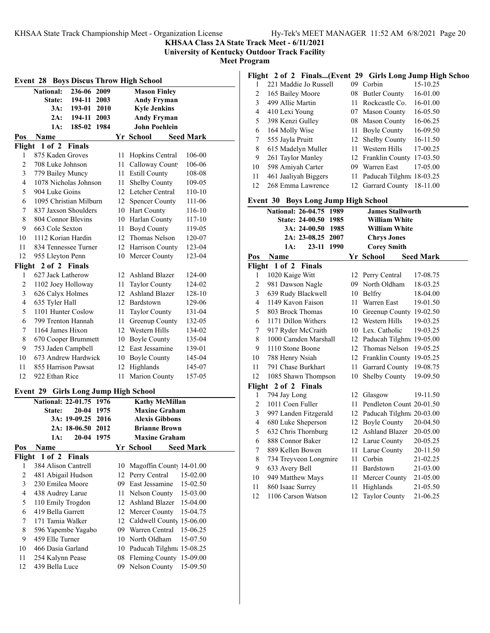**KHSAA Class 2A State Track Meet - 6/11/2021**

**University of Kentucky Outdoor Track Facility**

**Meet Program**

| <b>Event 28 Boys Discus Throw High School</b> |                         |                   |      |    |                                    |                  |
|-----------------------------------------------|-------------------------|-------------------|------|----|------------------------------------|------------------|
|                                               | <b>National:</b>        | 236-06            | 2009 |    | <b>Mason Finley</b>                |                  |
|                                               | <b>State:</b>           | 194-11            | 2003 |    | <b>Andy Fryman</b>                 |                  |
|                                               | 3A:                     | 193-01 2010       |      |    | <b>Kyle Jenkins</b>                |                  |
|                                               | 2A:                     | 194-11 2003       |      |    | <b>Andy Fryman</b>                 |                  |
|                                               | 1A:                     | 185-02 1984       |      |    | <b>John Poehlein</b>               |                  |
| Pos                                           | Name                    |                   |      |    | Yr School                          | <b>Seed Mark</b> |
| Flight                                        | $1$ of $2$              | Finals            |      |    |                                    |                  |
| 1                                             | 875 Kaden Groves        |                   |      | 11 | Hopkins Central                    | 106-00           |
| $\overline{c}$                                | 708 Luke Johnson        |                   |      |    | 11 Calloway Count                  | 106-06           |
| 3                                             | 779 Bailey Muncy        |                   |      |    | 11 Estill County                   | 108-08           |
| 4                                             | 1078 Nicholas Johnson   |                   |      |    | 11 Shelby County                   | 109-05           |
| 5                                             | 904 Luke Goins          |                   |      |    | 12 Letcher Central                 | 110-10           |
| 6                                             | 1095 Christian Milburn  |                   |      |    | 12 Spencer County                  | 111-06           |
| 7                                             | 837 Jaxson Shoulders    |                   |      |    | 10 Hart County                     | 116-10           |
| 8                                             | 804 Connor Blevins      |                   |      |    | 10 Harlan County                   | 117-10           |
| 9                                             | 663 Cole Sexton         |                   |      |    | 11 Boyd County                     | 119-05           |
| 10                                            | 1112 Korian Hardin      |                   |      |    | 12 Thomas Nelson                   | 120-07           |
| 11                                            | 834 Tennessee Turner    |                   |      |    | 12 Harrison County                 | 123-04           |
| 12                                            | 955 Lleyton Penn        |                   |      |    | 10 Mercer County                   | 123-04           |
| Flight                                        | 2 of 2 Finals           |                   |      |    |                                    |                  |
| 1                                             | 627 Jack Latherow       |                   |      |    | 12 Ashland Blazer                  | 124-00           |
| $\overline{c}$                                | 1102 Joey Holloway      |                   |      |    | 11 Taylor County                   | 124-02           |
| 3                                             | 626 Calyx Holmes        |                   |      |    | 12 Ashland Blazer                  | 128-10           |
| $\overline{4}$                                | 635 Tyler Hall          |                   |      |    | 12 Bardstown                       | 129-06           |
| 5                                             | 1101 Hunter Coslow      |                   |      |    | 11 Taylor County                   | 131-04           |
| 6                                             | 799 Trenton Hannah      |                   |      |    | 11 Greenup County                  | 132-05           |
| 7                                             | 1164 James Hixon        |                   |      |    | 12 Western Hills                   | 134-02           |
| 8                                             | 670 Cooper Brummett     |                   |      |    | 10 Boyle County                    | 135-04           |
| 9                                             | 753 Jaden Campbell      |                   |      |    | 12 East Jessamine                  | 139-01           |
| 10                                            | 673 Andrew Hardwick     |                   |      |    | 10 Boyle County                    | 145-04           |
| 11                                            | 855 Harrison Pawsat     |                   |      |    | 12 Highlands                       | 145-07           |
| 12                                            | 922 Ethan Rice          |                   |      | 11 | <b>Marion County</b>               | 157-05           |
| Event 29                                      |                         |                   |      |    | <b>Girls Long Jump High School</b> |                  |
|                                               | National: 22-01.75 1976 |                   |      |    | <b>Kathy McMillan</b>              |                  |
|                                               | State:                  | 20-04 1975        |      |    | <b>Maxine Graham</b>               |                  |
|                                               |                         | 3A: 19-09.25      | 2016 |    | <b>Alexis Gibbons</b>              |                  |
|                                               |                         | 2A: 18-06.50 2012 |      |    | <b>Brianne Brown</b>               |                  |
|                                               | 1A:                     | 20-04 1975        |      |    | <b>Maxine Graham</b>               |                  |
| Pos                                           | Name                    |                   |      |    | Yr School                          | <b>Seed Mark</b> |
| Flight                                        | $1$ of $2$              | <b>Finals</b>     |      |    |                                    |                  |
| 1                                             | 384 Alison Cantrell     |                   |      | 10 | Magoffin County 14-01.00           |                  |
| $\overline{c}$                                | 481 Abigail Hudson      |                   |      | 12 | Perry Central                      | 15-02.00         |
| 3                                             | 230 Emilea Moore        |                   |      |    | 09 East Jessamine                  | 15-02.50         |
| $\overline{4}$                                | 438 Audrey Larue        |                   |      | 11 | Nelson County                      | 15-03.00         |
| 5                                             | 110 Emily Trogdon       |                   |      |    | 12 Ashland Blazer                  | 15-04.00         |
| 6                                             | 419 Bella Garrett       |                   |      |    | 12 Mercer County                   | 15-04.75         |
| 7                                             | 171 Tamia Walker        |                   |      |    | 12 Caldwell County 15-06.00        |                  |
| 8                                             | 596 Yapembe Yagabo      |                   |      |    | 09 Warren Central                  | 15-06.25         |
| 9                                             | 459 Elle Turner         |                   |      | 10 | North Oldham                       | 15-07.50         |
| 10                                            | 466 Dasia Garland       |                   |      |    | 10 Paducah Tilghma 15-08.25        |                  |
| 11                                            | 254 Kalynn Pease        |                   |      | 08 | Fleming County                     | 15-09.00         |
| 12                                            | 439 Bella Luce          |                   |      | 09 | Nelson County                      | 15-09.50         |

# **Flight 2 of 2 Finals...(Event 29 Girls Long Jump High Schoo**

| . . |                       |    |                             |          |
|-----|-----------------------|----|-----------------------------|----------|
|     | 221 Maddie Jo Russell | 09 | Corbin                      | 15-10.25 |
| 2   | 165 Bailey Moore      |    | 08 Butler County            | 16-01.00 |
| 3   | 499 Allie Martin      |    | 11 Rockcastle Co.           | 16-01.00 |
| 4   | 410 Lexi Young        |    | 07 Mason County             | 16-05.50 |
| 5   | 398 Kenzi Gulley      |    | 08 Mason County             | 16-06.25 |
| 6   | 164 Molly Wise        |    | 11 Boyle County             | 16-09.50 |
| 7   | 555 Jayla Pruitt      |    | 12 Shelby County            | 16-11.50 |
| 8   | 615 Madelyn Muller    |    | 11 Western Hills            | 17-00.25 |
| 9   | 261 Taylor Manley     |    | 12 Franklin County 17-03.50 |          |
| 10  | 598 Amiyah Carter     | 09 | Warren East                 | 17-05.00 |
| 11  | 461 Jaaliyah Biggers  |    | 11 Paducah Tilghm: 18-03.25 |          |
| 12  | 268 Emma Lawrence     |    | 12 Garrard County 18-11.00  |          |

# **Event 30 Boys Long Jump High School**

|                | етент эл ноуз цонд эшир гиди эсноог |    |                             |                  |
|----------------|-------------------------------------|----|-----------------------------|------------------|
|                | <b>National: 26-04.75</b><br>1989   |    | <b>James Stallworth</b>     |                  |
|                | <b>State: 24-00.50</b><br>1985      |    | <b>William White</b>        |                  |
|                | 3A: 24-00.50<br>1985                |    | <b>William White</b>        |                  |
|                | 2A: 23-08.25 2007                   |    | <b>Chrys Jones</b>          |                  |
|                | 23-11 1990<br>1A:                   |    | <b>Corey Smith</b>          |                  |
| Pos            | Name                                |    | Yr School                   | <b>Seed Mark</b> |
| Flight         | 1 of 2 Finals                       |    |                             |                  |
| 1              | 1020 Kaige Witt                     |    | 12 Perry Central            | 17-08.75         |
| $\overline{c}$ | 981 Dawson Nagle                    |    | 09 North Oldham             | 18-03.25         |
| 3              | 639 Rudy Blackwell                  |    | 10 Belfry                   | 18-04.00         |
| 4              | 1149 Kavon Faison                   |    | 11 Warren East              | 19-01.50         |
| 5              | 803 Brock Thomas                    |    | 10 Greenup County 19-02.50  |                  |
| 6              | 1171 Dillon Withers                 |    | 12 Western Hills            | 19-03.25         |
| 7              | 917 Ryder McCraith                  |    | 10 Lex. Catholic            | 19-03.25         |
| 8              | 1000 Camden Marshall                |    | 12 Paducah Tilghm: 19-05.00 |                  |
| 9              | 1110 Stone Boone                    |    | 12 Thomas Nelson            | 19-05.25         |
| 10             | 788 Henry Nsiah                     |    | 12 Franklin County 19-05.25 |                  |
| 11             | 791 Chase Burkhart                  | 11 | Garrard County              | 19-08.75         |
| 12             | 1085 Shawn Thompson                 |    | 10 Shelby County            | 19-09.50         |
| Flight         | 2 of 2 Finals                       |    |                             |                  |
| 1              | 794 Jay Long                        | 12 | Glasgow                     | 19-11.50         |
| $\overline{2}$ | 1011 Coen Fuller                    | 11 | Pendleton Count 20-01.50    |                  |
| 3              | 997 Landen Fitzgerald               |    | 12 Paducah Tilghm: 20-03.00 |                  |
| 4              | 680 Luke Sheperson                  |    | 12 Boyle County             | 20-04.50         |
| 5              | 632 Chris Thornburg                 |    | 12 Ashland Blazer           | 20-05.00         |
| 6              | 888 Connor Baker                    |    | 12 Larue County             | 20-05.25         |
| 7              | 889 Kellen Bowen                    |    | 11 Larue County             | 20-11.50         |
| 8              | 734 Treyveon Longmire               | 11 | Corbin                      | 21-02.25         |
| 9              | 633 Avery Bell                      |    | 11 Bardstown                | 21-03.00         |
| 10             | 949 Matthew Mays                    |    | 11 Mercer County            | 21-05.00         |
| 11             | 860 Isaac Surrey                    | 11 | Highlands                   | 21-05.50         |
| 12             | 1106 Carson Watson                  | 12 | <b>Taylor County</b>        | 21-06.25         |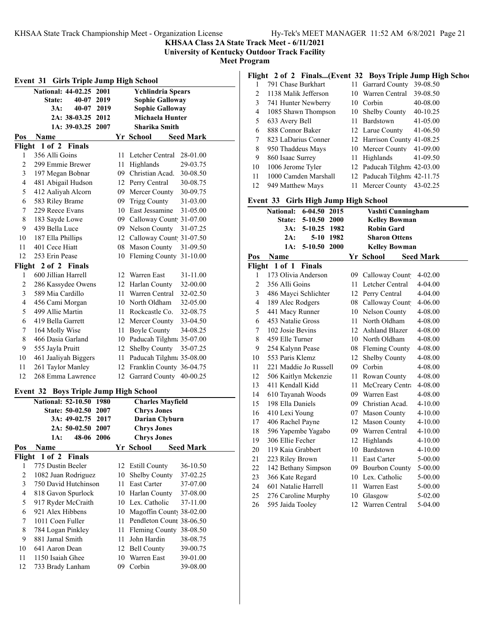**KHSAA Class 2A State Track Meet - 6/11/2021**

**University of Kentucky Outdoor Track Facility**

**Meet Program**

| <b>Girls Triple Jump High School</b><br>Event 31 |                                                               |                                             |      |                        |                             |                  |  |  |  |
|--------------------------------------------------|---------------------------------------------------------------|---------------------------------------------|------|------------------------|-----------------------------|------------------|--|--|--|
|                                                  | <b>National: 44-02.25</b><br><b>Ychlindria Spears</b><br>2001 |                                             |      |                        |                             |                  |  |  |  |
|                                                  | <b>State:</b>                                                 | 40-07                                       | 2019 | <b>Sophie Galloway</b> |                             |                  |  |  |  |
|                                                  | 3A:                                                           | $40 - 07$                                   | 2019 |                        | <b>Sophie Galloway</b>      |                  |  |  |  |
|                                                  |                                                               | 2A: 38-03.25 2012                           |      |                        | Michaela Hunter             |                  |  |  |  |
|                                                  |                                                               | 1A: 39-03.25 2007                           |      |                        | <b>Sharika Smith</b>        |                  |  |  |  |
| Pos                                              | Name                                                          |                                             |      |                        | Yr School                   | <b>Seed Mark</b> |  |  |  |
| Flight                                           |                                                               | 1 of 2 Finals                               |      |                        |                             |                  |  |  |  |
| 1                                                | 356 Alli Goins                                                |                                             |      | 11                     | Letcher Central             | 28-01.00         |  |  |  |
| $\overline{c}$                                   | 299 Emmie Brewer                                              |                                             |      |                        | 11 Highlands                | 29-03.75         |  |  |  |
| 3                                                | 197 Megan Bobnar                                              |                                             |      |                        | 09 Christian Acad.          | 30-08.50         |  |  |  |
| 4                                                | 481 Abigail Hudson                                            |                                             |      |                        | 12 Perry Central            | 30-08.75         |  |  |  |
| 5                                                | 412 Aaliyah Alcorn                                            |                                             |      |                        | 09 Mercer County            | 30-09.75         |  |  |  |
| 6                                                | 583 Riley Brame                                               |                                             |      |                        | 09 Trigg County             | 31-03.00         |  |  |  |
| 7                                                | 229 Reece Evans                                               |                                             |      |                        | 10 East Jessamine           | 31-05.00         |  |  |  |
| 8                                                | 183 Sayde Lowe                                                |                                             |      |                        | 09 Calloway Count 31-07.00  |                  |  |  |  |
| 9                                                | 439 Bella Luce                                                |                                             |      |                        | 09 Nelson County            | 31-07.25         |  |  |  |
| 10                                               | 187 Ella Phillips                                             |                                             |      |                        | 12 Calloway Count 31-07.50  |                  |  |  |  |
| 11                                               | 401 Cece Hiatt                                                |                                             |      |                        | 08 Mason County             | 31-09.50         |  |  |  |
| 12                                               | 253 Erin Pease                                                |                                             |      |                        | 10 Fleming County 31-10.00  |                  |  |  |  |
|                                                  | Flight 2 of 2 Finals                                          |                                             |      |                        |                             |                  |  |  |  |
| 1                                                | 600 Jillian Harrell                                           |                                             |      |                        | 12 Warren East              | 31-11.00         |  |  |  |
| $\overline{c}$                                   | 286 Kassydee Owens                                            |                                             |      |                        | 12 Harlan County            | 32-00.00         |  |  |  |
| 3                                                | 589 Mia Cardillo                                              |                                             |      |                        | 11 Warren Central           | 32-02.50         |  |  |  |
| 4                                                | 456 Cami Morgan                                               |                                             |      |                        | 10 North Oldham             | 32-05.00         |  |  |  |
| 5                                                | 499 Allie Martin                                              |                                             |      |                        | 11 Rockcastle Co.           | 32-08.75         |  |  |  |
| 6                                                | 419 Bella Garrett                                             |                                             |      |                        | 12 Mercer County            | 33-04.50         |  |  |  |
| 7                                                | 164 Molly Wise                                                |                                             |      |                        | 11 Boyle County             | 34-08.25         |  |  |  |
| 8                                                | 466 Dasia Garland                                             |                                             |      |                        | 10 Paducah Tilghm: 35-07.00 |                  |  |  |  |
| 9                                                | 555 Jayla Pruitt                                              |                                             |      |                        | 12 Shelby County            | 35-07.25         |  |  |  |
| 10                                               | 461 Jaaliyah Biggers                                          |                                             |      |                        | 11 Paducah Tilghm: 35-08.00 |                  |  |  |  |
| 11                                               | 261 Taylor Manley                                             |                                             |      |                        | 12 Franklin County 36-04.75 |                  |  |  |  |
| 12                                               | 268 Emma Lawrence                                             |                                             |      |                        | 12 Garrard County 40-00.25  |                  |  |  |  |
| Event 32                                         |                                                               | <b>Boys Triple Jump High School</b>         |      |                        |                             |                  |  |  |  |
|                                                  | National: 52-10.50 1980                                       |                                             |      |                        | <b>Charles Mayfield</b>     |                  |  |  |  |
|                                                  |                                                               | State: 50-02.50 2007                        |      |                        | <b>Chrys Jones</b>          |                  |  |  |  |
|                                                  |                                                               | 3A: 49-02.75                                | 2017 |                        | <b>Darian Clyburn</b>       |                  |  |  |  |
|                                                  |                                                               | 2A: 50-02.50                                | 2007 |                        | <b>Chrys Jones</b>          |                  |  |  |  |
|                                                  | 1A:                                                           | 48-06 2006                                  |      |                        | <b>Chrys Jones</b>          |                  |  |  |  |
| Pos                                              | Name                                                          |                                             |      |                        | Yr School                   | <b>Seed Mark</b> |  |  |  |
| Flight                                           |                                                               | 1 of 2 Finals                               |      |                        |                             |                  |  |  |  |
| 1                                                | 775 Dustin Beeler                                             |                                             |      | 12                     | <b>Estill County</b>        | 36-10.50         |  |  |  |
| 2<br>3                                           |                                                               | 1082 Juan Rodriguez<br>750 David Hutchinson |      | 10<br>11               | Shelby County               | 37-02.25         |  |  |  |
| $\overline{4}$                                   |                                                               |                                             |      |                        | East Carter                 | 37-07.00         |  |  |  |
|                                                  |                                                               | 818 Gavon Spurlock                          |      |                        | 10 Harlan County            | 37-08.00         |  |  |  |
| 5                                                |                                                               | 917 Ryder McCraith                          |      |                        | 10 Lex. Catholic            | 37-11.00         |  |  |  |
| 6                                                | 921 Alex Hibbens                                              |                                             |      |                        | 10 Magoffin County 38-02.00 |                  |  |  |  |
| 7                                                | 1011 Coen Fuller                                              |                                             |      | 11                     | Pendleton Count 38-06.50    |                  |  |  |  |
| 8                                                | 784 Logan Pinkley                                             |                                             |      | 11                     | Fleming County 38-08.50     |                  |  |  |  |
| 9                                                | 881 Jamal Smith                                               |                                             |      | 11                     | John Hardin                 | 38-08.75         |  |  |  |
| 10                                               | 641 Aaron Dean                                                |                                             |      |                        | 12 Bell County              | 39-00.75         |  |  |  |
| 11                                               | 1150 Isaiah Ghee                                              |                                             |      |                        | 10 Warren East              | 39-01.00         |  |  |  |
| 12                                               | 733 Brady Lanham                                              |                                             |      | 09                     | Corbin                      | 39-08.00         |  |  |  |

**Flight 2 of 2 Finals...(Event 32 Boys Triple Jump High Schoo**

|    | 791 Chase Burkhart   | 11 Garrard County           | 39-08.50     |
|----|----------------------|-----------------------------|--------------|
| 2  | 1138 Malik Jefferson | 10 Warren Central           | 39-08.50     |
| 3  | 741 Hunter Newberry  | 10 Corbin                   | 40-08.00     |
| 4  | 1085 Shawn Thompson  | 10 Shelby County            | $40-10.25$   |
| 5  | 633 Avery Bell       | 11 Bardstown                | $41 - 05.00$ |
| 6  | 888 Connor Baker     | 12 Larue County 41-06.50    |              |
| 7  | 823 LaDarius Conner  | 12 Harrison County 41-08.25 |              |
| 8  | 950 Thaddeus Mays    | 10 Mercer County 41-09.00   |              |
| 9  | 860 Isaac Surrey     | 11 Highlands 41-09.50       |              |
| 10 | 1006 Jerome Tyler    | 12 Paducah Tilghm: 42-03.00 |              |
| 11 | 1000 Camden Marshall | 12 Paducah Tilghm: 42-11.75 |              |
| 12 | 949 Matthew Mays     | 11 Mercer County 43-02.25   |              |

## **Event 33 Girls High Jump High School**

|                | $\frac{1}{2}$<br>National: 6-04.50 2015 |    | Vashti Cunningham    |                  |
|----------------|-----------------------------------------|----|----------------------|------------------|
|                | 5-10.50 2000<br><b>State:</b>           |    | <b>Kelley Bowman</b> |                  |
|                | 3A:<br>5-10.25 1982                     |    | <b>Robin Gard</b>    |                  |
|                | 2A:<br>5-10 1982                        |    | <b>Sharon Ottens</b> |                  |
|                | $5 - 10.50$<br>2000<br>1A:              |    | <b>Kelley Bowman</b> |                  |
| Pos            | Name                                    |    | Yr School            | <b>Seed Mark</b> |
| Flight         | $1$ of $1$<br>Finals                    |    |                      |                  |
| 1              | 173 Olivia Anderson                     |    | 09 Calloway Count    | $4 - 02.00$      |
| $\overline{c}$ | 356 Alli Goins                          | 11 | Letcher Central      | 4-04.00          |
| 3              | 486 Mayci Schlichter                    | 12 | Perry Central        | $4 - 04.00$      |
| $\overline{4}$ | 189 Alec Rodgers                        |    | 08 Calloway Count    | 4-06.00          |
| 5              | 441 Macy Runner                         |    | 10 Nelson County     | 4-08.00          |
| 6              | 453 Natalie Gross                       |    | 11 North Oldham      | 4-08.00          |
| 7              | 102 Josie Bevins                        |    | 12 Ashland Blazer    | 4-08.00          |
| $\,$ 8 $\,$    | 459 Elle Turner                         |    | 10 North Oldham      | 4-08.00          |
| 9              | 254 Kalynn Pease                        |    | 08 Fleming County    | 4-08.00          |
| 10             | 553 Paris Klemz                         |    | 12 Shelby County     | 4-08.00          |
| 11             | 221 Maddie Jo Russell                   |    | 09 Corbin            | 4-08.00          |
| 12             | 506 Kaitlyn Mckenzie                    | 11 | Rowan County         | 4-08.00          |
| 13             | 411 Kendall Kidd                        | 11 | McCreary Centra      | 4-08.00          |
| 14             | 610 Tayanah Woods                       |    | 09 Warren East       | 4-08.00          |
| 15             | 198 Ella Daniels                        |    | 09 Christian Acad.   | $4 - 10.00$      |
| 16             | 410 Lexi Young                          |    | 07 Mason County      | $4 - 10.00$      |
| 17             | 406 Rachel Payne                        |    | 12 Mason County      | 4-10.00          |
| 18             | 596 Yapembe Yagabo                      |    | 09 Warren Central    | $4 - 10.00$      |
| 19             | 306 Ellie Fecher                        | 12 | Highlands            | $4 - 10.00$      |
| 20             | 119 Kaia Grabbert                       | 10 | Bardstown            | $4 - 10.00$      |
| 21             | 223 Riley Brown                         | 11 | <b>East Carter</b>   | 5-00.00          |
| 22             | 142 Bethany Simpson                     |    | 09 Bourbon County    | 5-00.00          |
| 23             | 366 Kate Regard                         |    | 10 Lex. Catholic     | 5-00.00          |
| 24             | 601 Natalie Harrell                     | 11 | Warren East          | 5-00.00          |
| 25             | 276 Caroline Murphy                     |    | 10 Glasgow           | 5-02.00          |
| 26             | 595 Jaida Tooley                        | 12 | Warren Central       | 5-04.00          |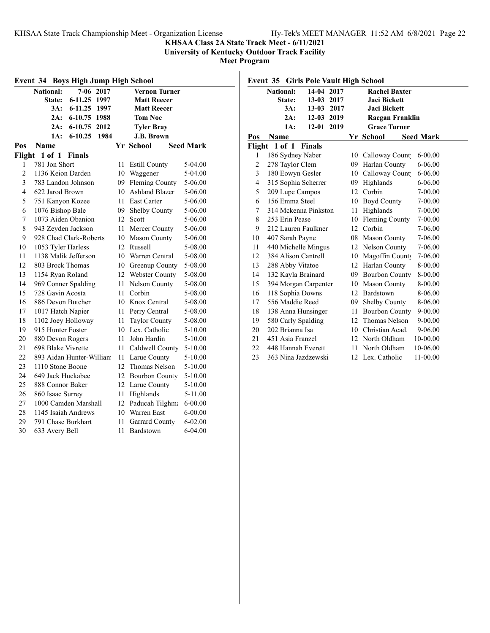## **KHSAA Class 2A State Track Meet - 6/11/2021**

**University of Kentucky Outdoor Track Facility**

**Meet Program**

| Event 34 Boys High Jump High School |                          |               |      |    |                       |                  |
|-------------------------------------|--------------------------|---------------|------|----|-----------------------|------------------|
|                                     | <b>National:</b>         | $7 - 06$      | 2017 |    | <b>Vernon Turner</b>  |                  |
|                                     | State:                   | $6 - 11.25$   | 1997 |    | <b>Matt Reecer</b>    |                  |
|                                     | 3A:                      | $6 - 11.25$   | 1997 |    | <b>Matt Reecer</b>    |                  |
|                                     | 2A:                      | $6 - 10.75$   | 1988 |    | <b>Tom Noe</b>        |                  |
|                                     | 2A:                      | $6 - 10.75$   | 2012 |    | <b>Tyler Bray</b>     |                  |
|                                     | 1A:                      | $6 - 10.25$   | 1984 |    | J.B. Brown            |                  |
| Pos                                 | Name                     |               |      |    | Yr School             | <b>Seed Mark</b> |
| Flight                              | $1$ of $1$               | <b>Finals</b> |      |    |                       |                  |
| 1                                   | 781 Jon Short            |               |      | 11 | <b>Estill County</b>  | 5-04.00          |
| $\overline{2}$                      | 1136 Keion Darden        |               |      | 10 | Waggener              | 5-04.00          |
| 3                                   | 783 Landon Johnson       |               |      | 09 | <b>Fleming County</b> | 5-06.00          |
| $\overline{4}$                      | 622 Jarod Brown          |               |      | 10 | <b>Ashland Blazer</b> | 5-06.00          |
| 5                                   | 751 Kanyon Kozee         |               |      | 11 | <b>East Carter</b>    | 5-06.00          |
| 6                                   | 1076 Bishop Bale         |               |      | 09 | Shelby County         | 5-06.00          |
| 7                                   | 1073 Aiden Obanion       |               |      | 12 | Scott                 | 5-06.00          |
| 8                                   | 943 Zeyden Jackson       |               |      | 11 | Mercer County         | 5-06.00          |
| 9                                   | 928 Chad Clark-Roberts   |               |      |    | 10 Mason County       | 5-06.00          |
| 10                                  | 1053 Tyler Harless       |               |      |    | 12 Russell            | 5-08.00          |
| 11                                  | 1138 Malik Jefferson     |               |      |    | 10 Warren Central     | 5-08.00          |
| 12                                  | 803 Brock Thomas         |               |      | 10 | Greenup County        | 5-08.00          |
| 13                                  | 1154 Ryan Roland         |               |      | 12 | Webster County        | 5-08.00          |
| 14                                  | 969 Conner Spalding      |               |      | 11 | Nelson County         | 5-08.00          |
| 15                                  | 728 Gavin Acosta         |               |      | 11 | Corbin                | 5-08.00          |
| 16                                  | 886 Devon Butcher        |               |      | 10 | Knox Central          | 5-08.00          |
| 17                                  | 1017 Hatch Napier        |               |      | 11 | Perry Central         | 5-08.00          |
| 18                                  | 1102 Joey Holloway       |               |      | 11 | <b>Taylor County</b>  | 5-08.00          |
| 19                                  | 915 Hunter Foster        |               |      |    | 10 Lex. Catholic      | 5-10.00          |
| 20                                  | 880 Devon Rogers         |               |      | 11 | John Hardin           | 5-10.00          |
| 21                                  | 698 Blake Vivrette       |               |      | 11 | Caldwell County       | 5-10.00          |
| 22                                  | 893 Aidan Hunter-William |               |      | 11 | Larue County          | 5-10.00          |
| 23                                  | 1110 Stone Boone         |               |      | 12 | Thomas Nelson         | 5-10.00          |
| 24                                  | 649 Jack Huckabee        |               |      | 12 | <b>Bourbon County</b> | 5-10.00          |
| 25                                  | 888 Connor Baker         |               |      | 12 | Larue County          | 5-10.00          |
| 26                                  | 860 Isaac Surrey         |               |      | 11 | Highlands             | 5-11.00          |
| 27                                  | 1000 Camden Marshall     |               |      | 12 | Paducah Tilghma       | 6-00.00          |
| 28                                  | 1145 Isaiah Andrews      |               |      |    | 10 Warren East        | $6 - 00.00$      |
| 29                                  | 791 Chase Burkhart       |               |      | 11 | <b>Garrard County</b> | $6 - 02.00$      |
| 30                                  | 633 Avery Bell           |               |      | 11 | Bardstown             | $6 - 04.00$      |

| <b>National:</b><br>State:<br>3A:<br>2A:<br>1A: | 14-04 2017<br>13-03 2017<br>$13 - 03$<br>12-03 2019<br>$12 - 01$ | 2017                                                                                                                                                                                                                                                                                                                                          |                                                                                                                                                                | <b>Rachel Baxter</b><br><b>Jaci Bickett</b> |                                                                                                                                                                                |                                                                                                                                  |
|-------------------------------------------------|------------------------------------------------------------------|-----------------------------------------------------------------------------------------------------------------------------------------------------------------------------------------------------------------------------------------------------------------------------------------------------------------------------------------------|----------------------------------------------------------------------------------------------------------------------------------------------------------------|---------------------------------------------|--------------------------------------------------------------------------------------------------------------------------------------------------------------------------------|----------------------------------------------------------------------------------------------------------------------------------|
|                                                 |                                                                  |                                                                                                                                                                                                                                                                                                                                               |                                                                                                                                                                |                                             |                                                                                                                                                                                |                                                                                                                                  |
|                                                 |                                                                  |                                                                                                                                                                                                                                                                                                                                               |                                                                                                                                                                |                                             |                                                                                                                                                                                |                                                                                                                                  |
|                                                 |                                                                  |                                                                                                                                                                                                                                                                                                                                               |                                                                                                                                                                | <b>Jaci Bickett</b>                         |                                                                                                                                                                                |                                                                                                                                  |
|                                                 |                                                                  |                                                                                                                                                                                                                                                                                                                                               |                                                                                                                                                                | Raegan Franklin                             |                                                                                                                                                                                |                                                                                                                                  |
|                                                 |                                                                  | 2019                                                                                                                                                                                                                                                                                                                                          |                                                                                                                                                                | <b>Grace Turner</b>                         |                                                                                                                                                                                |                                                                                                                                  |
|                                                 |                                                                  |                                                                                                                                                                                                                                                                                                                                               |                                                                                                                                                                |                                             |                                                                                                                                                                                |                                                                                                                                  |
| 1 of 1                                          |                                                                  |                                                                                                                                                                                                                                                                                                                                               |                                                                                                                                                                |                                             |                                                                                                                                                                                |                                                                                                                                  |
|                                                 |                                                                  |                                                                                                                                                                                                                                                                                                                                               |                                                                                                                                                                |                                             | $6 - 00.00$                                                                                                                                                                    |                                                                                                                                  |
|                                                 |                                                                  |                                                                                                                                                                                                                                                                                                                                               |                                                                                                                                                                |                                             | $6 - 06.00$                                                                                                                                                                    |                                                                                                                                  |
|                                                 |                                                                  |                                                                                                                                                                                                                                                                                                                                               | 10                                                                                                                                                             |                                             | $6 - 06.00$                                                                                                                                                                    |                                                                                                                                  |
|                                                 |                                                                  |                                                                                                                                                                                                                                                                                                                                               |                                                                                                                                                                |                                             | $6 - 06.00$                                                                                                                                                                    |                                                                                                                                  |
|                                                 |                                                                  |                                                                                                                                                                                                                                                                                                                                               | 12                                                                                                                                                             | Corbin                                      | $7 - 00.00$                                                                                                                                                                    |                                                                                                                                  |
|                                                 |                                                                  |                                                                                                                                                                                                                                                                                                                                               | 10                                                                                                                                                             | <b>Boyd County</b>                          | 7-00.00                                                                                                                                                                        |                                                                                                                                  |
|                                                 |                                                                  |                                                                                                                                                                                                                                                                                                                                               | 11                                                                                                                                                             | Highlands                                   | 7-00.00                                                                                                                                                                        |                                                                                                                                  |
|                                                 |                                                                  |                                                                                                                                                                                                                                                                                                                                               | 10                                                                                                                                                             |                                             | 7-00.00                                                                                                                                                                        |                                                                                                                                  |
|                                                 |                                                                  |                                                                                                                                                                                                                                                                                                                                               |                                                                                                                                                                |                                             | 7-06.00                                                                                                                                                                        |                                                                                                                                  |
|                                                 |                                                                  |                                                                                                                                                                                                                                                                                                                                               | 08                                                                                                                                                             | <b>Mason County</b>                         | 7-06.00                                                                                                                                                                        |                                                                                                                                  |
|                                                 |                                                                  |                                                                                                                                                                                                                                                                                                                                               |                                                                                                                                                                | Nelson County                               | 7-06.00                                                                                                                                                                        |                                                                                                                                  |
|                                                 |                                                                  |                                                                                                                                                                                                                                                                                                                                               | 10                                                                                                                                                             |                                             | 7-06.00                                                                                                                                                                        |                                                                                                                                  |
|                                                 |                                                                  |                                                                                                                                                                                                                                                                                                                                               |                                                                                                                                                                |                                             | 8-00.00                                                                                                                                                                        |                                                                                                                                  |
|                                                 |                                                                  |                                                                                                                                                                                                                                                                                                                                               |                                                                                                                                                                |                                             | 8-00.00                                                                                                                                                                        |                                                                                                                                  |
|                                                 |                                                                  |                                                                                                                                                                                                                                                                                                                                               | 10                                                                                                                                                             | <b>Mason County</b>                         | 8-00.00                                                                                                                                                                        |                                                                                                                                  |
|                                                 |                                                                  |                                                                                                                                                                                                                                                                                                                                               |                                                                                                                                                                |                                             | 8-06.00                                                                                                                                                                        |                                                                                                                                  |
|                                                 |                                                                  |                                                                                                                                                                                                                                                                                                                                               |                                                                                                                                                                | <b>Shelby County</b>                        | 8-06.00                                                                                                                                                                        |                                                                                                                                  |
|                                                 |                                                                  |                                                                                                                                                                                                                                                                                                                                               |                                                                                                                                                                |                                             | $9 - 00.00$                                                                                                                                                                    |                                                                                                                                  |
|                                                 |                                                                  |                                                                                                                                                                                                                                                                                                                                               |                                                                                                                                                                |                                             | $9 - 00.00$                                                                                                                                                                    |                                                                                                                                  |
|                                                 |                                                                  |                                                                                                                                                                                                                                                                                                                                               | 10                                                                                                                                                             | Christian Acad.                             | 9-06.00                                                                                                                                                                        |                                                                                                                                  |
|                                                 |                                                                  |                                                                                                                                                                                                                                                                                                                                               | 12                                                                                                                                                             |                                             | 10-00.00                                                                                                                                                                       |                                                                                                                                  |
|                                                 |                                                                  |                                                                                                                                                                                                                                                                                                                                               | 11                                                                                                                                                             | North Oldham                                | 10-06.00                                                                                                                                                                       |                                                                                                                                  |
|                                                 |                                                                  |                                                                                                                                                                                                                                                                                                                                               |                                                                                                                                                                |                                             | 11-00.00                                                                                                                                                                       |                                                                                                                                  |
|                                                 | Name<br>Flight                                                   | <b>Finals</b><br>186 Sydney Naber<br>278 Taylor Clem<br>180 Eowyn Gesler<br>209 Lupe Campos<br>156 Emma Steel<br>253 Erin Pease<br>407 Sarah Payne<br>384 Alison Cantrell<br>288 Abby Vitatoe<br>132 Kayla Brainard<br>118 Sophia Downs<br>556 Maddie Reed<br>580 Carly Spalding<br>202 Brianna Isa<br>451 Asia Franzel<br>448 Hannah Everett | 315 Sophia Scherrer<br>314 Mckenna Pinkston<br>212 Lauren Faulkner<br>440 Michelle Mingus<br>394 Morgan Carpenter<br>138 Anna Hunsinger<br>363 Nina Jazdzewski |                                             | Yr School<br>10<br>09 Harlan County<br>09 Highlands<br>12 Corbin<br>12<br>12 Harlan County<br>12 Bardstown<br>09<br>11<br>12 Thomas Nelson<br>North Oldham<br>12 Lex. Catholic | <b>Seed Mark</b><br>Calloway Count<br>Calloway Count<br>Fleming County<br>Magoffin County<br>09 Bourbon County<br>Bourbon County |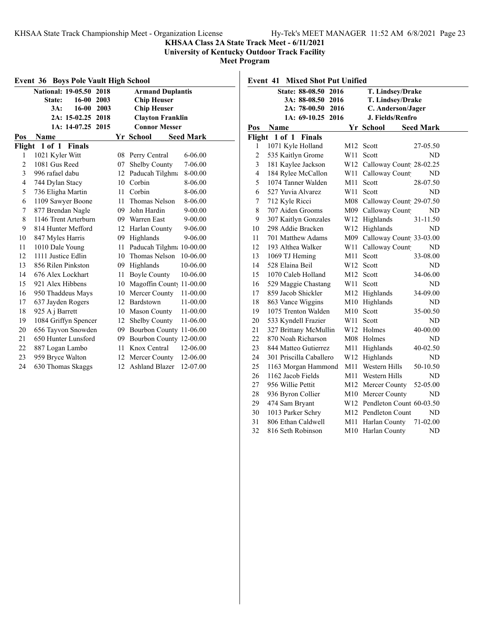## **KHSAA Class 2A State Track Meet - 6/11/2021**

**University of Kentucky Outdoor Track Facility**

**Meet Program**

| <b>Event 36 Boys Pole Vault High School</b> |                                   |    |                          |                  |  |
|---------------------------------------------|-----------------------------------|----|--------------------------|------------------|--|
|                                             | <b>National: 19-05.50</b><br>2018 |    | <b>Armand Duplantis</b>  |                  |  |
|                                             | $16 - 00$<br>2003<br>State:       |    | <b>Chip Heuser</b>       |                  |  |
|                                             | $16 - 00$<br>3A:<br>2003          |    | <b>Chip Heuser</b>       |                  |  |
|                                             | 2A: 15-02.25<br>2018              |    | <b>Clayton Franklin</b>  |                  |  |
|                                             | 1A: 14-07.25<br>2015              |    | <b>Connor Messer</b>     |                  |  |
| Pos                                         | Name                              |    | Yr School                | <b>Seed Mark</b> |  |
| Flight                                      | $1$ of $1$<br><b>Finals</b>       |    |                          |                  |  |
| 1                                           | 1021 Kyler Witt                   | 08 | Perry Central            | 6-06.00          |  |
| $\overline{2}$                              | 1081 Gus Reed                     | 07 | Shelby County            | 7-06.00          |  |
| 3                                           | 996 rafael dabu                   | 12 | Paducah Tilghma          | 8-00.00          |  |
| $\overline{4}$                              | 744 Dylan Stacy                   | 10 | Corbin                   | 8-06.00          |  |
| 5                                           | 736 Eligha Martin                 | 11 | Corbin                   | 8-06.00          |  |
| 6                                           | 1109 Sawyer Boone                 | 11 | Thomas Nelson            | 8-06.00          |  |
| 7                                           | 877 Brendan Nagle                 | 09 | John Hardin              | $9 - 00.00$      |  |
| 8                                           | 1146 Trent Arterburn              |    | 09 Warren East           | $9 - 00.00$      |  |
| 9                                           | 814 Hunter Mefford                | 12 | Harlan County            | 9-06.00          |  |
| 10                                          | 847 Myles Harris                  | 09 | Highlands                | 9-06.00          |  |
| 11                                          | 1010 Dale Young                   | 11 | Paducah Tilghm: 10-00.00 |                  |  |
| 12                                          | 1111 Justice Edlin                | 10 | Thomas Nelson            | 10-06.00         |  |
| 13                                          | 856 Rilen Pinkston                | 09 | Highlands                | 10-06.00         |  |
| 14                                          | 676 Alex Lockhart                 | 11 | <b>Boyle County</b>      | 10-06.00         |  |
| 15                                          | 921 Alex Hibbens                  | 10 | Magoffin County          | 11-00.00         |  |
| 16                                          | 950 Thaddeus Mays                 | 10 | Mercer County            | 11-00.00         |  |
| 17                                          | 637 Jayden Rogers                 |    | 12 Bardstown             | 11-00.00         |  |
| 18                                          | 925 A j Barrett                   | 10 | <b>Mason County</b>      | 11-00.00         |  |
| 19                                          | 1084 Griffyn Spencer              | 12 | <b>Shelby County</b>     | 11-06.00         |  |
| 20                                          | 656 Tayvon Snowden                | 09 | Bourbon County 11-06.00  |                  |  |
| 21                                          | 650 Hunter Lunsford               | 09 | Bourbon County 12-00.00  |                  |  |
| 22                                          | 887 Logan Lambo                   | 11 | Knox Central             | 12-06.00         |  |
| 23                                          | 959 Bryce Walton                  | 12 | Mercer County            | 12-06.00         |  |
| 24                                          | 630 Thomas Skaggs                 | 12 | <b>Ashland Blazer</b>    | 12-07.00         |  |

|     | State: 88-08.50 2016    |     | T. Lindsey/Drake   |                             |
|-----|-------------------------|-----|--------------------|-----------------------------|
|     | 3A: 88-08.50<br>2016    |     | T. Lindsey/Drake   |                             |
|     | $2A: 78-00.50$<br>2016  |     |                    | C. Anderson/Jager           |
|     | 1A: 69-10.25 2016       |     | J. Fields/Renfro   |                             |
| Pos | <b>Name</b>             |     | Yr School          | <b>Seed Mark</b>            |
|     | Flight 1 of 1 Finals    |     |                    |                             |
| 1   | 1071 Kyle Holland       | M12 | Scott              | 27-05.50                    |
| 2   | 535 Kaitlyn Grome       | W11 | Scott              | ND                          |
| 3   | 181 Kaylee Jackson      |     |                    | W12 Calloway Count 28-02.25 |
| 4   | 184 Rylee McCallon      | W11 | Calloway Count     | ND                          |
| 5   | 1074 Tanner Walden      | M11 | Scott              | 28-07.50                    |
| 6   | 527 Yuvia Alvarez       | W11 | Scott              | ND                          |
| 7   | 712 Kyle Ricci          |     |                    | M08 Calloway Count 29-07.50 |
| 8   | 707 Aiden Grooms        |     | M09 Calloway Count | <b>ND</b>                   |
| 9   | 307 Kaitlyn Gonzales    |     | W12 Highlands      | 31-11.50                    |
| 10  | 298 Addie Bracken       |     | W12 Highlands      | <b>ND</b>                   |
| 11  | 701 Matthew Adams       |     |                    | M09 Calloway Count 33-03.00 |
| 12  | 193 Althea Walker       | W11 | Calloway Count     | ND                          |
| 13  | 1069 TJ Heming          | M11 | Scott              | 33-08.00                    |
| 14  | 528 Elaina Beil         | W12 | Scott              | ND                          |
| 15  | 1070 Caleb Holland      | M12 | Scott              | 34-06.00                    |
| 16  | 529 Maggie Chastang     | W11 | Scott              | ND                          |
| 17  | 859 Jacob Shickler      |     | M12 Highlands      | 34-09.00                    |
| 18  | 863 Vance Wiggins       |     | M10 Highlands      | ND                          |
| 19  | 1075 Trenton Walden     | M10 | Scott              | 35-00.50                    |
| 20  | 533 Kyndell Frazier     | W11 | Scott              | ND                          |
| 21  | 327 Brittany McMullin   |     | W12 Holmes         | 40-00.00                    |
| 22  | 870 Noah Richarson      |     | M08 Holmes         | ND                          |
| 23  | 844 Matteo Gutierrez    | M11 | Highlands          | 40-02.50                    |
| 24  | 301 Priscilla Caballero | W12 | Highlands          | <b>ND</b>                   |

 1163 Morgan Hammond M11 Western Hills 50-10.50 1162 Jacob Fields M11 Western Hills ND 956 Willie Pettit M12 Mercer County 52-05.00 28 936 Byron Collier M10 Mercer County ND 474 Sam Bryant W12 Pendleton Count 60-03.50 1013 Parker Schry M12 Pendleton Count ND 806 Ethan Caldwell M11 Harlan County 71-02.00 816 Seth Robinson M10 Harlan County ND

# **Event 41 Mixed Shot Put Unified**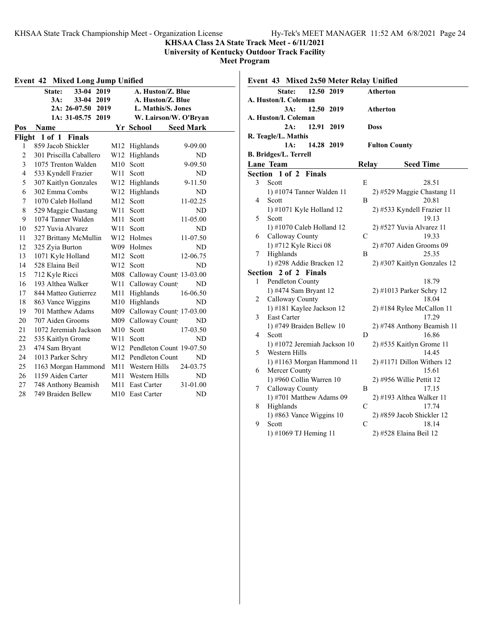**KHSAA Class 2A State Track Meet - 6/11/2021**

**University of Kentucky Outdoor Track Facility**

**Meet Program**

| Event 42<br>Mixed Long Jump Unified |                          |     |                             |                  |  |  |
|-------------------------------------|--------------------------|-----|-----------------------------|------------------|--|--|
|                                     | 33-04 2019<br>State:     |     | A. Huston/Z. Blue           |                  |  |  |
|                                     | 3A:<br>$33 - 04$<br>2019 |     | A. Huston/Z. Blue           |                  |  |  |
|                                     | $2A: 26-07.50$<br>2019   |     | L. Mathis/S. Jones          |                  |  |  |
|                                     | 1A: 31-05.75<br>2019     |     | W. Lairson/W. O'Bryan       |                  |  |  |
| Pos                                 | Name                     |     | Yr School                   | <b>Seed Mark</b> |  |  |
| Flight                              | 1 of 1<br><b>Finals</b>  |     |                             |                  |  |  |
| 1                                   | 859 Jacob Shickler       | M12 | Highlands                   | 9-09.00          |  |  |
| $\overline{c}$                      | 301 Priscilla Caballero  | W12 | Highlands                   | ND               |  |  |
| 3                                   | 1075 Trenton Walden      | M10 | Scott                       | 9-09.50          |  |  |
| $\overline{4}$                      | 533 Kyndell Frazier      | W11 | Scott                       | ND               |  |  |
| 5                                   | 307 Kaitlyn Gonzales     | W12 | Highlands                   | 9-11.50          |  |  |
| 6                                   | 302 Emma Combs           | W12 | Highlands                   | ND               |  |  |
| 7                                   | 1070 Caleb Holland       | M12 | Scott                       | 11-02.25         |  |  |
| 8                                   | 529 Maggie Chastang      | W11 | Scott                       | ND               |  |  |
| 9                                   | 1074 Tanner Walden       | M11 | Scott                       | 11-05.00         |  |  |
| 10                                  | 527 Yuvia Alvarez        | W11 | Scott                       | ND               |  |  |
| 11                                  | 327 Brittany McMullin    | W12 | Holmes                      | 11-07.50         |  |  |
| 12                                  | 325 Zyia Burton          | W09 | Holmes                      | ND               |  |  |
| 13                                  | 1071 Kyle Holland        | M12 | Scott                       | 12-06.75         |  |  |
| 14                                  | 528 Elaina Beil          | W12 | Scott                       | ND               |  |  |
| 15                                  | 712 Kyle Ricci           |     | M08 Calloway Count 13-03.00 |                  |  |  |
| 16                                  | 193 Althea Walker        | W11 | Calloway Count              | ND               |  |  |
| 17                                  | 844 Matteo Gutierrez     | M11 | Highlands                   | 16-06.50         |  |  |
| 18                                  | 863 Vance Wiggins        | M10 | Highlands                   | ND               |  |  |
| 19                                  | 701 Matthew Adams        | M09 | Calloway Count 17-03.00     |                  |  |  |
| 20                                  | 707 Aiden Grooms         | M09 | Calloway Count              | ND               |  |  |
| 21                                  | 1072 Jeremiah Jackson    | M10 | Scott                       | 17-03.50         |  |  |
| 22                                  | 535 Kaitlyn Grome        | W11 | Scott                       | ND               |  |  |
| 23                                  | 474 Sam Bryant           | W12 | Pendleton Count 19-07.50    |                  |  |  |
| 24                                  | 1013 Parker Schry        |     | M12 Pendleton Count         | ND               |  |  |
| 25                                  | 1163 Morgan Hammond      | M11 | Western Hills               | 24-03.75         |  |  |
| 26                                  | 1159 Aiden Carter        | M11 | Western Hills               | ND               |  |  |
| 27                                  | 748 Anthony Beamish      | M11 | <b>East Carter</b>          | 31-01.00         |  |  |
| 28                                  | 749 Braiden Bellew       | M10 | East Carter                 | ND               |  |  |

# **Event 42 Mixed Long Jump Unified**

|   | Event 43 Mixed 2x50 Meter Relay Unified       |               |                                   |
|---|-----------------------------------------------|---------------|-----------------------------------|
|   | 12.50 2019<br>State:                          |               | <b>Atherton</b>                   |
|   | A. Huston/I. Coleman                          |               |                                   |
|   | 3A:<br>12.50 2019                             |               | Atherton                          |
|   | A. Huston/I. Coleman                          |               |                                   |
|   | 12.91<br>2019<br>2A:                          |               | Doss                              |
|   | R. Teagle/L. Mathis                           |               |                                   |
|   | 14.28 2019<br>1A:                             |               | <b>Fulton County</b>              |
|   | <b>B. Bridges/L. Terrell</b>                  |               |                                   |
|   | Lane Team                                     | Relay         | <b>Seed Time</b>                  |
|   | Section 1 of 2 Finals                         |               |                                   |
| 3 | Scott                                         | E             | 28.51                             |
|   | 1) #1074 Tanner Walden 11                     |               | 2) #529 Maggie Chastang 11        |
| 4 | Scott                                         | B             | 20.81                             |
|   | 1) #1071 Kyle Holland 12                      |               | 2) #533 Kyndell Frazier 11        |
| 5 | Scott                                         |               | 19.13                             |
|   | 1) #1070 Caleb Holland 12                     |               | 2) #527 Yuvia Alvarez 11          |
| 6 | Calloway County                               | $\mathcal{C}$ | 19.33                             |
|   | 1) #712 Kyle Ricci 08                         |               | $2)$ #707 Aiden Grooms 09         |
| 7 | Highlands                                     | B             | 25.35                             |
|   | 1) #298 Addie Bracken 12                      |               | 2) #307 Kaitlyn Gonzales 12       |
|   | Section 2 of 2 Finals                         |               |                                   |
| 1 | Pendleton County                              |               | 18.79                             |
|   | 1) #474 Sam Bryant 12                         |               | 2) #1013 Parker Schry 12          |
| 2 | Calloway County                               |               | 18.04                             |
|   | 1) #181 Kaylee Jackson 12                     |               | 2) #184 Rylee McCallon 11         |
| 3 | East Carter                                   |               | 17.29                             |
| 4 | 1) #749 Braiden Bellew 10                     | D             | 2) #748 Anthony Beamish 11        |
|   | Scott                                         |               | 16.86                             |
| 5 | 1) #1072 Jeremiah Jackson 10<br>Western Hills |               | 2) #535 Kaitlyn Grome 11<br>14.45 |
|   | 1) #1163 Morgan Hammond 11                    |               | $2)$ #1171 Dillon Withers 12      |
| 6 | Mercer County                                 |               | 15.61                             |
|   | 1) #960 Collin Warren 10                      |               | $2)$ #956 Willie Pettit 12        |
| 7 | Calloway County                               | B             | 17.15                             |
|   | 1) #701 Matthew Adams 09                      |               | $2)$ #193 Althea Walker 11        |
| 8 | Highlands                                     | $\mathcal{C}$ | 17.74                             |
|   | 1) #863 Vance Wiggins 10                      |               | 2) #859 Jacob Shickler 12         |
| 9 | Scott                                         | $\mathcal{C}$ | 18.14                             |
|   | 1) #1069 TJ Heming 11                         |               | 2) #528 Elaina Beil 12            |